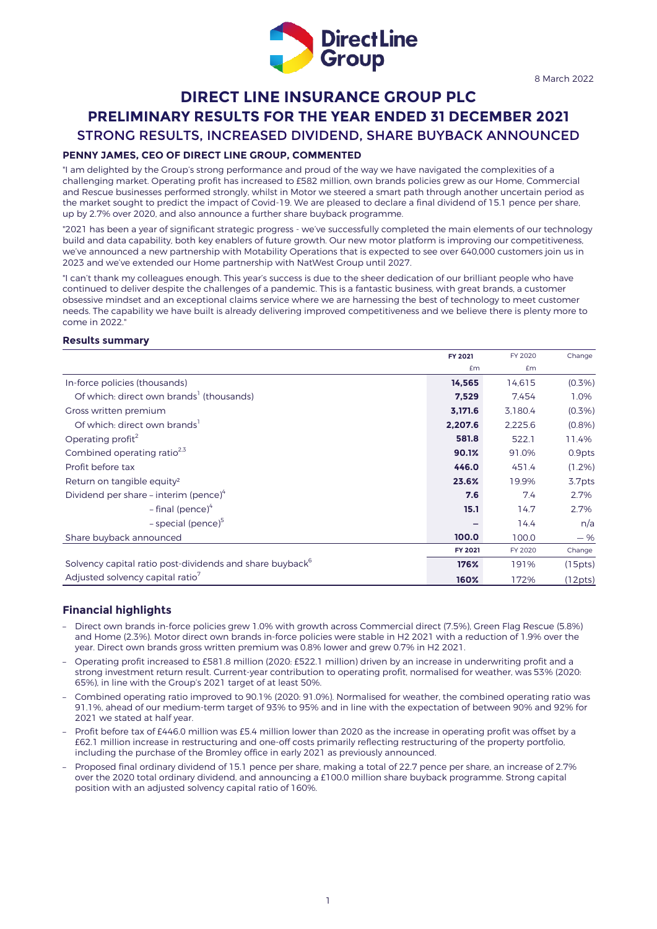

# **DIRECT LINE INSURANCE GROUP PLC PRELIMINARY RESULTS FOR THE YEAR ENDED 31 DECEMBER 2021** STRONG RESULTS, INCREASED DIVIDEND, SHARE BUYBACK ANNOUNCED

### **PENNY JAMES, CEO OF DIRECT LINE GROUP, COMMENTED**

"I am delighted by the Group's strong performance and proud of the way we have navigated the complexities of a challenging market. Operating profit has increased to £582 million, own brands policies grew as our Home, Commercial and Rescue businesses performed strongly, whilst in Motor we steered a smart path through another uncertain period as the market sought to predict the impact of Covid-19. We are pleased to declare a final dividend of 15.1 pence per share, up by 2.7% over 2020, and also announce a further share buyback programme.

"2021 has been a year of significant strategic progress - we've successfully completed the main elements of our technology build and data capability, both key enablers of future growth. Our new motor platform is improving our competitiveness, we've announced a new partnership with Motability Operations that is expected to see over 640,000 customers join us in 2023 and we've extended our Home partnership with NatWest Group until 2027.

"I can't thank my colleagues enough. This year's success is due to the sheer dedication of our brilliant people who have continued to deliver despite the challenges of a pandemic. This is a fantastic business, with great brands, a customer obsessive mindset and an exceptional claims service where we are harnessing the best of technology to meet customer needs. The capability we have built is already delivering improved competitiveness and we believe there is plenty more to come in 2022."

#### **Results summary**

|                                                                      | FY 2021 | FY 2020 | Change    |
|----------------------------------------------------------------------|---------|---------|-----------|
|                                                                      | £m      | £m      |           |
| In-force policies (thousands)                                        | 14,565  | 14,615  | (0.3% )   |
| Of which: direct own brands <sup>1</sup> (thousands)                 | 7,529   | 7.454   | 1.0%      |
| Gross written premium                                                | 3,171.6 | 3.180.4 | (0.3%)    |
| Of which: direct own brands                                          | 2,207.6 | 2,225.6 | (0.8%     |
| Operating profit <sup>2</sup>                                        | 581.8   | 522.1   | 11.4%     |
| Combined operating ratio <sup>2,3</sup>                              | 90.1%   | 91.0%   | 0.9pts    |
| Profit before tax                                                    | 446.0   | 451.4   | $(1.2\%)$ |
| Return on tangible equity <sup>2</sup>                               | 23.6%   | 19.9%   | 3.7pts    |
| Dividend per share – interim (pence) $4$                             | 7.6     | 7.4     | 2.7%      |
| $-$ final (pence) <sup>4</sup>                                       | 15.1    | 14.7    | 2.7%      |
| - special (pence) $5$                                                |         | 14.4    | n/a       |
| Share buyback announced                                              | 100.0   | 100.0   | $-$ %     |
|                                                                      | FY 2021 | FY 2020 | Change    |
| Solvency capital ratio post-dividends and share buyback <sup>6</sup> | 176%    | 191%    | (15pts)   |
| Adjusted solvency capital ratio <sup>7</sup>                         | 160%    | 172%    | (12pts)   |

### **Financial highlights**

- Direct own brands in-force policies grew 1.0% with growth across Commercial direct (7.5%), Green Flag Rescue (5.8%) and Home (2.3%). Motor direct own brands in-force policies were stable in H2 2021 with a reduction of 1.9% over the year. Direct own brands gross written premium was 0.8% lower and grew 0.7% in H2 2021.
- Operating profit increased to £581.8 million (2020: £522.1 million) driven by an increase in underwriting profit and a strong investment return result. Current-year contribution to operating profit, normalised for weather, was 53% (2020: 65%), in line with the Group's 2021 target of at least 50%.
- Combined operating ratio improved to 90.1% (2020: 91.0%). Normalised for weather, the combined operating ratio was 91.1%, ahead of our medium-term target of 93% to 95% and in line with the expectation of between 90% and 92% for 2021 we stated at half year.
- Profit before tax of £446.0 million was £5.4 million lower than 2020 as the increase in operating profit was offset by a £62.1 million increase in restructuring and one-off costs primarily reflecting restructuring of the property portfolio, including the purchase of the Bromley office in early 2021 as previously announced.
- Proposed final ordinary dividend of 15.1 pence per share, making a total of 22.7 pence per share, an increase of 2.7% over the 2020 total ordinary dividend, and announcing a £100.0 million share buyback programme. Strong capital position with an adjusted solvency capital ratio of 160%.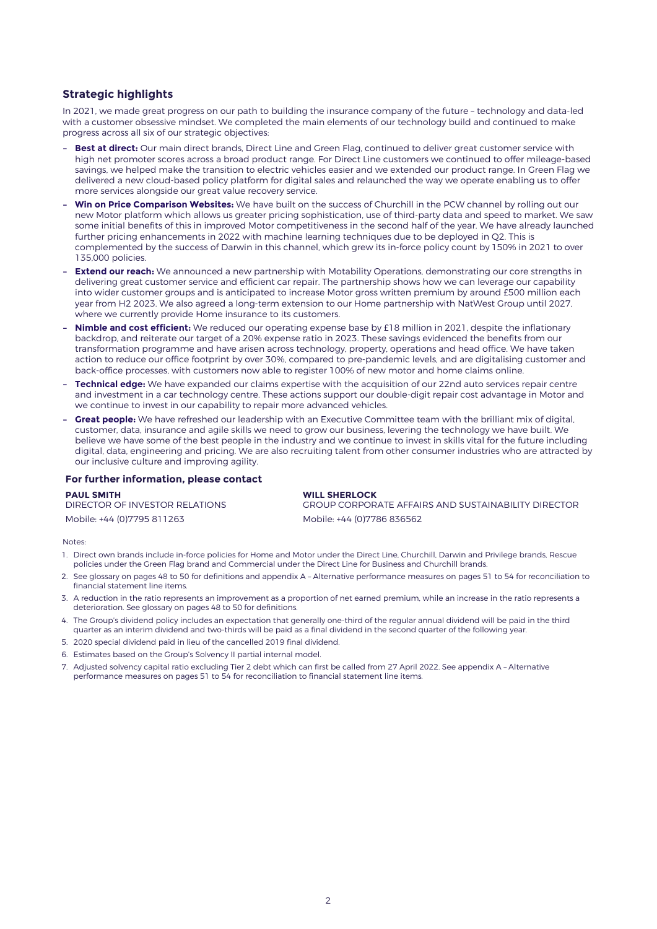### **Strategic highlights**

In 2021, we made great progress on our path to building the insurance company of the future – technology and data-led with a customer obsessive mindset. We completed the main elements of our technology build and continued to make progress across all six of our strategic objectives:

- **– Best at direct:** Our main direct brands, Direct Line and Green Flag, continued to deliver great customer service with high net promoter scores across a broad product range. For Direct Line customers we continued to offer mileage-based savings, we helped make the transition to electric vehicles easier and we extended our product range. In Green Flag we delivered a new cloud-based policy platform for digital sales and relaunched the way we operate enabling us to offer more services alongside our great value recovery service.
- **– Win on Price Comparison Websites:** We have built on the success of Churchill in the PCW channel by rolling out our new Motor platform which allows us greater pricing sophistication, use of third-party data and speed to market. We saw some initial benefits of this in improved Motor competitiveness in the second half of the year. We have already launched further pricing enhancements in 2022 with machine learning techniques due to be deployed in Q2. This is complemented by the success of Darwin in this channel, which grew its in-force policy count by 150% in 2021 to over 135,000 policies.
- **Extend our reach:** We announced a new partnership with Motability Operations, demonstrating our core strengths in delivering great customer service and efficient car repair. The partnership shows how we can leverage our capability into wider customer groups and is anticipated to increase Motor gross written premium by around £500 million each year from H2 2023. We also agreed a long-term extension to our Home partnership with NatWest Group until 2027, where we currently provide Home insurance to its customers.
- **– Nimble and cost efficient:** We reduced our operating expense base by £18 million in 2021, despite the inflationary backdrop, and reiterate our target of a 20% expense ratio in 2023. These savings evidenced the benefits from our transformation programme and have arisen across technology, property, operations and head office. We have taken action to reduce our office footprint by over 30%, compared to pre-pandemic levels, and are digitalising customer and back-office processes, with customers now able to register 100% of new motor and home claims online.
- **– Technical edge:** We have expanded our claims expertise with the acquisition of our 22nd auto services repair centre and investment in a car technology centre. These actions support our double-digit repair cost advantage in Motor and we continue to invest in our capability to repair more advanced vehicles.
- **– Great people:** We have refreshed our leadership with an Executive Committee team with the brilliant mix of digital, customer, data, insurance and agile skills we need to grow our business, levering the technology we have built. We believe we have some of the best people in the industry and we continue to invest in skills vital for the future including digital, data, engineering and pricing. We are also recruiting talent from other consumer industries who are attracted by our inclusive culture and improving agility.

#### **For further information, please contact**

**PAUL SMITH** DIRECTOR OF INVESTOR RELATIONS Mobile: +44 (0)7795 811263 Mobile: +44 (0)7786 836562

**WILL SHERLOCK** GROUP CORPORATE AFFAIRS AND SUSTAINABILITY DIRECTOR

Notes:

- 1. Direct own brands include in-force policies for Home and Motor under the Direct Line, Churchill, Darwin and Privilege brands, Rescue policies under the Green Flag brand and Commercial under the Direct Line for Business and Churchill brands.
- 2. See glossary on pages 48 to 50 for definitions and appendix A Alternative performance measures on pages 51 to 54 for reconciliation to financial statement line items.
- 3. A reduction in the ratio represents an improvement as a proportion of net earned premium, while an increase in the ratio represents a deterioration. See glossary on pages 48 to 50 for definitions.
- 4. The Group's dividend policy includes an expectation that generally one-third of the regular annual dividend will be paid in the third quarter as an interim dividend and two-thirds will be paid as a final dividend in the second quarter of the following year.
- 5. 2020 special dividend paid in lieu of the cancelled 2019 final dividend.
- 6. Estimates based on the Group's Solvency II partial internal model.
- 7. Adjusted solvency capital ratio excluding Tier 2 debt which can first be called from 27 April 2022. See appendix A Alternative performance measures on pages 51 to 54 for reconciliation to financial statement line items.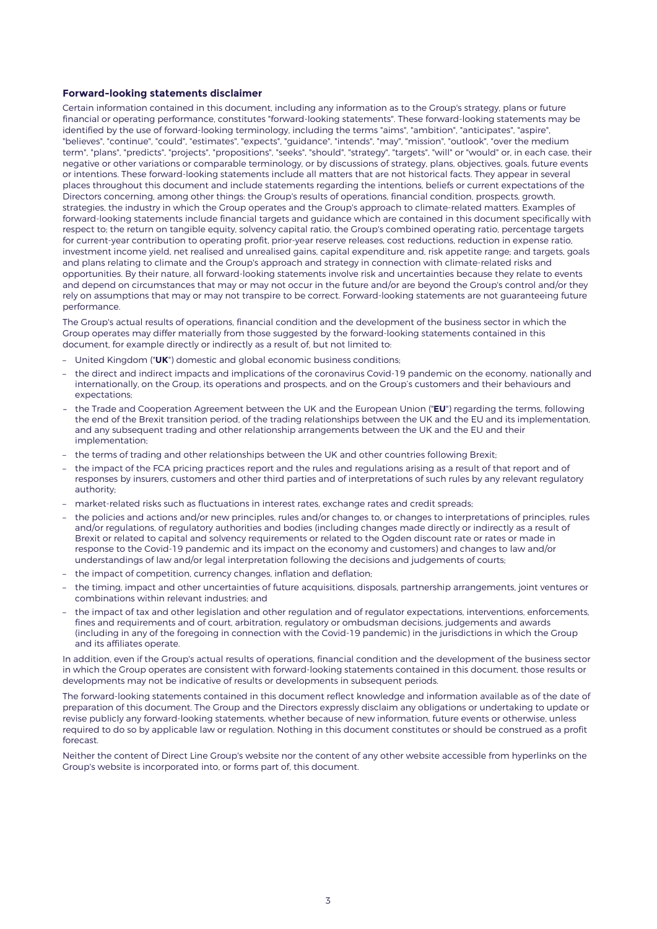#### **Forward-looking statements disclaimer**

Certain information contained in this document, including any information as to the Group's strategy, plans or future financial or operating performance, constitutes "forward-looking statements". These forward-looking statements may be identified by the use of forward-looking terminology, including the terms "aims", "ambition", "anticipates", "aspire", "believes", "continue", "could", "estimates", "expects", "guidance", "intends", "may", "mission", "outlook", "over the medium term", "plans", "predicts", "projects", "propositions", "seeks", "should", "strategy", "targets", "will" or "would" or, in each case, their negative or other variations or comparable terminology, or by discussions of strategy, plans, objectives, goals, future events or intentions. These forward-looking statements include all matters that are not historical facts. They appear in several places throughout this document and include statements regarding the intentions, beliefs or current expectations of the Directors concerning, among other things: the Group's results of operations, financial condition, prospects, growth, strategies, the industry in which the Group operates and the Group's approach to climate-related matters. Examples of forward-looking statements include financial targets and guidance which are contained in this document specifically with respect to; the return on tangible equity, solvency capital ratio, the Group's combined operating ratio, percentage targets for current-year contribution to operating profit, prior-year reserve releases, cost reductions, reduction in expense ratio, investment income yield, net realised and unrealised gains, capital expenditure and, risk appetite range; and targets, goals and plans relating to climate and the Group's approach and strategy in connection with climate-related risks and opportunities. By their nature, all forward-looking statements involve risk and uncertainties because they relate to events and depend on circumstances that may or may not occur in the future and/or are beyond the Group's control and/or they rely on assumptions that may or may not transpire to be correct. Forward-looking statements are not guaranteeing future performance.

The Group's actual results of operations, financial condition and the development of the business sector in which the Group operates may differ materially from those suggested by the forward-looking statements contained in this document, for example directly or indirectly as a result of, but not limited to:

- United Kingdom ("**UK**") domestic and global economic business conditions;
- the direct and indirect impacts and implications of the coronavirus Covid-19 pandemic on the economy, nationally and internationally, on the Group, its operations and prospects, and on the Group's customers and their behaviours and expectations;
- the Trade and Cooperation Agreement between the UK and the European Union ("**EU**") regarding the terms, following the end of the Brexit transition period, of the trading relationships between the UK and the EU and its implementation, and any subsequent trading and other relationship arrangements between the UK and the EU and their implementation;
- the terms of trading and other relationships between the UK and other countries following Brexit;
- the impact of the FCA pricing practices report and the rules and regulations arising as a result of that report and of responses by insurers, customers and other third parties and of interpretations of such rules by any relevant regulatory authority;
- market-related risks such as fluctuations in interest rates, exchange rates and credit spreads;
- the policies and actions and/or new principles, rules and/or changes to, or changes to interpretations of principles, rules and/or regulations, of regulatory authorities and bodies (including changes made directly or indirectly as a result of Brexit or related to capital and solvency requirements or related to the Ogden discount rate or rates or made in response to the Covid-19 pandemic and its impact on the economy and customers) and changes to law and/or understandings of law and/or legal interpretation following the decisions and judgements of courts;
- the impact of competition, currency changes, inflation and deflation;
- the timing, impact and other uncertainties of future acquisitions, disposals, partnership arrangements, joint ventures or combinations within relevant industries; and
- the impact of tax and other legislation and other regulation and of regulator expectations, interventions, enforcements, fines and requirements and of court, arbitration, regulatory or ombudsman decisions, judgements and awards (including in any of the foregoing in connection with the Covid-19 pandemic) in the jurisdictions in which the Group and its affiliates operate.

In addition, even if the Group's actual results of operations, financial condition and the development of the business sector in which the Group operates are consistent with forward-looking statements contained in this document, those results or developments may not be indicative of results or developments in subsequent periods.

The forward-looking statements contained in this document reflect knowledge and information available as of the date of preparation of this document. The Group and the Directors expressly disclaim any obligations or undertaking to update or revise publicly any forward-looking statements, whether because of new information, future events or otherwise, unless required to do so by applicable law or regulation. Nothing in this document constitutes or should be construed as a profit forecast.

Neither the content of Direct Line Group's website nor the content of any other website accessible from hyperlinks on the Group's website is incorporated into, or forms part of, this document.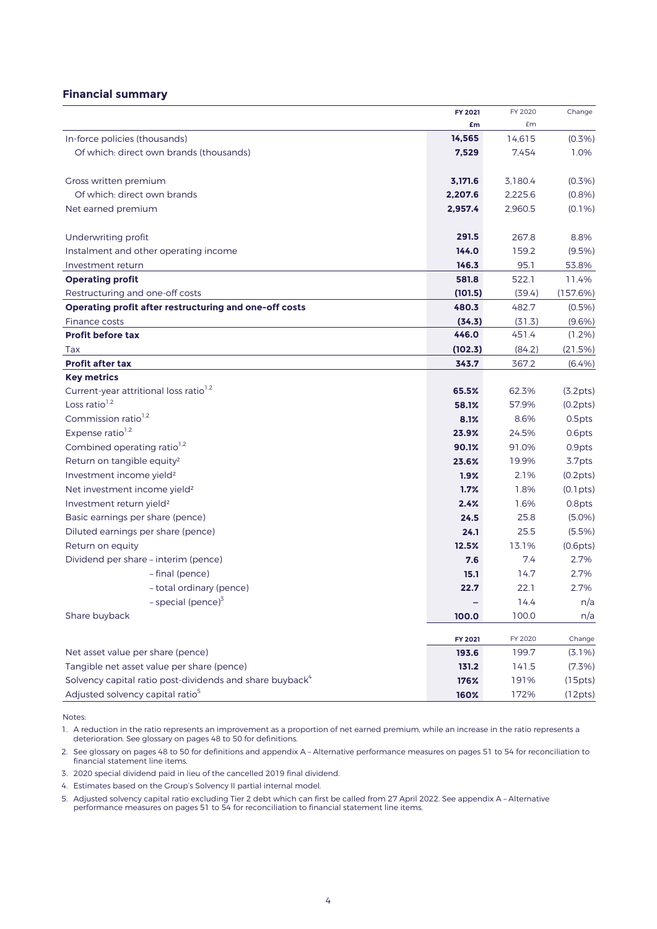# **Financial summary**

|                                                                      | FY 2021 | FY 2020 | Change    |
|----------------------------------------------------------------------|---------|---------|-----------|
|                                                                      | £m      | £m      |           |
| In-force policies (thousands)                                        | 14,565  | 14,615  | (0.3% )   |
| Of which: direct own brands (thousands)                              | 7,529   | 7,454   | 1.0%      |
| Gross written premium                                                | 3,171.6 | 3,180.4 | $(0.3\%)$ |
| Of which: direct own brands                                          | 2,207.6 | 2,225.6 | $(0.8\%)$ |
| Net earned premium                                                   | 2,957.4 | 2,960.5 | $(0.1\%)$ |
| Underwriting profit                                                  | 291.5   | 267.8   | 8.8%      |
| Instalment and other operating income                                | 144.0   | 159.2   | $(9.5\%)$ |
| Investment return                                                    | 146.3   | 95.1    | 53.8%     |
| <b>Operating profit</b>                                              | 581.8   | 522.1   | 11.4%     |
| Restructuring and one-off costs                                      | (101.5) | (39.4)  | (157.6%)  |
| Operating profit after restructuring and one-off costs               | 480.3   | 482.7   | $(0.5\%)$ |
| Finance costs                                                        | (34.3)  | (31.3)  | $(9.6\%)$ |
| <b>Profit before tax</b>                                             | 446.0   | 451.4   | $(1.2\%)$ |
| Tax                                                                  | (102.3) | (84.2)  | (21.5%)   |
| <b>Profit after tax</b>                                              | 343.7   | 367.2   | (6.4%)    |
| <b>Key metrics</b>                                                   |         |         |           |
| Current-year attritional loss ratio <sup>1,2</sup>                   | 65.5%   | 62.3%   | (3.2pts)  |
| Loss ratio <sup>1,2</sup>                                            | 58.1%   | 57.9%   | (0.2pts)  |
| Commission ratio <sup>1,2</sup>                                      | 8.1%    | 8.6%    | 0.5pts    |
| Expense ratio <sup>1,2</sup>                                         | 23.9%   | 24.5%   | 0.6pts    |
| Combined operating ratio <sup>1,2</sup>                              | 90.1%   | 91.0%   | 0.9pts    |
| Return on tangible equity <sup>2</sup>                               | 23.6%   | 19.9%   | 3.7pts    |
| Investment income yield <sup>2</sup>                                 | 1.9%    | 2.1%    | (0.2pts)  |
| Net investment income yield <sup>2</sup>                             | 1.7%    | 1.8%    | (0.1pts)  |
| Investment return yield <sup>2</sup>                                 | 2.4%    | 1.6%    | 0.8pts    |
| Basic earnings per share (pence)                                     | 24.5    | 25.8    | $(5.0\%)$ |
| Diluted earnings per share (pence)                                   | 24.1    | 25.5    | (5.5%)    |
| Return on equity                                                     | 12.5%   | 13.1%   | (0.6pts)  |
| Dividend per share - interim (pence)                                 | 7.6     | 7.4     | 2.7%      |
| - final (pence)                                                      | 15.1    | 14.7    | 2.7%      |
| - total ordinary (pence)                                             | 22.7    | 22.1    | 2.7%      |
| - special (pence) <sup>3</sup>                                       |         | 14.4    | n/a       |
| Share buyback                                                        | 100.0   | 100.0   | n/a       |
|                                                                      | FY 2021 | FY 2020 | Change    |
| Net asset value per share (pence)                                    | 193.6   | 199.7   | $(3.1\%)$ |
| Tangible net asset value per share (pence)                           | 131.2   | 141.5   | $(7.3\%)$ |
| Solvency capital ratio post-dividends and share buyback <sup>4</sup> | 176%    | 191%    | (15pts)   |
| Adjusted solvency capital ratio <sup>5</sup>                         | 160%    | 172%    | (12pts)   |

Notes:

1. A reduction in the ratio represents an improvement as a proportion of net earned premium, while an increase in the ratio represents a deterioration. See glossary on pages 48 to 50 for definitions.

2. See glossary on pages 48 to 50 for definitions and appendix A – Alternative performance measures on pages 51 to 54 for reconciliation to financial statement line items.

3. 2020 special dividend paid in lieu of the cancelled 2019 final dividend.

4. Estimates based on the Group's Solvency II partial internal model.

5. Adjusted solvency capital ratio excluding Tier 2 debt which can first be called from 27 April 2022. See appendix A – Alternative performance measures on pages 51 to 54 for reconciliation to financial statement line items.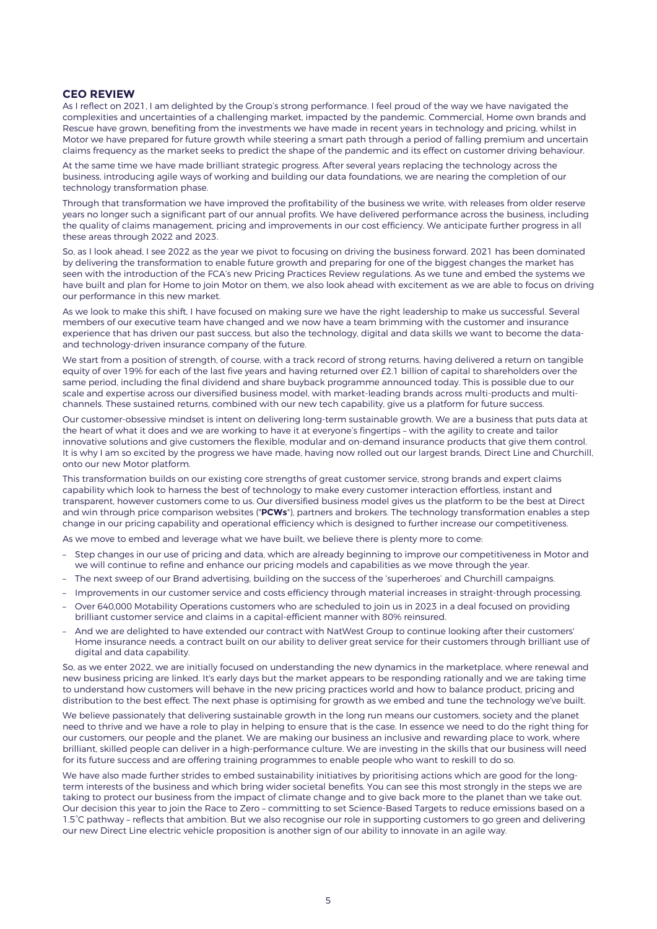# **CEO REVIEW**

As I reflect on 2021, I am delighted by the Group's strong performance. I feel proud of the way we have navigated the complexities and uncertainties of a challenging market, impacted by the pandemic. Commercial, Home own brands and Rescue have grown, benefiting from the investments we have made in recent years in technology and pricing, whilst in Motor we have prepared for future growth while steering a smart path through a period of falling premium and uncertain claims frequency as the market seeks to predict the shape of the pandemic and its effect on customer driving behaviour.

At the same time we have made brilliant strategic progress. After several years replacing the technology across the business, introducing agile ways of working and building our data foundations, we are nearing the completion of our technology transformation phase.

Through that transformation we have improved the profitability of the business we write, with releases from older reserve years no longer such a significant part of our annual profits. We have delivered performance across the business, including the quality of claims management, pricing and improvements in our cost efficiency. We anticipate further progress in all these areas through 2022 and 2023.

So, as I look ahead, I see 2022 as the year we pivot to focusing on driving the business forward. 2021 has been dominated. by delivering the transformation to enable future growth and preparing for one of the biggest changes the market has seen with the introduction of the FCA's new Pricing Practices Review regulations. As we tune and embed the systems we have built and plan for Home to join Motor on them, we also look ahead with excitement as we are able to focus on driving our performance in this new market.

As we look to make this shift, I have focused on making sure we have the right leadership to make us successful. Several members of our executive team have changed and we now have a team brimming with the customer and insurance experience that has driven our past success, but also the technology, digital and data skills we want to become the dataand technology-driven insurance company of the future.

We start from a position of strength, of course, with a track record of strong returns, having delivered a return on tangible equity of over 19% for each of the last five years and having returned over £2.1 billion of capital to shareholders over the same period, including the final dividend and share buyback programme announced today. This is possible due to our scale and expertise across our diversified business model, with market-leading brands across multi-products and multichannels. These sustained returns, combined with our new tech capability, give us a platform for future success.

Our customer-obsessive mindset is intent on delivering long-term sustainable growth. We are a business that puts data at the heart of what it does and we are working to have it at everyone's fingertips – with the agility to create and tailor innovative solutions and give customers the flexible, modular and on-demand insurance products that give them control. It is why I am so excited by the progress we have made, having now rolled out our largest brands, Direct Line and Churchill, onto our new Motor platform.

This transformation builds on our existing core strengths of great customer service, strong brands and expert claims capability which look to harness the best of technology to make every customer interaction effortless, instant and transparent, however customers come to us. Our diversified business model gives us the platform to be the best at Direct and win through price comparison websites ("**PCWs**"), partners and brokers. The technology transformation enables a step change in our pricing capability and operational efficiency which is designed to further increase our competitiveness.

As we move to embed and leverage what we have built, we believe there is plenty more to come:

- Step changes in our use of pricing and data, which are already beginning to improve our competitiveness in Motor and we will continue to refine and enhance our pricing models and capabilities as we move through the year.
- The next sweep of our Brand advertising, building on the success of the 'superheroes' and Churchill campaigns.
- Improvements in our customer service and costs efficiency through material increases in straight-through processing.
- Over 640,000 Motability Operations customers who are scheduled to join us in 2023 in a deal focused on providing brilliant customer service and claims in a capital-efficient manner with 80% reinsured.
- And we are delighted to have extended our contract with NatWest Group to continue looking after their customers' Home insurance needs, a contract built on our ability to deliver great service for their customers through brilliant use of digital and data capability.

So, as we enter 2022, we are initially focused on understanding the new dynamics in the marketplace, where renewal and new business pricing are linked. It's early days but the market appears to be responding rationally and we are taking time to understand how customers will behave in the new pricing practices world and how to balance product, pricing and distribution to the best effect. The next phase is optimising for growth as we embed and tune the technology we've built.

We believe passionately that delivering sustainable growth in the long run means our customers, society and the planet need to thrive and we have a role to play in helping to ensure that is the case. In essence we need to do the right thing for our customers, our people and the planet. We are making our business an inclusive and rewarding place to work, where brilliant, skilled people can deliver in a high-performance culture. We are investing in the skills that our business will need for its future success and are offering training programmes to enable people who want to reskill to do so.

We have also made further strides to embed sustainability initiatives by prioritising actions which are good for the longterm interests of the business and which bring wider societal benefits. You can see this most strongly in the steps we are taking to protect our business from the impact of climate change and to give back more to the planet than we take out. Our decision this year to join the Race to Zero – committing to set Science-Based Targets to reduce emissions based on a 1.5°C pathway – reflects that ambition. But we also recognise our role in supporting customers to go green and delivering our new Direct Line electric vehicle proposition is another sign of our ability to innovate in an agile way.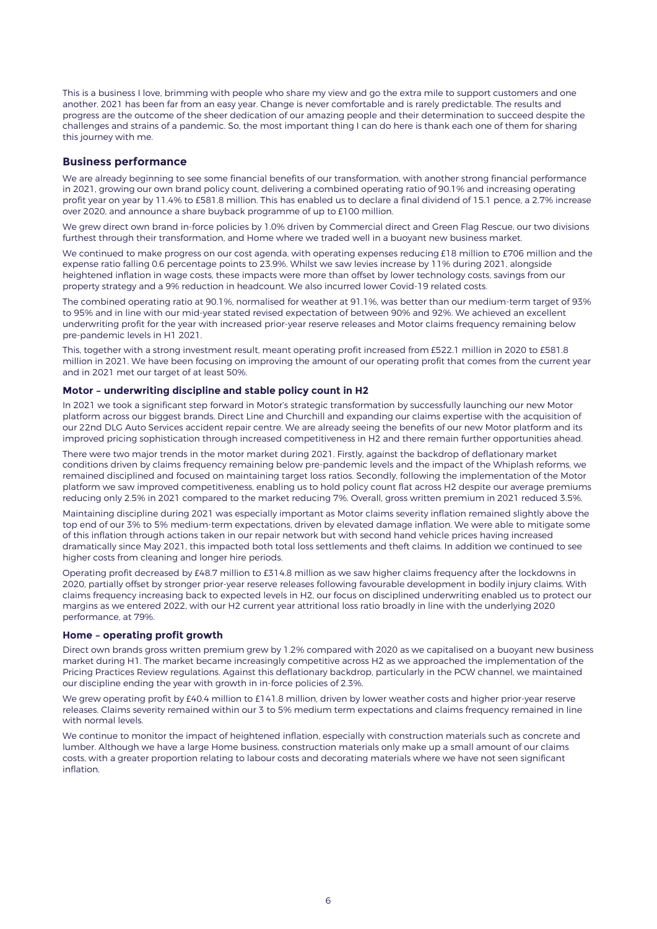This is a business I love, brimming with people who share my view and go the extra mile to support customers and one another. 2021 has been far from an easy year. Change is never comfortable and is rarely predictable. The results and progress are the outcome of the sheer dedication of our amazing people and their determination to succeed despite the challenges and strains of a pandemic. So, the most important thing I can do here is thank each one of them for sharing this journey with me.

### **Business performance**

We are already beginning to see some financial benefits of our transformation, with another strong financial performance in 2021, growing our own brand policy count, delivering a combined operating ratio of 90.1% and increasing operating profit year on year by 11.4% to £581.8 million. This has enabled us to declare a final dividend of 15.1 pence, a 2.7% increase over 2020, and announce a share buyback programme of up to £100 million.

We grew direct own brand in-force policies by 1.0% driven by Commercial direct and Green Flag Rescue, our two divisions furthest through their transformation, and Home where we traded well in a buoyant new business market.

We continued to make progress on our cost agenda, with operating expenses reducing £18 million to £706 million and the expense ratio falling 0.6 percentage points to 23.9%. Whilst we saw levies increase by 11% during 2021, alongside heightened inflation in wage costs, these impacts were more than offset by lower technology costs, savings from our property strategy and a 9% reduction in headcount. We also incurred lower Covid-19 related costs.

The combined operating ratio at 90.1%, normalised for weather at 91.1%, was better than our medium-term target of 93% to 95% and in line with our mid-year stated revised expectation of between 90% and 92%. We achieved an excellent underwriting profit for the year with increased prior-year reserve releases and Motor claims frequency remaining below pre-pandemic levels in H1 2021.

This, together with a strong investment result, meant operating profit increased from £522.1 million in 2020 to £581.8 million in 2021. We have been focusing on improving the amount of our operating profit that comes from the current year and in 2021 met our target of at least 50%.

### **Motor – underwriting discipline and stable policy count in H2**

In 2021 we took a significant step forward in Motor's strategic transformation by successfully launching our new Motor platform across our biggest brands, Direct Line and Churchill and expanding our claims expertise with the acquisition of our 22nd DLG Auto Services accident repair centre. We are already seeing the benefits of our new Motor platform and its improved pricing sophistication through increased competitiveness in H2 and there remain further opportunities ahead.

There were two major trends in the motor market during 2021. Firstly, against the backdrop of deflationary market conditions driven by claims frequency remaining below pre-pandemic levels and the impact of the Whiplash reforms, we remained disciplined and focused on maintaining target loss ratios. Secondly, following the implementation of the Motor platform we saw improved competitiveness, enabling us to hold policy count flat across H2 despite our average premiums reducing only 2.5% in 2021 compared to the market reducing 7%. Overall, gross written premium in 2021 reduced 3.5%.

Maintaining discipline during 2021 was especially important as Motor claims severity inflation remained slightly above the top end of our 3% to 5% medium-term expectations, driven by elevated damage inflation. We were able to mitigate some of this inflation through actions taken in our repair network but with second hand vehicle prices having increased dramatically since May 2021, this impacted both total loss settlements and theft claims. In addition we continued to see higher costs from cleaning and longer hire periods.

Operating profit decreased by £48.7 million to £314.8 million as we saw higher claims frequency after the lockdowns in 2020, partially offset by stronger prior-year reserve releases following favourable development in bodily injury claims. With claims frequency increasing back to expected levels in H2, our focus on disciplined underwriting enabled us to protect our margins as we entered 2022, with our H2 current year attritional loss ratio broadly in line with the underlying 2020 performance, at 79%.

#### **Home – operating profit growth**

Direct own brands gross written premium grew by 1.2% compared with 2020 as we capitalised on a buoyant new business market during H1. The market became increasingly competitive across H2 as we approached the implementation of the Pricing Practices Review regulations. Against this deflationary backdrop, particularly in the PCW channel, we maintained our discipline ending the year with growth in in-force policies of 2.3%.

We grew operating profit by £40.4 million to £141.8 million, driven by lower weather costs and higher prior-year reserve releases. Claims severity remained within our 3 to 5% medium term expectations and claims frequency remained in line with normal levels.

We continue to monitor the impact of heightened inflation, especially with construction materials such as concrete and lumber. Although we have a large Home business, construction materials only make up a small amount of our claims costs, with a greater proportion relating to labour costs and decorating materials where we have not seen significant inflation.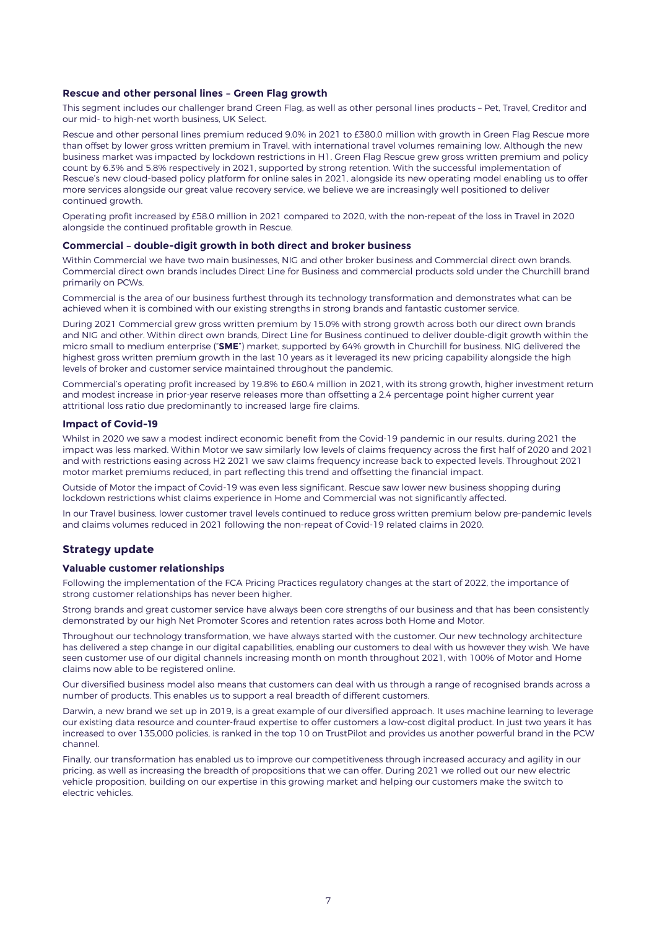#### **Rescue and other personal lines – Green Flag growth**

This segment includes our challenger brand Green Flag, as well as other personal lines products – Pet, Travel, Creditor and our mid- to high-net worth business, UK Select.

Rescue and other personal lines premium reduced 9.0% in 2021 to £380.0 million with growth in Green Flag Rescue more than offset by lower gross written premium in Travel, with international travel volumes remaining low. Although the new business market was impacted by lockdown restrictions in H1, Green Flag Rescue grew gross written premium and policy count by 6.3% and 5.8% respectively in 2021, supported by strong retention. With the successful implementation of Rescue's new cloud-based policy platform for online sales in 2021, alongside its new operating model enabling us to offer more services alongside our great value recovery service, we believe we are increasingly well positioned to deliver continued growth.

Operating profit increased by £58.0 million in 2021 compared to 2020, with the non-repeat of the loss in Travel in 2020 alongside the continued profitable growth in Rescue.

#### **Commercial – double-digit growth in both direct and broker business**

Within Commercial we have two main businesses, NIG and other broker business and Commercial direct own brands. Commercial direct own brands includes Direct Line for Business and commercial products sold under the Churchill brand primarily on PCWs.

Commercial is the area of our business furthest through its technology transformation and demonstrates what can be achieved when it is combined with our existing strengths in strong brands and fantastic customer service.

During 2021 Commercial grew gross written premium by 15.0% with strong growth across both our direct own brands and NIG and other. Within direct own brands. Direct Line for Business continued to deliver double-digit growth within the micro small to medium enterprise ("**SME**") market, supported by 64% growth in Churchill for business. NIG delivered the highest gross written premium growth in the last 10 years as it leveraged its new pricing capability alongside the high levels of broker and customer service maintained throughout the pandemic.

Commercial's operating profit increased by 19.8% to £60.4 million in 2021, with its strong growth, higher investment return and modest increase in prior-year reserve releases more than offsetting a 2.4 percentage point higher current year attritional loss ratio due predominantly to increased large fire claims.

#### **Impact of Covid-19**

Whilst in 2020 we saw a modest indirect economic benefit from the Covid-19 pandemic in our results, during 2021 the impact was less marked. Within Motor we saw similarly low levels of claims frequency across the first half of 2020 and 2021 and with restrictions easing across H2 2021 we saw claims frequency increase back to expected levels. Throughout 2021 motor market premiums reduced, in part reflecting this trend and offsetting the financial impact.

Outside of Motor the impact of Covid-19 was even less significant. Rescue saw lower new business shopping during lockdown restrictions whist claims experience in Home and Commercial was not significantly affected.

In our Travel business, lower customer travel levels continued to reduce gross written premium below pre-pandemic levels and claims volumes reduced in 2021 following the non-repeat of Covid-19 related claims in 2020.

## **Strategy update**

#### **Valuable customer relationships**

Following the implementation of the FCA Pricing Practices regulatory changes at the start of 2022, the importance of strong customer relationships has never been higher.

Strong brands and great customer service have always been core strengths of our business and that has been consistently demonstrated by our high Net Promoter Scores and retention rates across both Home and Motor.

Throughout our technology transformation, we have always started with the customer. Our new technology architecture has delivered a step change in our digital capabilities, enabling our customers to deal with us however they wish. We have seen customer use of our digital channels increasing month on month throughout 2021, with 100% of Motor and Home claims now able to be registered online.

Our diversified business model also means that customers can deal with us through a range of recognised brands across a number of products. This enables us to support a real breadth of different customers.

Darwin, a new brand we set up in 2019, is a great example of our diversified approach. It uses machine learning to leverage our existing data resource and counter-fraud expertise to offer customers a low-cost digital product. In just two years it has increased to over 135,000 policies, is ranked in the top 10 on TrustPilot and provides us another powerful brand in the PCW channel.

Finally, our transformation has enabled us to improve our competitiveness through increased accuracy and agility in our pricing, as well as increasing the breadth of propositions that we can offer. During 2021 we rolled out our new electric vehicle proposition, building on our expertise in this growing market and helping our customers make the switch to electric vehicles.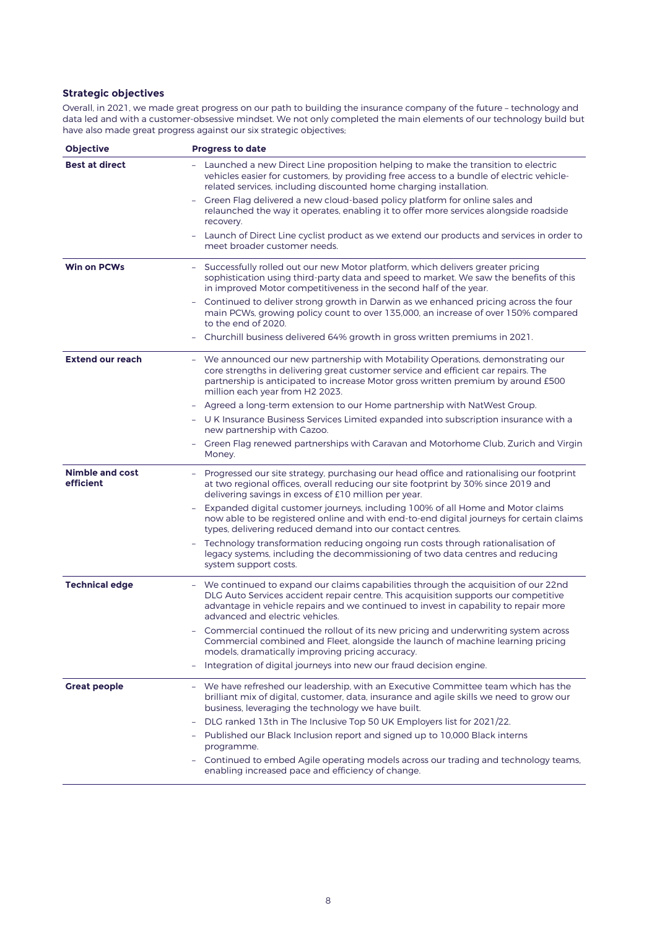# **Strategic objectives**

Overall, in 2021, we made great progress on our path to building the insurance company of the future – technology and data led and with a customer-obsessive mindset. We not only completed the main elements of our technology build but have also made great progress against our six strategic objectives;

| Objective                           | <b>Progress to date</b>                                                                                                                                                                                                                                                                                |
|-------------------------------------|--------------------------------------------------------------------------------------------------------------------------------------------------------------------------------------------------------------------------------------------------------------------------------------------------------|
| <b>Best at direct</b>               | Launched a new Direct Line proposition helping to make the transition to electric<br>vehicles easier for customers, by providing free access to a bundle of electric vehicle-<br>related services, including discounted home charging installation.                                                    |
|                                     | Green Flag delivered a new cloud-based policy platform for online sales and<br>relaunched the way it operates, enabling it to offer more services alongside roadside<br>recovery.                                                                                                                      |
|                                     | Launch of Direct Line cyclist product as we extend our products and services in order to<br>$\equiv$<br>meet broader customer needs.                                                                                                                                                                   |
| <b>Win on PCWs</b>                  | Successfully rolled out our new Motor platform, which delivers greater pricing<br>sophistication using third-party data and speed to market. We saw the benefits of this<br>in improved Motor competitiveness in the second half of the year.                                                          |
|                                     | Continued to deliver strong growth in Darwin as we enhanced pricing across the four<br>÷<br>main PCWs, growing policy count to over 135,000, an increase of over 150% compared<br>to the end of 2020.                                                                                                  |
|                                     | - Churchill business delivered 64% growth in gross written premiums in 2021.                                                                                                                                                                                                                           |
| <b>Extend our reach</b>             | - We announced our new partnership with Motability Operations, demonstrating our<br>core strengths in delivering great customer service and efficient car repairs. The<br>partnership is anticipated to increase Motor gross written premium by around £500<br>million each year from H2 2023.         |
|                                     | Agreed a long-term extension to our Home partnership with NatWest Group.                                                                                                                                                                                                                               |
|                                     | - U K Insurance Business Services Limited expanded into subscription insurance with a<br>new partnership with Cazoo.                                                                                                                                                                                   |
|                                     | Green Flag renewed partnerships with Caravan and Motorhome Club, Zurich and Virgin<br>Money.                                                                                                                                                                                                           |
| <b>Nimble and cost</b><br>efficient | - Progressed our site strategy, purchasing our head office and rationalising our footprint<br>at two regional offices, overall reducing our site footprint by 30% since 2019 and<br>delivering savings in excess of £10 million per year.                                                              |
|                                     | Expanded digital customer journeys, including 100% of all Home and Motor claims<br>$\equiv$<br>now able to be registered online and with end-to-end digital journeys for certain claims<br>types, delivering reduced demand into our contact centres.                                                  |
|                                     | Technology transformation reducing ongoing run costs through rationalisation of<br>legacy systems, including the decommissioning of two data centres and reducing<br>system support costs.                                                                                                             |
| <b>Technical edge</b>               | - We continued to expand our claims capabilities through the acquisition of our 22nd<br>DLG Auto Services accident repair centre. This acquisition supports our competitive<br>advantage in vehicle repairs and we continued to invest in capability to repair more<br>advanced and electric vehicles. |
|                                     | Commercial continued the rollout of its new pricing and underwriting system across<br>Commercial combined and Fleet, alongside the launch of machine learning pricing<br>models, dramatically improving pricing accuracy.                                                                              |
|                                     | Integration of digital journeys into new our fraud decision engine.<br>$\overline{a}$                                                                                                                                                                                                                  |
| <b>Great people</b>                 | - We have refreshed our leadership, with an Executive Committee team which has the<br>brilliant mix of digital, customer, data, insurance and agile skills we need to grow our<br>business, leveraging the technology we have built.                                                                   |
|                                     | DLG ranked 13th in The Inclusive Top 50 UK Employers list for 2021/22.<br>-                                                                                                                                                                                                                            |
|                                     | Published our Black Inclusion report and signed up to 10,000 Black interns<br>programme.                                                                                                                                                                                                               |
|                                     | - Continued to embed Agile operating models across our trading and technology teams,<br>enabling increased pace and efficiency of change.                                                                                                                                                              |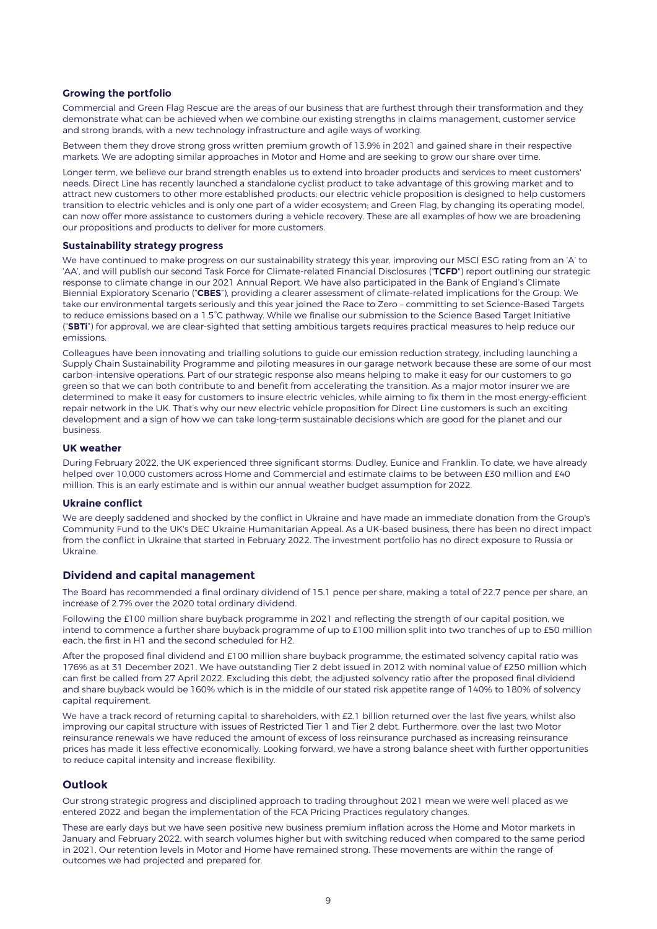#### **Growing the portfolio**

Commercial and Green Flag Rescue are the areas of our business that are furthest through their transformation and they demonstrate what can be achieved when we combine our existing strengths in claims management, customer service and strong brands, with a new technology infrastructure and agile ways of working.

Between them they drove strong gross written premium growth of 13.9% in 2021 and gained share in their respective markets. We are adopting similar approaches in Motor and Home and are seeking to grow our share over time.

Longer term, we believe our brand strength enables us to extend into broader products and services to meet customers' needs. Direct Line has recently launched a standalone cyclist product to take advantage of this growing market and to attract new customers to other more established products; our electric vehicle proposition is designed to help customers transition to electric vehicles and is only one part of a wider ecosystem; and Green Flag, by changing its operating model, can now offer more assistance to customers during a vehicle recovery. These are all examples of how we are broadening our propositions and products to deliver for more customers.

#### **Sustainability strategy progress**

We have continued to make progress on our sustainability strategy this year, improving our MSCI ESG rating from an 'A' to 'AA', and will publish our second Task Force for Climate-related Financial Disclosures ("**TCFD**") report outlining our strategic response to climate change in our 2021 Annual Report. We have also participated in the Bank of England's Climate Biennial Exploratory Scenario ("**CBES**"), providing a clearer assessment of climate-related implications for the Group. We take our environmental targets seriously and this year joined the Race to Zero – committing to set Science-Based Targets to reduce emissions based on a 1.5°C pathway. While we finalise our submission to the Science Based Target Initiative ("**SBTi**") for approval, we are clear-sighted that setting ambitious targets requires practical measures to help reduce our emissions.

Colleagues have been innovating and trialling solutions to guide our emission reduction strategy, including launching a Supply Chain Sustainability Programme and piloting measures in our garage network because these are some of our most carbon-intensive operations. Part of our strategic response also means helping to make it easy for our customers to go green so that we can both contribute to and benefit from accelerating the transition. As a major motor insurer we are determined to make it easy for customers to insure electric vehicles, while aiming to fix them in the most energy-efficient repair network in the UK. That's why our new electric vehicle proposition for Direct Line customers is such an exciting development and a sign of how we can take long-term sustainable decisions which are good for the planet and our business.

#### **UK weather**

During February 2022, the UK experienced three significant storms: Dudley, Eunice and Franklin. To date, we have already helped over 10,000 customers across Home and Commercial and estimate claims to be between £30 million and £40 million. This is an early estimate and is within our annual weather budget assumption for 2022.

#### **Ukraine conflict**

We are deeply saddened and shocked by the conflict in Ukraine and have made an immediate donation from the Group's Community Fund to the UK's DEC Ukraine Humanitarian Appeal. As a UK-based business, there has been no direct impact from the conflict in Ukraine that started in February 2022. The investment portfolio has no direct exposure to Russia or Ukraine.

### **Dividend and capital management**

The Board has recommended a final ordinary dividend of 15.1 pence per share, making a total of 22.7 pence per share, an increase of 2.7% over the 2020 total ordinary dividend.

Following the £100 million share buyback programme in 2021 and reflecting the strength of our capital position, we intend to commence a further share buyback programme of up to £100 million split into two tranches of up to £50 million each, the first in H1 and the second scheduled for H2.

After the proposed final dividend and £100 million share buyback programme, the estimated solvency capital ratio was 176% as at 31 December 2021. We have outstanding Tier 2 debt issued in 2012 with nominal value of £250 million which can first be called from 27 April 2022. Excluding this debt, the adjusted solvency ratio after the proposed final dividend and share buyback would be 160% which is in the middle of our stated risk appetite range of 140% to 180% of solvency capital requirement.

We have a track record of returning capital to shareholders, with £2.1 billion returned over the last five years, whilst also improving our capital structure with issues of Restricted Tier 1 and Tier 2 debt. Furthermore, over the last two Motor reinsurance renewals we have reduced the amount of excess of loss reinsurance purchased as increasing reinsurance prices has made it less effective economically. Looking forward, we have a strong balance sheet with further opportunities to reduce capital intensity and increase flexibility.

### **Outlook**

Our strong strategic progress and disciplined approach to trading throughout 2021 mean we were well placed as we entered 2022 and began the implementation of the FCA Pricing Practices regulatory changes.

These are early days but we have seen positive new business premium inflation across the Home and Motor markets in January and February 2022, with search volumes higher but with switching reduced when compared to the same period in 2021. Our retention levels in Motor and Home have remained strong. These movements are within the range of outcomes we had projected and prepared for.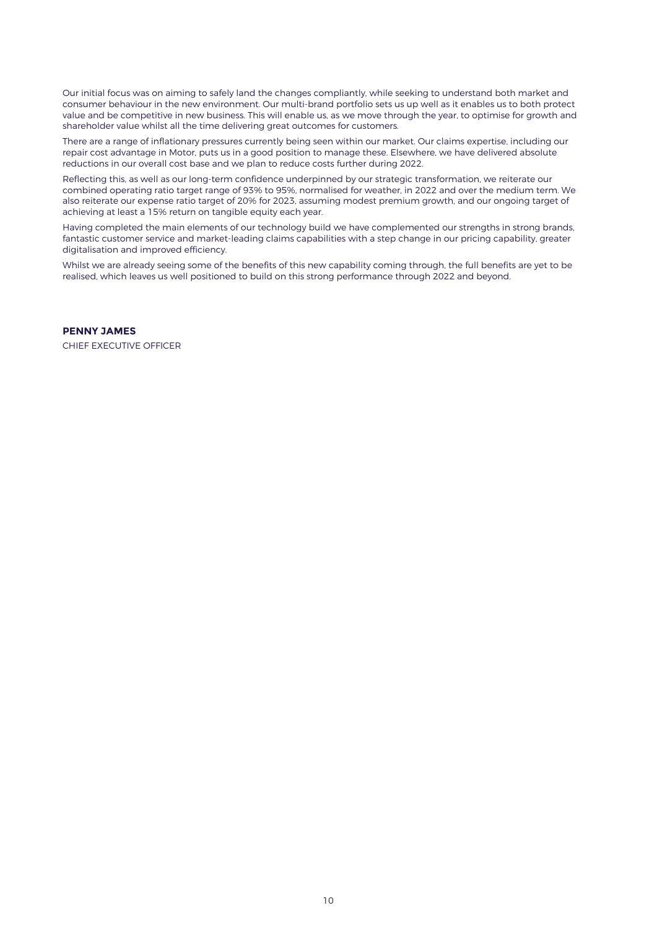Our initial focus was on aiming to safely land the changes compliantly, while seeking to understand both market and consumer behaviour in the new environment. Our multi-brand portfolio sets us up well as it enables us to both protect value and be competitive in new business. This will enable us, as we move through the year, to optimise for growth and shareholder value whilst all the time delivering great outcomes for customers.

There are a range of inflationary pressures currently being seen within our market. Our claims expertise, including our repair cost advantage in Motor, puts us in a good position to manage these. Elsewhere, we have delivered absolute reductions in our overall cost base and we plan to reduce costs further during 2022.

Reflecting this, as well as our long-term confidence underpinned by our strategic transformation, we reiterate our combined operating ratio target range of 93% to 95%, normalised for weather, in 2022 and over the medium term. We also reiterate our expense ratio target of 20% for 2023, assuming modest premium growth, and our ongoing target of achieving at least a 15% return on tangible equity each year.

Having completed the main elements of our technology build we have complemented our strengths in strong brands, fantastic customer service and market-leading claims capabilities with a step change in our pricing capability, greater digitalisation and improved efficiency.

Whilst we are already seeing some of the benefits of this new capability coming through, the full benefits are yet to be realised, which leaves us well positioned to build on this strong performance through 2022 and beyond.

#### **PENNY JAMES**

CHIEF EXECUTIVE OFFICER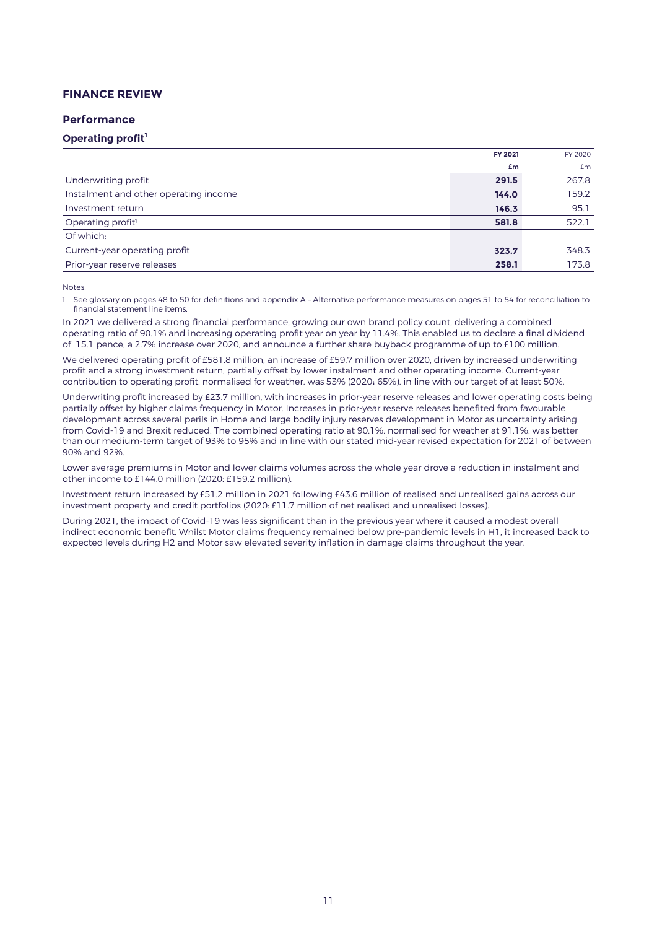# **FINANCE REVIEW**

### **Performance**

# **Operating profit<sup>1</sup>**

|                                       | FY 2021 | FY 2020 |
|---------------------------------------|---------|---------|
|                                       | £m      | Em      |
| Underwriting profit                   | 291.5   | 267.8   |
| Instalment and other operating income | 144.0   | 159.2   |
| Investment return                     | 146.3   | 95.1    |
| Operating profit <sup>1</sup>         | 581.8   | 522.1   |
| Of which:                             |         |         |
| Current-year operating profit         | 323.7   | 348.3   |
| Prior-year reserve releases           | 258.1   | 173.8   |

Notes:

1. See glossary on pages 48 to 50 for definitions and appendix A – Alternative performance measures on pages 51 to 54 for reconciliation to financial statement line items.

In 2021 we delivered a strong financial performance, growing our own brand policy count, delivering a combined operating ratio of 90.1% and increasing operating profit year on year by 11.4%. This enabled us to declare a final dividend of 15.1 pence, a 2.7% increase over 2020, and announce a further share buyback programme of up to £100 million.

We delivered operating profit of £581.8 million, an increase of £59.7 million over 2020, driven by increased underwriting profit and a strong investment return, partially offset by lower instalment and other operating income. Current-year contribution to operating profit, normalised for weather, was 53% (2020: 65%), in line with our target of at least 50%.

Underwriting profit increased by £23.7 million, with increases in prior-year reserve releases and lower operating costs being partially offset by higher claims frequency in Motor. Increases in prior-year reserve releases benefited from favourable development across several perils in Home and large bodily injury reserves development in Motor as uncertainty arising from Covid-19 and Brexit reduced. The combined operating ratio at 90.1%, normalised for weather at 91.1%, was better than our medium-term target of 93% to 95% and in line with our stated mid-year revised expectation for 2021 of between 90% and 92%.

Lower average premiums in Motor and lower claims volumes across the whole year drove a reduction in instalment and other income to £144.0 million (2020: £159.2 million).

Investment return increased by £51.2 million in 2021 following £43.6 million of realised and unrealised gains across our investment property and credit portfolios (2020: £11.7 million of net realised and unrealised losses).

During 2021, the impact of Covid-19 was less significant than in the previous year where it caused a modest overall indirect economic benefit. Whilst Motor claims frequency remained below pre-pandemic levels in H1, it increased back to expected levels during H2 and Motor saw elevated severity inflation in damage claims throughout the year.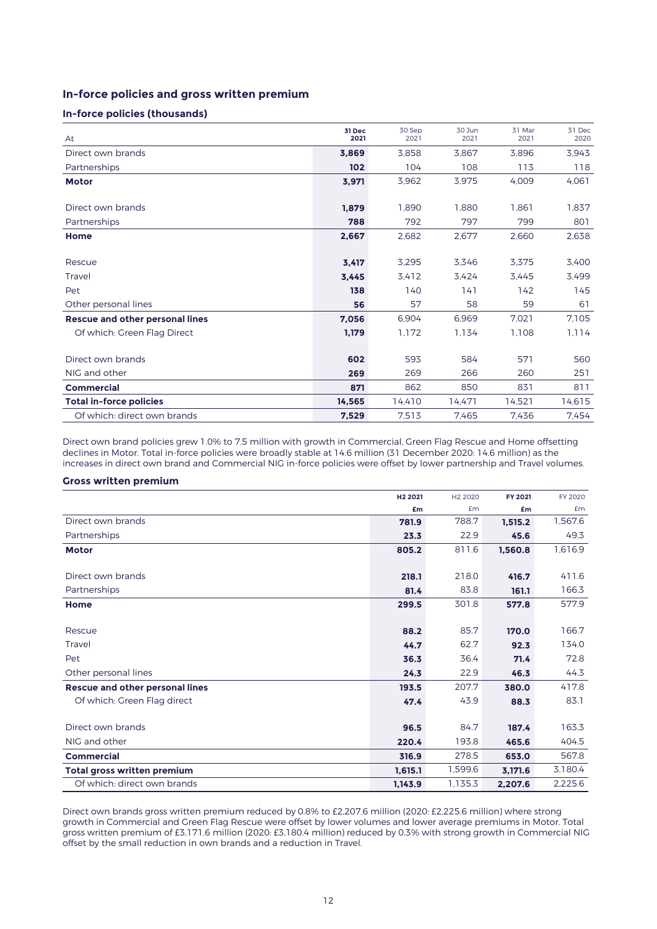# **In-force policies and gross written premium**

### **In-force policies (thousands)**

| At                                     | 31 Dec<br>2021 | 30 Sep<br>2021 | 30 Jun<br>2021 | 31 Mar<br>2021 | 31 Dec<br>2020 |
|----------------------------------------|----------------|----------------|----------------|----------------|----------------|
| Direct own brands                      | 3,869          | 3.858          | 3.867          | 3.896          | 3,943          |
| Partnerships                           | 102            | 104            | 108            | 113            | 118            |
| <b>Motor</b>                           | 3,971          | 3,962          | 3,975          | 4.009          | 4,061          |
|                                        |                |                |                |                |                |
| Direct own brands                      | 1,879          | 1.890          | 1.880          | 1,861          | 1,837          |
| Partnerships                           | 788            | 792            | 797            | 799            | 801            |
| Home                                   | 2,667          | 2,682          | 2,677          | 2,660          | 2,638          |
|                                        |                |                |                |                |                |
| Rescue                                 | 3,417          | 3,295          | 3,346          | 3,375          | 3,400          |
| Travel                                 | 3.445          | 3.412          | 3.424          | 3.445          | 3.499          |
| Pet                                    | 138            | 140            | 141            | 142            | 145            |
| Other personal lines                   | 56             | 57             | 58             | 59             | 61             |
| <b>Rescue and other personal lines</b> | 7,056          | 6.904          | 6,969          | 7,021          | 7,105          |
| Of which: Green Flag Direct            | 1,179          | 1,172          | 1.134          | 1,108          | 1.114          |
|                                        |                |                |                |                |                |
| Direct own brands                      | 602            | 593            | 584            | 571            | 560            |
| NIG and other                          | 269            | 269            | 266            | 260            | 251            |
| <b>Commercial</b>                      | 871            | 862            | 850            | 831            | 811            |
| <b>Total in-force policies</b>         | 14,565         | 14,410         | 14,471         | 14,521         | 14,615         |
| Of which: direct own brands            | 7,529          | 7.513          | 7,465          | 7.436          | 7.454          |

Direct own brand policies grew 1.0% to 7.5 million with growth in Commercial, Green Flag Rescue and Home offsetting declines in Motor. Total in-force policies were broadly stable at 14.6 million (31 December 2020: 14.6 million) as the increases in direct own brand and Commercial NIG in-force policies were offset by lower partnership and Travel volumes.

### **Gross written premium**

|                                        | H <sub>2</sub> 2021 | H <sub>2</sub> 2020 | FY 2021 | FY 2020 |
|----------------------------------------|---------------------|---------------------|---------|---------|
|                                        | £m                  | £m                  | £m      | £m      |
| Direct own brands                      | 781.9               | 788.7               | 1,515.2 | 1,567.6 |
| Partnerships                           | 23.3                | 22.9                | 45.6    | 49.3    |
| <b>Motor</b>                           | 805.2               | 811.6               | 1,560.8 | 1,616.9 |
|                                        |                     |                     |         |         |
| Direct own brands                      | 218.1               | 218.0               | 416.7   | 411.6   |
| Partnerships                           | 81.4                | 83.8                | 161.1   | 166.3   |
| Home                                   | 299.5               | 301.8               | 577.8   | 577.9   |
|                                        |                     |                     |         |         |
| Rescue                                 | 88.2                | 85.7                | 170.0   | 166.7   |
| Travel                                 | 44.7                | 62.7                | 92.3    | 134.0   |
| Pet                                    | 36.3                | 36.4                | 71.4    | 72.8    |
| Other personal lines                   | 24.3                | 22.9                | 46.3    | 44.3    |
| <b>Rescue and other personal lines</b> | 193.5               | 207.7               | 380.0   | 417.8   |
| Of which: Green Flag direct            | 47.4                | 43.9                | 88.3    | 83.1    |
|                                        |                     |                     |         |         |
| Direct own brands                      | 96.5                | 84.7                | 187.4   | 163.3   |
| NIG and other                          | 220.4               | 193.8               | 465.6   | 404.5   |
| <b>Commercial</b>                      | 316.9               | 278.5               | 653.0   | 567.8   |
| <b>Total gross written premium</b>     | 1,615.1             | 1,599.6             | 3,171.6 | 3,180.4 |
| Of which: direct own brands            | 1,143.9             | 1,135.3             | 2,207.6 | 2,225.6 |

Direct own brands gross written premium reduced by 0.8% to £2,207.6 million (2020: £2,225.6 million) where strong growth in Commercial and Green Flag Rescue were offset by lower volumes and lower average premiums in Motor. Total gross written premium of £3,171.6 million (2020: £3,180.4 million) reduced by 0.3% with strong growth in Commercial NIG offset by the small reduction in own brands and a reduction in Travel.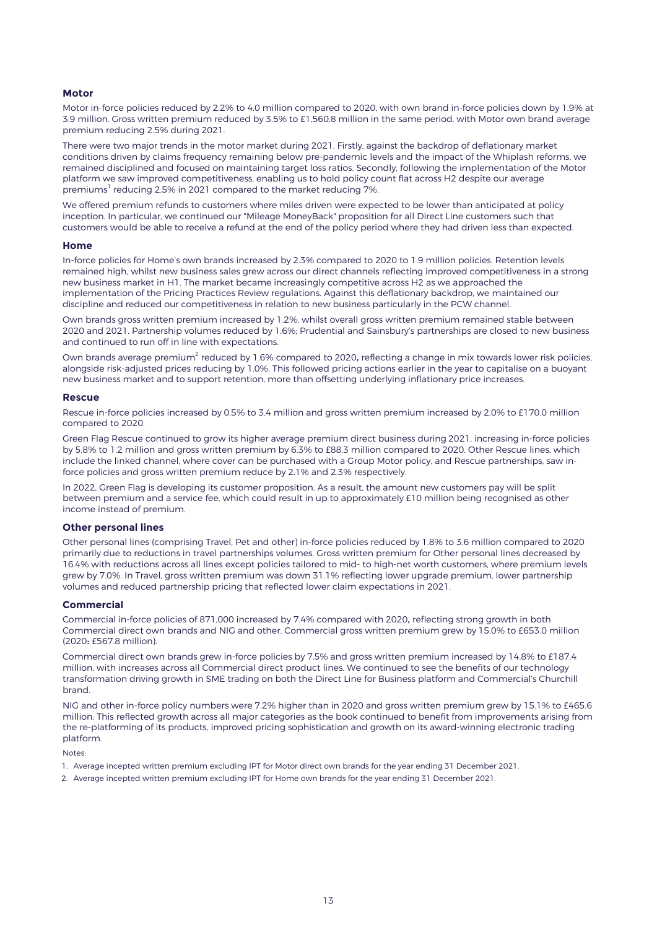#### **Motor**

Motor in-force policies reduced by 2.2% to 4.0 million compared to 2020, with own brand in-force policies down by 1.9% at 3.9 million. Gross written premium reduced by 3.5% to £1,560.8 million in the same period, with Motor own brand average premium reducing 2.5% during 2021.

There were two major trends in the motor market during 2021. Firstly, against the backdrop of deflationary market conditions driven by claims frequency remaining below pre-pandemic levels and the impact of the Whiplash reforms, we remained disciplined and focused on maintaining target loss ratios. Secondly, following the implementation of the Motor platform we saw improved competitiveness, enabling us to hold policy count flat across H2 despite our average premiums<sup>1</sup> reducing 2.5% in 2021 compared to the market reducing 7%.

We offered premium refunds to customers where miles driven were expected to be lower than anticipated at policy inception. In particular, we continued our "Mileage MoneyBack" proposition for all Direct Line customers such that customers would be able to receive a refund at the end of the policy period where they had driven less than expected.

#### **Home**

In-force policies for Home's own brands increased by 2.3% compared to 2020 to 1.9 million policies. Retention levels remained high, whilst new business sales grew across our direct channels reflecting improved competitiveness in a strong new business market in H1. The market became increasingly competitive across H2 as we approached the implementation of the Pricing Practices Review regulations. Against this deflationary backdrop, we maintained our discipline and reduced our competitiveness in relation to new business particularly in the PCW channel.

Own brands gross written premium increased by 1.2%, whilst overall gross written premium remained stable between 2020 and 2021. Partnership volumes reduced by 1.6%; Prudential and Sainsbury's partnerships are closed to new business and continued to run off in line with expectations.

Own brands average premium $^2$  reduced by 1.6% compared to 2020, reflecting a change in mix towards lower risk policies, alongside risk-adjusted prices reducing by 1.0%. This followed pricing actions earlier in the year to capitalise on a buoyant new business market and to support retention, more than offsetting underlying inflationary price increases.

#### **Rescue**

Rescue in-force policies increased by 0.5% to 3.4 million and gross written premium increased by 2.0% to £170.0 million compared to 2020.

Green Flag Rescue continued to grow its higher average premium direct business during 2021, increasing in-force policies by 5.8% to 1.2 million and gross written premium by 6.3% to £88.3 million compared to 2020. Other Rescue lines, which include the linked channel, where cover can be purchased with a Group Motor policy, and Rescue partnerships, saw inforce policies and gross written premium reduce by 2.1% and 2.3% respectively.

In 2022, Green Flag is developing its customer proposition. As a result, the amount new customers pay will be split between premium and a service fee, which could result in up to approximately £10 million being recognised as other income instead of premium.

### **Other personal lines**

Other personal lines (comprising Travel, Pet and other) in-force policies reduced by 1.8% to 3.6 million compared to 2020 primarily due to reductions in travel partnerships volumes. Gross written premium for Other personal lines decreased by 16.4% with reductions across all lines except policies tailored to mid- to high-net worth customers, where premium levels grew by 7.0%. In Travel, gross written premium was down 31.1% reflecting lower upgrade premium, lower partnership volumes and reduced partnership pricing that reflected lower claim expectations in 2021.

#### **Commercial**

Commercial in-force policies of 871,000 increased by 7.4% compared with 2020, reflecting strong growth in both Commercial direct own brands and NIG and other. Commercial gross written premium grew by 15.0% to £653.0 million (2020: £567.8 million).

Commercial direct own brands grew in-force policies by 7.5% and gross written premium increased by 14.8% to £187.4 million, with increases across all Commercial direct product lines. We continued to see the benefits of our technology transformation driving growth in SME trading on both the Direct Line for Business platform and Commercial's Churchill brand.

NIG and other in-force policy numbers were 7.2% higher than in 2020 and gross written premium grew by 15.1% to £465.6 million. This reflected growth across all major categories as the book continued to benefit from improvements arising from the re-platforming of its products, improved pricing sophistication and growth on its award-winning electronic trading platform.

Notes:

- 1. Average incepted written premium excluding IPT for Motor direct own brands for the year ending 31 December 2021.
- 2. Average incepted written premium excluding IPT for Home own brands for the year ending 31 December 2021.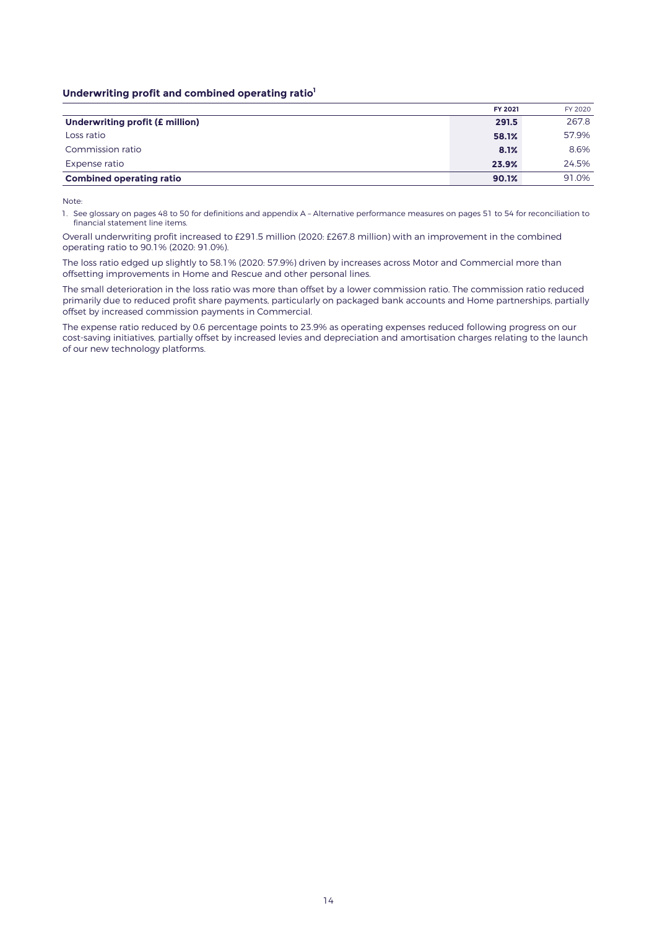### **Underwriting profit and combined operating ratio<sup>1</sup>**

|                                 | FY 2021 | FY 2020 |
|---------------------------------|---------|---------|
| Underwriting profit (£ million) | 291.5   | 267.8   |
| Loss ratio                      | 58.1%   | 57.9%   |
| Commission ratio                | 8.1%    | 8.6%    |
| Expense ratio                   | 23.9%   | 24.5%   |
| <b>Combined operating ratio</b> | 90.1%   | 91.0%   |

Note:

1. See glossary on pages 48 to 50 for definitions and appendix A – Alternative performance measures on pages 51 to 54 for reconciliation to financial statement line items.

Overall underwriting profit increased to £291.5 million (2020: £267.8 million) with an improvement in the combined operating ratio to 90.1% (2020: 91.0%).

The loss ratio edged up slightly to 58.1% (2020: 57.9%) driven by increases across Motor and Commercial more than offsetting improvements in Home and Rescue and other personal lines.

The small deterioration in the loss ratio was more than offset by a lower commission ratio. The commission ratio reduced primarily due to reduced profit share payments, particularly on packaged bank accounts and Home partnerships, partially offset by increased commission payments in Commercial.

The expense ratio reduced by 0.6 percentage points to 23.9% as operating expenses reduced following progress on our cost-saving initiatives, partially offset by increased levies and depreciation and amortisation charges relating to the launch of our new technology platforms.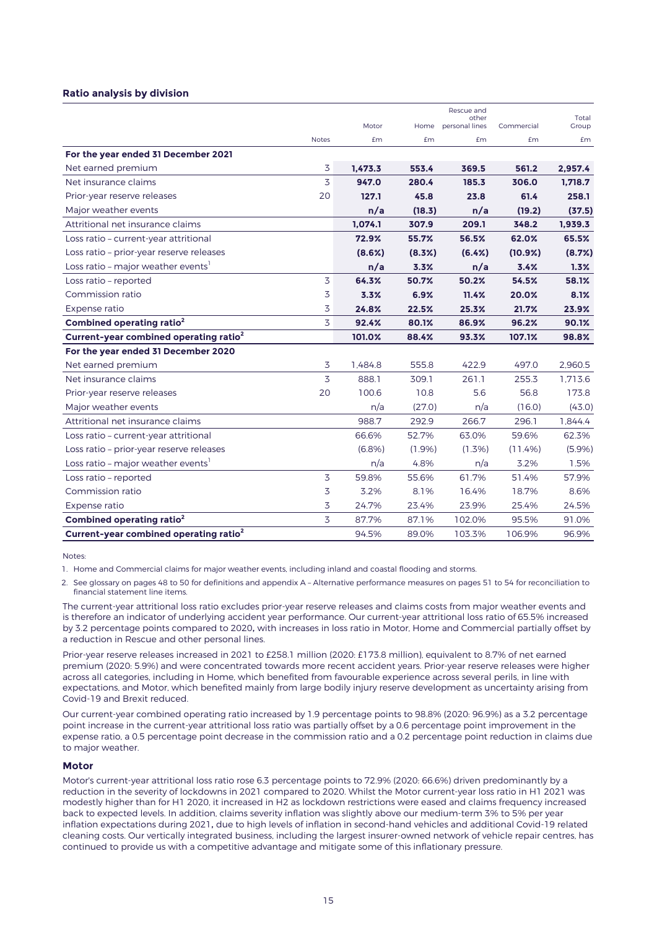#### **Ratio analysis by division**

|                                                    |                |         |        | Rescue and              |            |                |
|----------------------------------------------------|----------------|---------|--------|-------------------------|------------|----------------|
|                                                    |                | Motor   | Home   | other<br>personal lines | Commercial | Total<br>Group |
|                                                    | <b>Notes</b>   | £m      | £m     | £m                      | £m         | £m             |
| For the year ended 31 December 2021                |                |         |        |                         |            |                |
| Net earned premium                                 | 3              | 1.473.3 | 553.4  | 369.5                   | 561.2      | 2,957.4        |
| Net insurance claims                               | 3              | 947.0   | 280.4  | 185.3                   | 306.0      | 1,718.7        |
| Prior-year reserve releases                        | 20             | 127.1   | 45.8   | 23.8                    | 61.4       | 258.1          |
| Major weather events                               |                | n/a     | (18.3) | n/a                     | (19.2)     | (37.5)         |
| Attritional net insurance claims                   |                | 1,074.1 | 307.9  | 209.1                   | 348.2      | 1,939.3        |
| Loss ratio - current-year attritional              |                | 72.9%   | 55.7%  | 56.5%                   | 62.0%      | 65.5%          |
| Loss ratio - prior-year reserve releases           |                | (8.6%)  | (8.3%) | (6.4%)                  | (10.9%)    | (8.7%)         |
| Loss ratio - major weather events'                 |                | n/a     | 3.3%   | n/a                     | 3.4%       | 1.3%           |
| Loss ratio - reported                              | 3              | 64.3%   | 50.7%  | 50.2%                   | 54.5%      | 58.1%          |
| Commission ratio                                   | 3              | 3.3%    | 6.9%   | 11.4%                   | 20.0%      | 8.1%           |
| Expense ratio                                      | 3              | 24.8%   | 22.5%  | 25.3%                   | 21.7%      | 23.9%          |
| Combined operating ratio <sup>2</sup>              | 3              | 92.4%   | 80.1%  | 86.9%                   | 96.2%      | 90.1%          |
| Current-year combined operating ratio <sup>2</sup> |                | 101.0%  | 88.4%  | 93.3%                   | 107.1%     | 98.8%          |
| For the year ended 31 December 2020                |                |         |        |                         |            |                |
| Net earned premium                                 | 3              | 1.484.8 | 555.8  | 422.9                   | 497.0      | 2.960.5        |
| Net insurance claims                               | 3              | 888.1   | 309.1  | 261.1                   | 255.3      | 1.713.6        |
| Prior-year reserve releases                        | 20             | 100.6   | 10.8   | 5.6                     | 56.8       | 173.8          |
| Major weather events                               |                | n/a     | (27.0) | n/a                     | (16.0)     | (43.0)         |
| Attritional net insurance claims                   |                | 988.7   | 292.9  | 266.7                   | 296.1      | 1.844.4        |
| Loss ratio - current-year attritional              |                | 66.6%   | 52.7%  | 63.0%                   | 59.6%      | 62.3%          |
| Loss ratio - prior-year reserve releases           |                | (6.8%)  | (1.9%) | $(1.3\%)$               | (11.4%)    | (5.9%)         |
| Loss ratio - major weather events <sup>1</sup>     |                | n/a     | 4.8%   | n/a                     | 3.2%       | 1.5%           |
| Loss ratio - reported                              | 3              | 59.8%   | 55.6%  | 61.7%                   | 51.4%      | 57.9%          |
| Commission ratio                                   | 3              | 3.2%    | 8.1%   | 16.4%                   | 18.7%      | 8.6%           |
| Expense ratio                                      | 3              | 24.7%   | 23.4%  | 23.9%                   | 25.4%      | 24.5%          |
| Combined operating ratio <sup>2</sup>              | $\overline{5}$ | 87.7%   | 87.1%  | 102.0%                  | 95.5%      | 91.0%          |
| Current-year combined operating ratio <sup>2</sup> |                | 94.5%   | 89.0%  | 103.3%                  | 106.9%     | 96.9%          |

Notes:

1. Home and Commercial claims for major weather events, including inland and coastal flooding and storms.

2. See glossary on pages 48 to 50 for definitions and appendix A – Alternative performance measures on pages 51 to 54 for reconciliation to financial statement line items.

The current-year attritional loss ratio excludes prior-year reserve releases and claims costs from major weather events and is therefore an indicator of underlying accident year performance. Our current-year attritional loss ratio of 65.5% increased by 3.2 percentage points compared to 2020, with increases in loss ratio in Motor, Home and Commercial partially offset by a reduction in Rescue and other personal lines.

Prior-year reserve releases increased in 2021 to £258.1 million (2020: £173.8 million), equivalent to 8.7% of net earned premium (2020: 5.9%) and were concentrated towards more recent accident years. Prior-year reserve releases were higher across all categories, including in Home, which benefited from favourable experience across several perils, in line with expectations, and Motor, which benefited mainly from large bodily injury reserve development as uncertainty arising from Covid-19 and Brexit reduced.

Our current-year combined operating ratio increased by 1.9 percentage points to 98.8% (2020: 96.9%) as a 3.2 percentage point increase in the current-year attritional loss ratio was partially offset by a 0.6 percentage point improvement in the expense ratio, a 0.5 percentage point decrease in the commission ratio and a 0.2 percentage point reduction in claims due to major weather.

#### **Motor**

Motor's current-year attritional loss ratio rose 6.3 percentage points to 72.9% (2020: 66.6%) driven predominantly by a reduction in the severity of lockdowns in 2021 compared to 2020. Whilst the Motor current-year loss ratio in H1 2021 was modestly higher than for H1 2020, it increased in H2 as lockdown restrictions were eased and claims frequency increased back to expected levels. In addition, claims severity inflation was slightly above our medium-term 3% to 5% per year inflation expectations during 2021, due to high levels of inflation in second-hand vehicles and additional Covid-19 related cleaning costs. Our vertically integrated business, including the largest insurer-owned network of vehicle repair centres, has continued to provide us with a competitive advantage and mitigate some of this inflationary pressure.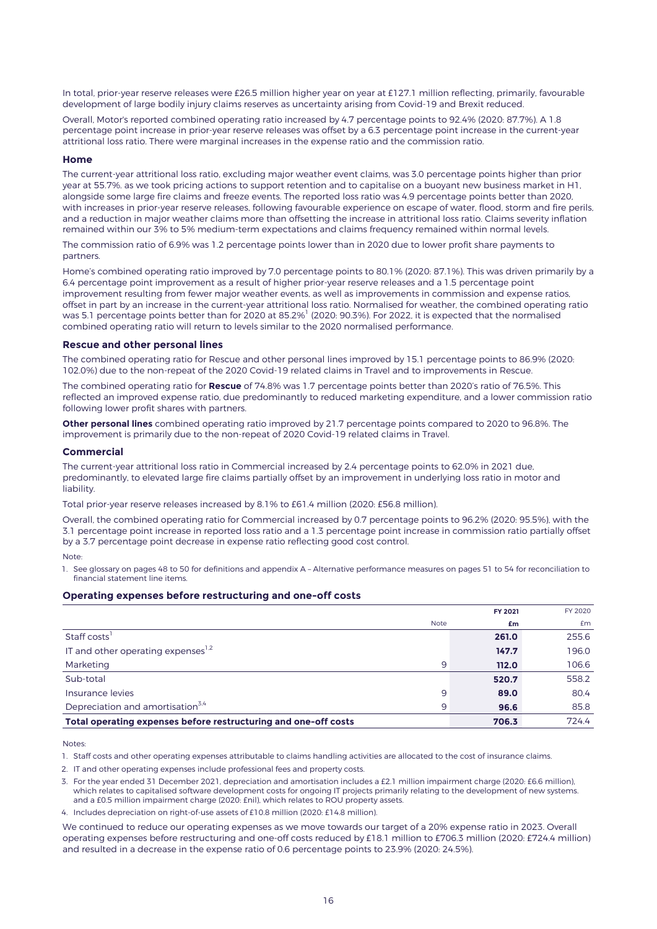In total, prior-year reserve releases were £26.5 million higher year on year at £127.1 million reflecting, primarily, favourable development of large bodily injury claims reserves as uncertainty arising from Covid-19 and Brexit reduced.

Overall, Motor's reported combined operating ratio increased by 4.7 percentage points to 92.4% (2020: 87.7%). A 1.8 percentage point increase in prior-year reserve releases was offset by a 6.3 percentage point increase in the current-year attritional loss ratio. There were marginal increases in the expense ratio and the commission ratio.

#### **Home**

The current-year attritional loss ratio, excluding major weather event claims, was 3.0 percentage points higher than prior year at 55.7%. as we took pricing actions to support retention and to capitalise on a buoyant new business market in H1, alongside some large fire claims and freeze events. The reported loss ratio was 4.9 percentage points better than 2020, with increases in prior-year reserve releases, following favourable experience on escape of water, flood, storm and fire perils, and a reduction in major weather claims more than offsetting the increase in attritional loss ratio. Claims severity inflation remained within our 3% to 5% medium-term expectations and claims frequency remained within normal levels.

The commission ratio of 6.9% was 1.2 percentage points lower than in 2020 due to lower profit share payments to partners.

Home's combined operating ratio improved by 7.0 percentage points to 80.1% (2020: 87.1%). This was driven primarily by a 6.4 percentage point improvement as a result of higher prior-year reserve releases and a 1.5 percentage point improvement resulting from fewer major weather events, as well as improvements in commission and expense ratios, offset in part by an increase in the current-year attritional loss ratio. Normalised for weather, the combined operating ratio was 5.1 percentage points better than for 2020 at 85.2% $^{\rm l}$  (2020: 90.3%). For 2022, it is expected that the normalised combined operating ratio will return to levels similar to the 2020 normalised performance.

#### **Rescue and other personal lines**

The combined operating ratio for Rescue and other personal lines improved by 15.1 percentage points to 86.9% (2020: 102.0%) due to the non-repeat of the 2020 Covid-19 related claims in Travel and to improvements in Rescue.

The combined operating ratio for **Rescue** of 74.8% was 1.7 percentage points better than 2020's ratio of 76.5%. This reflected an improved expense ratio, due predominantly to reduced marketing expenditure, and a lower commission ratio following lower profit shares with partners.

**Other personal lines** combined operating ratio improved by 21.7 percentage points compared to 2020 to 96.8%. The improvement is primarily due to the non-repeat of 2020 Covid-19 related claims in Travel.

#### **Commercial**

The current-year attritional loss ratio in Commercial increased by 2.4 percentage points to 62.0% in 2021 due, predominantly, to elevated large fire claims partially offset by an improvement in underlying loss ratio in motor and liability

Total prior-year reserve releases increased by 8.1% to £61.4 million (2020: £56.8 million).

Overall, the combined operating ratio for Commercial increased by 0.7 percentage points to 96.2% (2020: 95.5%), with the 3.1 percentage point increase in reported loss ratio and a 1.3 percentage point increase in commission ratio partially offset by a 3.7 percentage point decrease in expense ratio reflecting good cost control.

#### Note:

1. See glossary on pages 48 to 50 for definitions and appendix A – Alternative performance measures on pages 51 to 54 for reconciliation to financial statement line items.

#### **Operating expenses before restructuring and one-off costs**

|                                                                 |             | FY 2021 | FY 2020 |
|-----------------------------------------------------------------|-------------|---------|---------|
|                                                                 | <b>Note</b> | £m      | Em      |
| Staff costs                                                     |             | 261.0   | 255.6   |
| IT and other operating expenses <sup>1.2</sup>                  |             | 147.7   | 196.0   |
| Marketing                                                       | 9           | 112.0   | 106.6   |
| Sub-total                                                       |             | 520.7   | 558.2   |
| Insurance levies                                                | 9           | 89.0    | 80.4    |
| Depreciation and amortisation <sup>3,4</sup>                    | 9           | 96.6    | 85.8    |
| Total operating expenses before restructuring and one-off costs |             | 706.3   | 724.4   |

Notes:

1. Staff costs and other operating expenses attributable to claims handling activities are allocated to the cost of insurance claims.

2. IT and other operating expenses include professional fees and property costs.

3. For the year ended 31 December 2021, depreciation and amortisation includes a £2.1 million impairment charge (2020: £6.6 million), which relates to capitalised software development costs for ongoing IT projects primarily relating to the development of new systems. and a £0.5 million impairment charge (2020: £nil), which relates to ROU property assets.

4. Includes depreciation on right-of-use assets of £10.8 million (2020: £14.8 million).

We continued to reduce our operating expenses as we move towards our target of a 20% expense ratio in 2023. Overall operating expenses before restructuring and one-off costs reduced by £18.1 million to £706.3 million (2020: £724.4 million) and resulted in a decrease in the expense ratio of 0.6 percentage points to 23.9% (2020: 24.5%).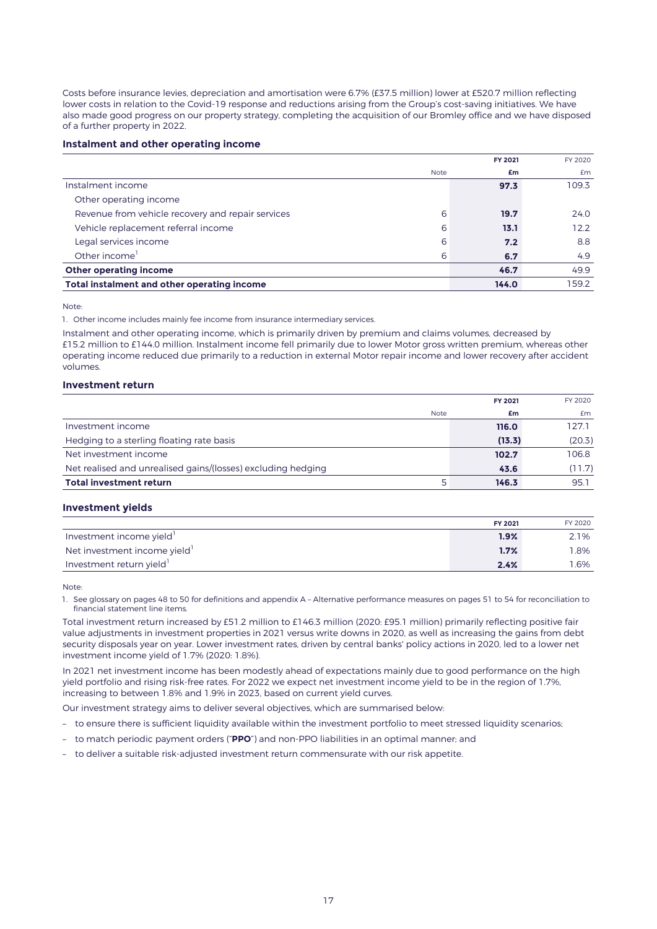Costs before insurance levies, depreciation and amortisation were 6.7% (£37.5 million) lower at £520.7 million reflecting lower costs in relation to the Covid-19 response and reductions arising from the Group's cost-saving initiatives. We have also made good progress on our property strategy, completing the acquisition of our Bromley office and we have disposed of a further property in 2022.

#### **Instalment and other operating income**

|                                                   |      | FY 2021 | FY 2020 |
|---------------------------------------------------|------|---------|---------|
|                                                   | Note | £m      | Em      |
| Instalment income                                 |      | 97.3    | 109.3   |
| Other operating income                            |      |         |         |
| Revenue from vehicle recovery and repair services | 6    | 19.7    | 24.0    |
| Vehicle replacement referral income               | 6    | 13.1    | 12.2    |
| Legal services income                             | 6    | 7.2     | 8.8     |
| Other income <sup>1</sup>                         | 6    | 6.7     | 4.9     |
| Other operating income                            |      | 46.7    | 49.9    |
| Total instalment and other operating income       |      | 144.0   | 159.2   |

Note:

1. Other income includes mainly fee income from insurance intermediary services.

Instalment and other operating income, which is primarily driven by premium and claims volumes, decreased by £15.2 million to £144.0 million. Instalment income fell primarily due to lower Motor gross written premium, whereas other operating income reduced due primarily to a reduction in external Motor repair income and lower recovery after accident volumes.

### **Investment return**

|                                                              | <b>FY 2021</b> | FY 2020 |
|--------------------------------------------------------------|----------------|---------|
| <b>Note</b>                                                  | £m             | £m      |
| Investment income                                            | 116.0          | 127.1   |
| Hedging to a sterling floating rate basis                    | (13.3)         | (20.3)  |
| Net investment income                                        | 102.7          | 106.8   |
| Net realised and unrealised gains/(losses) excluding hedging | 43.6           | (11.7)  |
| <b>Total investment return</b>                               | 146.3          | 95.1    |

#### **Investment yields**

|                             | FY 2021 | FY 2020 |
|-----------------------------|---------|---------|
| Investment income yield     | 1.9%    | 2.1%    |
| Net investment income yield | 1.7%    | 1.8%    |
| Investment return yield     | 2.4%    | l.6%    |

Note:

1. See glossary on pages 48 to 50 for definitions and appendix A – Alternative performance measures on pages 51 to 54 for reconciliation to financial statement line items.

Total investment return increased by £51.2 million to £146.3 million (2020: £95.1 million) primarily reflecting positive fair value adjustments in investment properties in 2021 versus write downs in 2020, as well as increasing the gains from debt security disposals year on year. Lower investment rates, driven by central banks' policy actions in 2020, led to a lower net investment income yield of 1.7% (2020: 1.8%).

In 2021 net investment income has been modestly ahead of expectations mainly due to good performance on the high yield portfolio and rising risk-free rates. For 2022 we expect net investment income yield to be in the region of 1.7%, increasing to between 1.8% and 1.9% in 2023, based on current yield curves.

Our investment strategy aims to deliver several objectives, which are summarised below:

- to ensure there is sufficient liquidity available within the investment portfolio to meet stressed liquidity scenarios;
- to match periodic payment orders ("**PPO**") and non-PPO liabilities in an optimal manner; and
- to deliver a suitable risk-adjusted investment return commensurate with our risk appetite.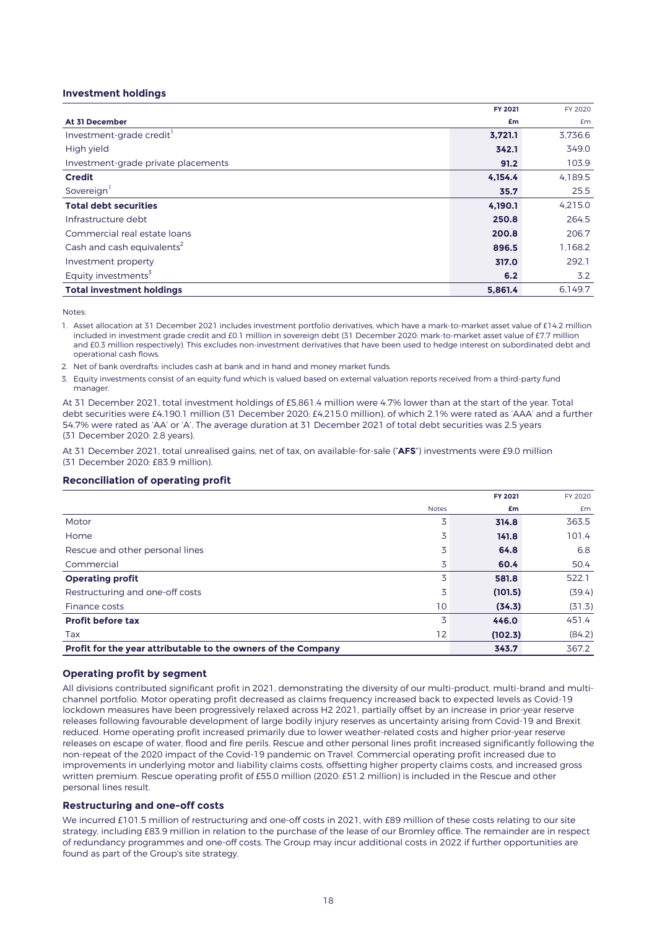### **Investment holdings**

|                                        | FY 2021 | FY 2020 |
|----------------------------------------|---------|---------|
| At 31 December                         | £m      | £m      |
| Investment-grade credit                | 3,721.1 | 3,736.6 |
| High yield                             | 342.1   | 349.0   |
| Investment-grade private placements    | 91.2    | 103.9   |
| <b>Credit</b>                          | 4,154.4 | 4,189.5 |
| Sovereign <sup>1</sup>                 | 35.7    | 25.5    |
| <b>Total debt securities</b>           | 4,190.1 | 4,215.0 |
| Infrastructure debt                    | 250.8   | 264.5   |
| Commercial real estate loans           | 200.8   | 206.7   |
| Cash and cash equivalents <sup>2</sup> | 896.5   | 1,168.2 |
| Investment property                    | 317.0   | 292.1   |
| Equity investments <sup>3</sup>        | 6.2     | 3.2     |
| <b>Total investment holdings</b>       | 5,861.4 | 6,149.7 |

Notes:

1. Asset allocation at 31 December 2021 includes investment portfolio derivatives, which have a mark-to-market asset value of £14.2 million included in investment grade credit and £0.1 million in sovereign debt (31 December 2020: mark-to-market asset value of £7.7 million and £0.3 million respectively). This excludes non-investment derivatives that have been used to hedge interest on subordinated debt and operational cash flows.

2. Net of bank overdrafts: includes cash at bank and in hand and money market funds.

3. Equity investments consist of an equity fund which is valued based on external valuation reports received from a third-party fund manager.

At 31 December 2021, total investment holdings of £5,861.4 million were 4.7% lower than at the start of the year. Total debt securities were £4,190.1 million (31 December 2020: £4,215.0 million), of which 2.1% were rated as 'AAA' and a further 54.7% were rated as 'AA' or 'A'. The average duration at 31 December 2021 of total debt securities was 2.5 years (31 December 2020: 2.8 years).

At 31 December 2021, total unrealised gains, net of tax, on available-for-sale ("**AFS**") investments were £9.0 million (31 December 2020: £83.9 million).

### **Reconciliation of operating profit**

|                                                               |              | FY 2021 | FY 2020 |
|---------------------------------------------------------------|--------------|---------|---------|
|                                                               | <b>Notes</b> | £m      | £m      |
| Motor                                                         | 3            | 314.8   | 363.5   |
| Home                                                          | 3            | 141.8   | 101.4   |
| Rescue and other personal lines                               | 3            | 64.8    | 6.8     |
| Commercial                                                    | 3            | 60.4    | 50.4    |
| <b>Operating profit</b>                                       | 3            | 581.8   | 522.1   |
| Restructuring and one-off costs                               | 3            | (101.5) | (39.4)  |
| Finance costs                                                 | 10           | (34.3)  | (31.3)  |
| <b>Profit before tax</b>                                      | 3            | 446.0   | 451.4   |
| Tax                                                           | 12           | (102.3) | (84.2)  |
| Profit for the year attributable to the owners of the Company |              | 343.7   | 367.2   |

#### **Operating profit by segment**

All divisions contributed significant profit in 2021, demonstrating the diversity of our multi-product, multi-brand and multichannel portfolio. Motor operating profit decreased as claims frequency increased back to expected levels as Covid-19 lockdown measures have been progressively relaxed across H2 2021, partially offset by an increase in prior-year reserve releases following favourable development of large bodily injury reserves as uncertainty arising from Covid-19 and Brexit reduced. Home operating profit increased primarily due to lower weather-related costs and higher prior-year reserve releases on escape of water, flood and fire perils. Rescue and other personal lines profit increased significantly following the non-repeat of the 2020 impact of the Covid-19 pandemic on Travel. Commercial operating profit increased due to improvements in underlying motor and liability claims costs, offsetting higher property claims costs, and increased gross written premium. Rescue operating profit of £55.0 million (2020: £51.2 million) is included in the Rescue and other personal lines result.

#### **Restructuring and one-off costs**

We incurred £101.5 million of restructuring and one-off costs in 2021, with £89 million of these costs relating to our site strategy, including £83.9 million in relation to the purchase of the lease of our Bromley office. The remainder are in respect of redundancy programmes and one-off costs. The Group may incur additional costs in 2022 if further opportunities are found as part of the Group's site strategy.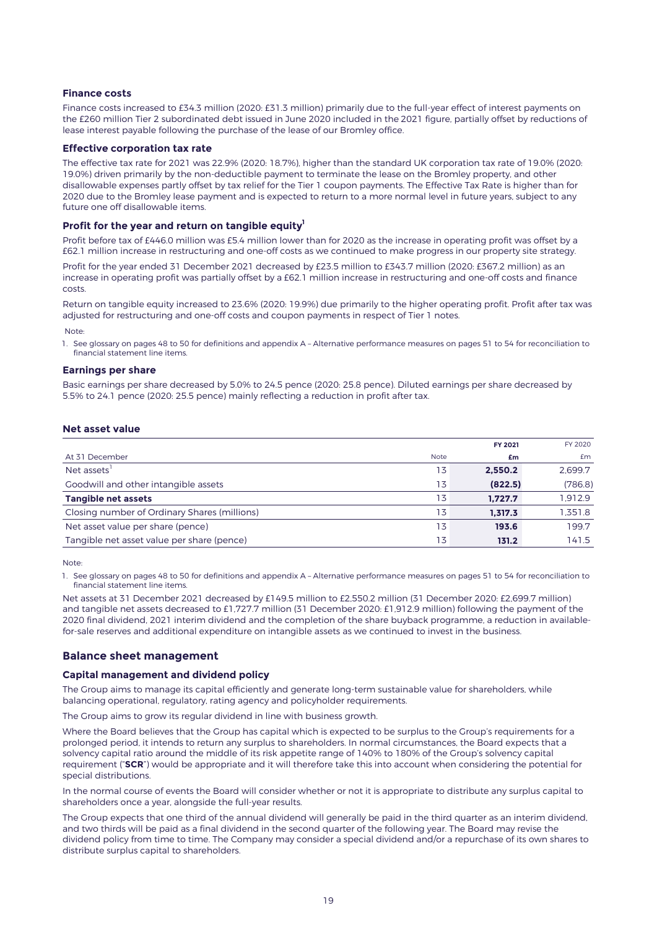### **Finance costs**

Finance costs increased to £34.3 million (2020: £31.3 million) primarily due to the full-year effect of interest payments on the £260 million Tier 2 subordinated debt issued in June 2020 included in the 2021 figure, partially offset by reductions of lease interest payable following the purchase of the lease of our Bromley office.

#### **Effective corporation tax rate**

The effective tax rate for 2021 was 22.9% (2020: 18.7%), higher than the standard UK corporation tax rate of 19.0% (2020: 19.0%) driven primarily by the non-deductible payment to terminate the lease on the Bromley property, and other disallowable expenses partly offset by tax relief for the Tier 1 coupon payments. The Effective Tax Rate is higher than for 2020 due to the Bromley lease payment and is expected to return to a more normal level in future years, subject to any future one off disallowable items.

#### **Profit for the year and return on tangible equity<sup>1</sup>**

Profit before tax of £446.0 million was £5.4 million lower than for 2020 as the increase in operating profit was offset by a £62.1 million increase in restructuring and one-off costs as we continued to make progress in our property site strategy.

Profit for the year ended 31 December 2021 decreased by £23.5 million to £343.7 million (2020: £367.2 million) as an increase in operating profit was partially offset by a £62.1 million increase in restructuring and one-off costs and finance costs.

Return on tangible equity increased to 23.6% (2020: 19.9%) due primarily to the higher operating profit. Profit after tax was adjusted for restructuring and one-off costs and coupon payments in respect of Tier 1 notes.

Note:

1. See glossary on pages 48 to 50 for definitions and appendix A – Alternative performance measures on pages 51 to 54 for reconciliation to financial statement line items.

#### **Earnings per share**

Basic earnings per share decreased by 5.0% to 24.5 pence (2020: 25.8 pence). Diluted earnings per share decreased by 5.5% to 24.1 pence (2020: 25.5 pence) mainly reflecting a reduction in profit after tax.

### **Net asset value**

|                                              |             | <b>FY 2021</b> | FY 2020 |
|----------------------------------------------|-------------|----------------|---------|
| At 31 December                               | <b>Note</b> | £m             | £m      |
| Net assets <sup>1</sup>                      | 13          | 2.550.2        | 2.699.7 |
| Goodwill and other intangible assets         | 13          | (822.5)        | (786.8) |
| Tangible net assets                          | 13          | 1.727.7        | 1.912.9 |
| Closing number of Ordinary Shares (millions) | 13          | 1.317.3        | 1.351.8 |
| Net asset value per share (pence)            | 13          | 193.6          | 199.7   |
| Tangible net asset value per share (pence)   | 13          | 131.2          | 141.5   |

Note:

1. See glossary on pages 48 to 50 for definitions and appendix A – Alternative performance measures on pages 51 to 54 for reconciliation to financial statement line items.

Net assets at 31 December 2021 decreased by £149.5 million to £2,550.2 million (31 December 2020: £2,699.7 million) and tangible net assets decreased to £1,727.7 million (31 December 2020: £1,912.9 million) following the payment of the 2020 final dividend, 2021 interim dividend and the completion of the share buyback programme, a reduction in availablefor-sale reserves and additional expenditure on intangible assets as we continued to invest in the business.

### **Balance sheet management**

#### **Capital management and dividend policy**

The Group aims to manage its capital efficiently and generate long-term sustainable value for shareholders, while balancing operational, regulatory, rating agency and policyholder requirements.

The Group aims to grow its regular dividend in line with business growth.

Where the Board believes that the Group has capital which is expected to be surplus to the Group's requirements for a prolonged period, it intends to return any surplus to shareholders. In normal circumstances, the Board expects that a solvency capital ratio around the middle of its risk appetite range of 140% to 180% of the Group's solvency capital requirement ("**SCR**") would be appropriate and it will therefore take this into account when considering the potential for special distributions.

In the normal course of events the Board will consider whether or not it is appropriate to distribute any surplus capital to shareholders once a year, alongside the full-year results.

The Group expects that one third of the annual dividend will generally be paid in the third quarter as an interim dividend, and two thirds will be paid as a final dividend in the second quarter of the following year. The Board may revise the dividend policy from time to time. The Company may consider a special dividend and/or a repurchase of its own shares to distribute surplus capital to shareholders.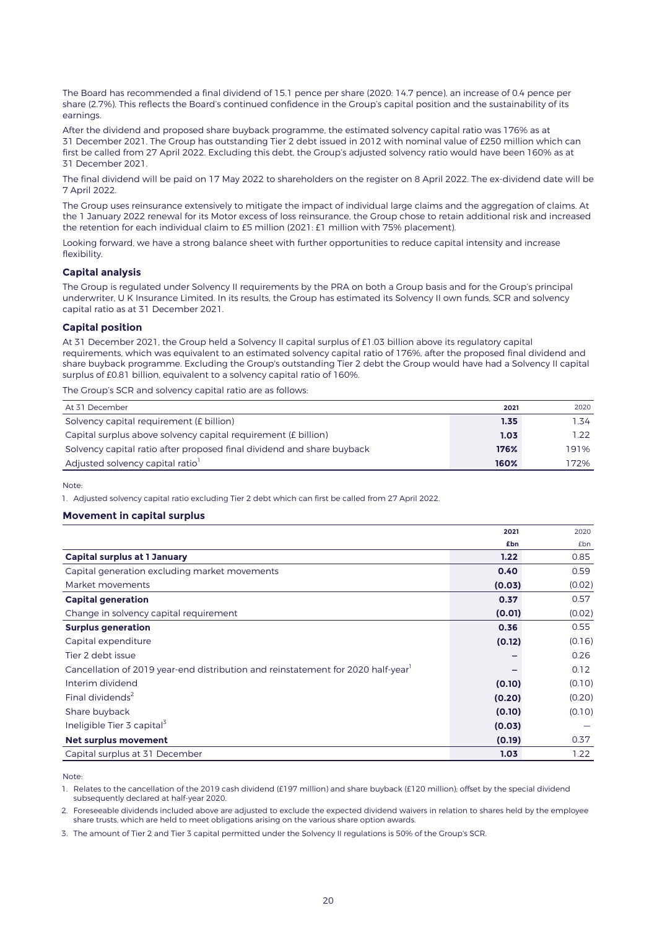The Board has recommended a final dividend of 15.1 pence per share (2020: 14.7 pence), an increase of 0.4 pence per share (2.7%). This reflects the Board's continued confidence in the Group's capital position and the sustainability of its earnings.

After the dividend and proposed share buyback programme, the estimated solvency capital ratio was 176% as at 31 December 2021. The Group has outstanding Tier 2 debt issued in 2012 with nominal value of £250 million which can first be called from 27 April 2022. Excluding this debt, the Group's adjusted solvency ratio would have been 160% as at 31 December 2021.

The final dividend will be paid on 17 May 2022 to shareholders on the register on 8 April 2022. The ex-dividend date will be 7 April 2022.

The Group uses reinsurance extensively to mitigate the impact of individual large claims and the aggregation of claims. At the 1 January 2022 renewal for its Motor excess of loss reinsurance, the Group chose to retain additional risk and increased the retention for each individual claim to £5 million (2021: £1 million with 75% placement).

Looking forward, we have a strong balance sheet with further opportunities to reduce capital intensity and increase flexibility.

#### **Capital analysis**

The Group is regulated under Solvency II requirements by the PRA on both a Group basis and for the Group's principal underwriter, U K Insurance Limited. In its results, the Group has estimated its Solvency II own funds, SCR and solvency capital ratio as at 31 December 2021.

#### **Capital position**

At 31 December 2021, the Group held a Solvency II capital surplus of £1.03 billion above its regulatory capital requirements, which was equivalent to an estimated solvency capital ratio of 176%, after the proposed final dividend and share buyback programme. Excluding the Group's outstanding Tier 2 debt the Group would have had a Solvency II capital surplus of £0.81 billion, equivalent to a solvency capital ratio of 160%.

The Group's SCR and solvency capital ratio are as follows:

| At 31 December                                                         | 2021 | 2020 |
|------------------------------------------------------------------------|------|------|
| Solvency capital requirement (£ billion)                               | 1.35 | 1.34 |
| Capital surplus above solvency capital requirement (£ billion)         | 1.03 | 1.22 |
| Solvency capital ratio after proposed final dividend and share buyback | 176% | 191% |
| Adjusted solvency capital ratio                                        | 160% | 172% |

Note:

1. Adjusted solvency capital ratio excluding Tier 2 debt which can first be called from 27 April 2022.

#### **Movement in capital surplus**

|                                                                                              | 2021   | 2020   |
|----------------------------------------------------------------------------------------------|--------|--------|
|                                                                                              | £bn    | £bn    |
| <b>Capital surplus at 1 January</b>                                                          | 1.22   | 0.85   |
| Capital generation excluding market movements                                                | 0.40   | 0.59   |
| Market movements                                                                             | (0.03) | (0.02) |
| <b>Capital generation</b>                                                                    | 0.37   | 0.57   |
| Change in solvency capital requirement                                                       | (0.01) | (0.02) |
| <b>Surplus generation</b>                                                                    | 0.36   | 0.55   |
| Capital expenditure                                                                          | (0.12) | (0.16) |
| Tier 2 debt issue                                                                            |        | 0.26   |
| Cancellation of 2019 year-end distribution and reinstatement for 2020 half-year <sup>1</sup> |        | 0.12   |
| Interim dividend                                                                             | (0.10) | (0.10) |
| Final dividends <sup>2</sup>                                                                 | (0.20) | (0.20) |
| Share buyback                                                                                | (0.10) | (0.10) |
| Ineligible Tier 3 capital <sup>3</sup>                                                       | (0.03) |        |
| <b>Net surplus movement</b>                                                                  | (0.19) | 0.37   |
| Capital surplus at 31 December                                                               | 1.03   | 1.22   |

Note:

1. Relates to the cancellation of the 2019 cash dividend (£197 million) and share buyback (£120 million); offset by the special dividend subsequently declared at half-year 2020.

2. Foreseeable dividends included above are adjusted to exclude the expected dividend waivers in relation to shares held by the employee share trusts, which are held to meet obligations arising on the various share option awards.

3. The amount of Tier 2 and Tier 3 capital permitted under the Solvency II regulations is 50% of the Group's SCR.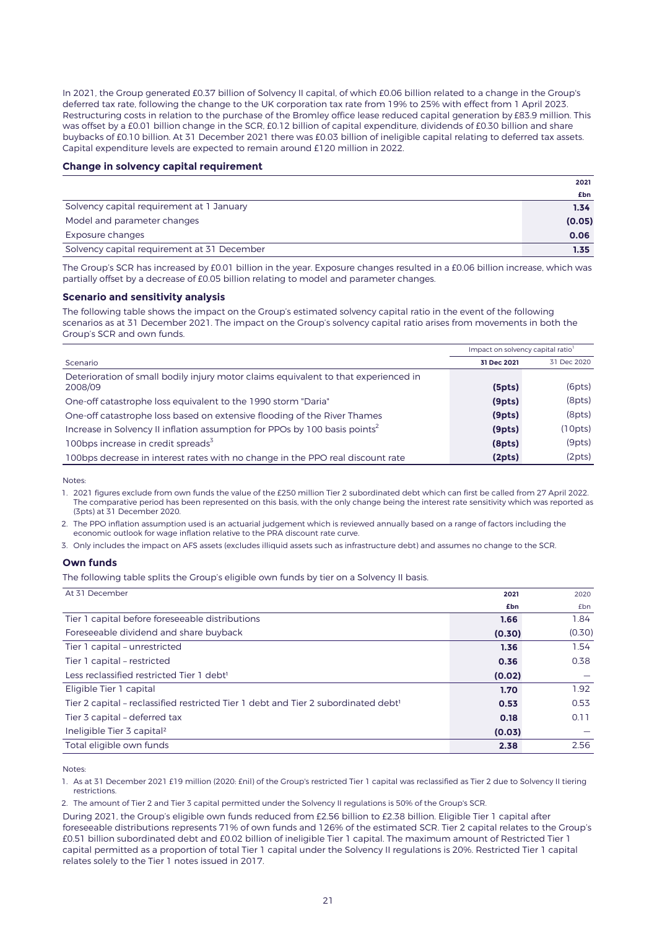In 2021, the Group generated £0.37 billion of Solvency II capital, of which £0.06 billion related to a change in the Group's deferred tax rate, following the change to the UK corporation tax rate from 19% to 25% with effect from 1 April 2023. Restructuring costs in relation to the purchase of the Bromley office lease reduced capital generation by £83.9 million. This was offset by a £0.01 billion change in the SCR, £0.12 billion of capital expenditure, dividends of £0.30 billion and share buybacks of £0.10 billion. At 31 December 2021 there was £0.03 billion of ineligible capital relating to deferred tax assets. Capital expenditure levels are expected to remain around £120 million in 2022.

#### **Change in solvency capital requirement**

|                                             | 2021   |
|---------------------------------------------|--------|
|                                             | £bn    |
| Solvency capital requirement at 1 January   | 1.34   |
| Model and parameter changes                 | (0.05) |
| Exposure changes                            | 0.06   |
| Solvency capital requirement at 31 December | 1.35   |

The Group's SCR has increased by £0.01 billion in the year. Exposure changes resulted in a £0.06 billion increase, which was partially offset by a decrease of £0.05 billion relating to model and parameter changes.

#### **Scenario and sensitivity analysis**

The following table shows the impact on the Group's estimated solvency capital ratio in the event of the following scenarios as at 31 December 2021. The impact on the Group's solvency capital ratio arises from movements in both the Group's SCR and own funds.

|                                                                                        | Impact on solvency capital ratio |             |
|----------------------------------------------------------------------------------------|----------------------------------|-------------|
| Scenario                                                                               | 31 Dec 2021                      | 31 Dec 2020 |
| Deterioration of small bodily injury motor claims equivalent to that experienced in    |                                  |             |
| 2008/09                                                                                | (5pts)                           | (6pts)      |
| One-off catastrophe loss equivalent to the 1990 storm "Daria"                          | (9pts)                           | (8pts)      |
| One-off catastrophe loss based on extensive flooding of the River Thames               | (9pts)                           | (8pts)      |
| Increase in Solvency II inflation assumption for PPOs by 100 basis points <sup>2</sup> | (9pts)                           | (10pts)     |
| 100bps increase in credit spreads <sup>3</sup>                                         | (8pts)                           | (9pts)      |
| 100bps decrease in interest rates with no change in the PPO real discount rate         | (2pts)                           | (2pts)      |

Notes:

1. 2021 figures exclude from own funds the value of the £250 million Tier 2 subordinated debt which can first be called from 27 April 2022. The comparative period has been represented on this basis, with the only change being the interest rate sensitivity which was reported as (3pts) at 31 December 2020.

2. The PPO inflation assumption used is an actuarial judgement which is reviewed annually based on a range of factors including the economic outlook for wage inflation relative to the PRA discount rate curve.

3. Only includes the impact on AFS assets (excludes illiquid assets such as infrastructure debt) and assumes no change to the SCR.

#### **Own funds**

The following table splits the Group's eligible own funds by tier on a Solvency II basis.

At 31 December **2021** 2020 **£bn** £bn Tier 1 capital before foreseeable distributions **1.66** 1.84 Foreseeable dividend and share buyback **(0.30)** (0.30) Tier 1 capital – unrestricted **1.36** 1.54 Tier 1 capital – restricted **0.36** 0.38 Less reclassified restricted Tier 1 debt<sup>1</sup> **All and Contact Contact (0.02) (0.02)** Eligible Tier 1 capital **1.70** 1.92 Tier 2 capital – reclassified restricted Tier 1 debt and Tier 2 subordinated debt<sup>1</sup> **0.53 0.53 0.53 0.53** Tier 3 capital – deferred tax **0.18** 0.11 Ineligible Tier 3 capital² **(0.03)** — Total eligible own funds **2.38** 2.56

Notes:

1. As at 31 December 2021 £19 million (2020: £nil) of the Group's restricted Tier 1 capital was reclassified as Tier 2 due to Solvency II tiering restrictions.

2. The amount of Tier 2 and Tier 3 capital permitted under the Solvency II regulations is 50% of the Group's SCR.

During 2021, the Group's eligible own funds reduced from £2.56 billion to £2.38 billion. Eligible Tier 1 capital after foreseeable distributions represents 71% of own funds and 126% of the estimated SCR. Tier 2 capital relates to the Group's £0.51 billion subordinated debt and £0.02 billion of ineligible Tier 1 capital. The maximum amount of Restricted Tier 1 capital permitted as a proportion of total Tier 1 capital under the Solvency II regulations is 20%. Restricted Tier 1 capital relates solely to the Tier 1 notes issued in 2017.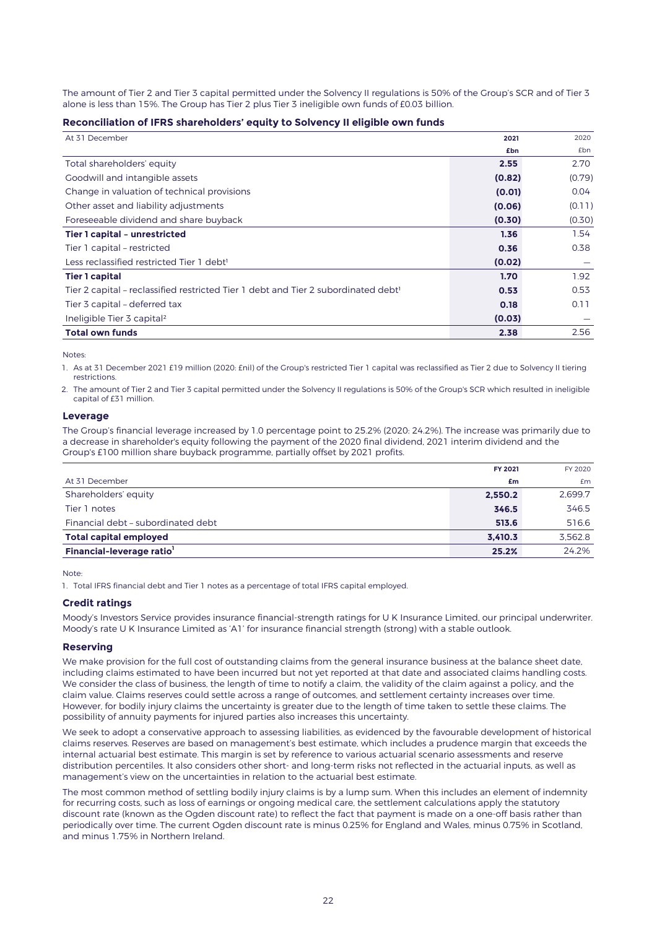The amount of Tier 2 and Tier 3 capital permitted under the Solvency II regulations is 50% of the Group's SCR and of Tier 3 alone is less than 15%. The Group has Tier 2 plus Tier 3 ineligible own funds of £0.03 billion.

#### **Reconciliation of IFRS shareholders' equity to Solvency II eligible own funds**

| At 31 December                                                                                 | 2021   | 2020   |
|------------------------------------------------------------------------------------------------|--------|--------|
|                                                                                                | £bn    | £bn    |
| Total shareholders' equity                                                                     | 2.55   | 2.70   |
| Goodwill and intangible assets                                                                 | (0.82) | (0.79) |
| Change in valuation of technical provisions                                                    | (0.01) | 0.04   |
| Other asset and liability adjustments                                                          | (0.06) | (0.11) |
| Foreseeable dividend and share buyback                                                         | (0.30) | (0.30) |
| Tier 1 capital - unrestricted                                                                  | 1.36   | 1.54   |
| Tier 1 capital - restricted                                                                    | 0.36   | 0.38   |
| Less reclassified restricted Tier 1 debt <sup>1</sup>                                          | (0.02) |        |
| <b>Tier 1 capital</b>                                                                          | 1.70   | 1.92   |
| Tier 2 capital - reclassified restricted Tier 1 debt and Tier 2 subordinated debt <sup>1</sup> | 0.53   | 0.53   |
| Tier 3 capital - deferred tax                                                                  | 0.18   | 0.11   |
| Ineligible Tier 3 capital <sup>2</sup>                                                         | (0.03) |        |
| <b>Total own funds</b>                                                                         | 2.38   | 2.56   |

Notes:

1. As at 31 December 2021 £19 million (2020: £nil) of the Group's restricted Tier 1 capital was reclassified as Tier 2 due to Solvency II tiering restrictions.

2. The amount of Tier 2 and Tier 3 capital permitted under the Solvency II regulations is 50% of the Group's SCR which resulted in ineligible capital of £31 million.

### **Leverage**

The Group's financial leverage increased by 1.0 percentage point to 25.2% (2020: 24.2%). The increase was primarily due to a decrease in shareholder's equity following the payment of the 2020 final dividend, 2021 interim dividend and the Group's £100 million share buyback programme, partially offset by 2021 profits.

|                                       | FY 2021 | FY 2020 |
|---------------------------------------|---------|---------|
| At 31 December                        | £m      | Em      |
| Shareholders' equity                  | 2,550.2 | 2.699.7 |
| Tier 1 notes                          | 346.5   | 346.5   |
| Financial debt - subordinated debt    | 513.6   | 516.6   |
| <b>Total capital employed</b>         | 3.410.3 | 3.562.8 |
| Financial-leverage ratio <sup>1</sup> | 25.2%   | 24.2%   |

Note:

1. Total IFRS financial debt and Tier 1 notes as a percentage of total IFRS capital employed.

#### **Credit ratings**

Moody's Investors Service provides insurance financial-strength ratings for U K Insurance Limited, our principal underwriter. Moody's rate U K Insurance Limited as 'A1' for insurance financial strength (strong) with a stable outlook.

#### **Reserving**

We make provision for the full cost of outstanding claims from the general insurance business at the balance sheet date, including claims estimated to have been incurred but not yet reported at that date and associated claims handling costs. We consider the class of business, the length of time to notify a claim, the validity of the claim against a policy, and the claim value. Claims reserves could settle across a range of outcomes, and settlement certainty increases over time. However, for bodily injury claims the uncertainty is greater due to the length of time taken to settle these claims. The possibility of annuity payments for injured parties also increases this uncertainty.

We seek to adopt a conservative approach to assessing liabilities, as evidenced by the favourable development of historical claims reserves. Reserves are based on management's best estimate, which includes a prudence margin that exceeds the internal actuarial best estimate. This margin is set by reference to various actuarial scenario assessments and reserve distribution percentiles. It also considers other short- and long-term risks not reflected in the actuarial inputs, as well as management's view on the uncertainties in relation to the actuarial best estimate.

The most common method of settling bodily injury claims is by a lump sum. When this includes an element of indemnity for recurring costs, such as loss of earnings or ongoing medical care, the settlement calculations apply the statutory discount rate (known as the Ogden discount rate) to reflect the fact that payment is made on a one-off basis rather than periodically over time. The current Ogden discount rate is minus 0.25% for England and Wales, minus 0.75% in Scotland, and minus 1.75% in Northern Ireland.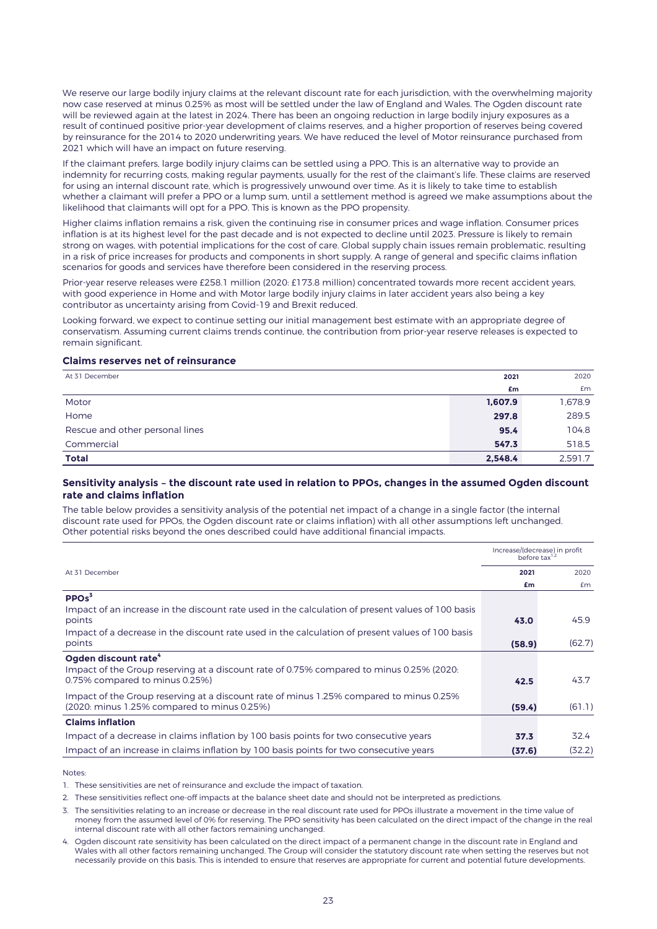We reserve our large bodily injury claims at the relevant discount rate for each jurisdiction, with the overwhelming majority now case reserved at minus 0.25% as most will be settled under the law of England and Wales. The Ogden discount rate will be reviewed again at the latest in 2024. There has been an ongoing reduction in large bodily injury exposures as a result of continued positive prior-year development of claims reserves, and a higher proportion of reserves being covered by reinsurance for the 2014 to 2020 underwriting years. We have reduced the level of Motor reinsurance purchased from 2021 which will have an impact on future reserving.

If the claimant prefers, large bodily injury claims can be settled using a PPO. This is an alternative way to provide an indemnity for recurring costs, making regular payments, usually for the rest of the claimant's life. These claims are reserved for using an internal discount rate, which is progressively unwound over time. As it is likely to take time to establish whether a claimant will prefer a PPO or a lump sum, until a settlement method is agreed we make assumptions about the likelihood that claimants will opt for a PPO. This is known as the PPO propensity.

Higher claims inflation remains a risk, given the continuing rise in consumer prices and wage inflation. Consumer prices inflation is at its highest level for the past decade and is not expected to decline until 2023. Pressure is likely to remain strong on wages, with potential implications for the cost of care. Global supply chain issues remain problematic, resulting in a risk of price increases for products and components in short supply. A range of general and specific claims inflation scenarios for goods and services have therefore been considered in the reserving process.

Prior-year reserve releases were £258.1 million (2020: £173.8 million) concentrated towards more recent accident years, with good experience in Home and with Motor large bodily injury claims in later accident years also being a key contributor as uncertainty arising from Covid-19 and Brexit reduced.

Looking forward, we expect to continue setting our initial management best estimate with an appropriate degree of conservatism. Assuming current claims trends continue, the contribution from prior-year reserve releases is expected to remain significant.

#### **Claims reserves net of reinsurance**

| At 31 December                  | 2021    | 2020    |
|---------------------------------|---------|---------|
|                                 | £m      | £m      |
| Motor                           | 1,607.9 | 1,678.9 |
| Home                            | 297.8   | 289.5   |
| Rescue and other personal lines | 95.4    | 104.8   |
| Commercial                      | 547.3   | 518.5   |
| <b>Total</b>                    | 2,548.4 | 2.591.7 |

#### **Sensitivity analysis – the discount rate used in relation to PPOs, changes in the assumed Ogden discount rate and claims inflation**

The table below provides a sensitivity analysis of the potential net impact of a change in a single factor (the internal discount rate used for PPOs, the Ogden discount rate or claims inflation) with all other assumptions left unchanged. Other potential risks beyond the ones described could have additional financial impacts.

|                                                                                                   | Increase/(decrease) in profit<br>before tax <sup>1,2</sup> |        |
|---------------------------------------------------------------------------------------------------|------------------------------------------------------------|--------|
| At 31 December                                                                                    | 2021                                                       | 2020   |
|                                                                                                   | £m                                                         | £m     |
| PPOs <sup>3</sup>                                                                                 |                                                            |        |
| Impact of an increase in the discount rate used in the calculation of present values of 100 basis |                                                            |        |
| points                                                                                            | 43.0                                                       | 45.9   |
| Impact of a decrease in the discount rate used in the calculation of present values of 100 basis  |                                                            |        |
| points                                                                                            | (58.9)                                                     | (62.7) |
| Ogden discount rate <sup>4</sup>                                                                  |                                                            |        |
| Impact of the Group reserving at a discount rate of 0.75% compared to minus 0.25% (2020:          |                                                            |        |
| 0.75% compared to minus 0.25%)                                                                    | 42.5                                                       | 43.7   |
| Impact of the Group reserving at a discount rate of minus 1.25% compared to minus 0.25%           |                                                            |        |
| (2020: minus 1.25% compared to minus 0.25%)                                                       | (59.4)                                                     | (61.1) |
| <b>Claims inflation</b>                                                                           |                                                            |        |
| Impact of a decrease in claims inflation by 100 basis points for two consecutive years            | 37.3                                                       | 32.4   |
| Impact of an increase in claims inflation by 100 basis points for two consecutive years           | (37.6)                                                     | (32.2) |

Notes:

1. These sensitivities are net of reinsurance and exclude the impact of taxation.

2. These sensitivities reflect one-off impacts at the balance sheet date and should not be interpreted as predictions.

3. The sensitivities relating to an increase or decrease in the real discount rate used for PPOs illustrate a movement in the time value of money from the assumed level of 0% for reserving. The PPO sensitivity has been calculated on the direct impact of the change in the real internal discount rate with all other factors remaining unchanged.

4. Ogden discount rate sensitivity has been calculated on the direct impact of a permanent change in the discount rate in England and Wales with all other factors remaining unchanged. The Group will consider the statutory discount rate when setting the reserves but not necessarily provide on this basis. This is intended to ensure that reserves are appropriate for current and potential future developments.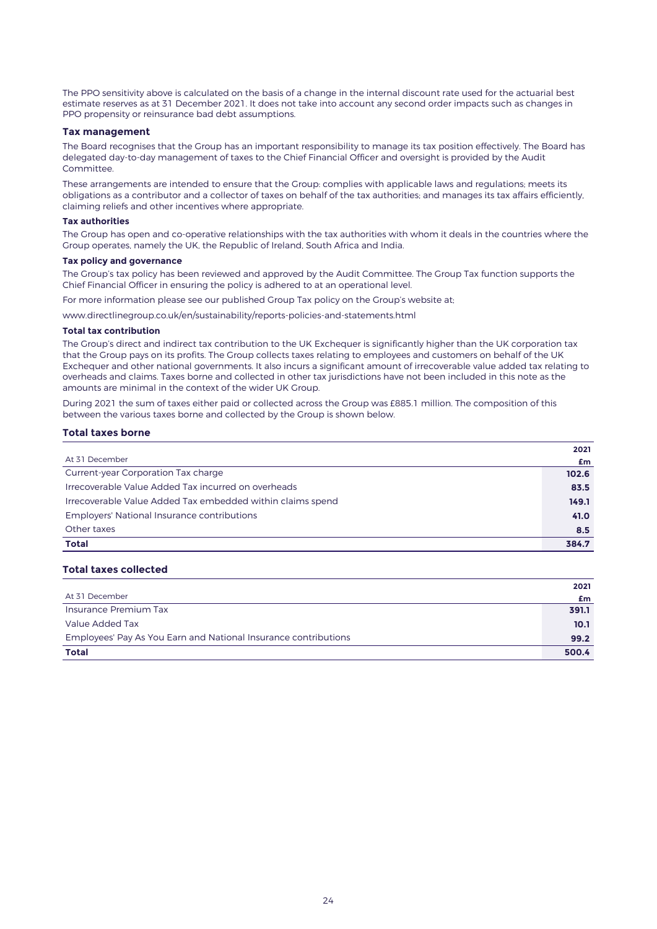The PPO sensitivity above is calculated on the basis of a change in the internal discount rate used for the actuarial best estimate reserves as at 31 December 2021. It does not take into account any second order impacts such as changes in PPO propensity or reinsurance bad debt assumptions.

#### **Tax management**

The Board recognises that the Group has an important responsibility to manage its tax position effectively. The Board has delegated day-to-day management of taxes to the Chief Financial Officer and oversight is provided by the Audit Committee.

These arrangements are intended to ensure that the Group: complies with applicable laws and regulations; meets its obligations as a contributor and a collector of taxes on behalf of the tax authorities; and manages its tax affairs efficiently, claiming reliefs and other incentives where appropriate.

#### **Tax authorities**

The Group has open and co-operative relationships with the tax authorities with whom it deals in the countries where the Group operates, namely the UK, the Republic of Ireland, South Africa and India.

#### **Tax policy and governance**

The Group's tax policy has been reviewed and approved by the Audit Committee. The Group Tax function supports the Chief Financial Officer in ensuring the policy is adhered to at an operational level.

For more information please see our published Group Tax policy on the Group's website at;

www.directlinegroup.co.uk/en/sustainability/reports-policies-and-statements.html

#### **Total tax contribution**

The Group's direct and indirect tax contribution to the UK Exchequer is significantly higher than the UK corporation tax that the Group pays on its profits. The Group collects taxes relating to employees and customers on behalf of the UK Exchequer and other national governments. It also incurs a significant amount of irrecoverable value added tax relating to overheads and claims. Taxes borne and collected in other tax jurisdictions have not been included in this note as the amounts are minimal in the context of the wider UK Group.

During 2021 the sum of taxes either paid or collected across the Group was £885.1 million. The composition of this between the various taxes borne and collected by the Group is shown below.

#### **Total taxes borne**

|                                                            | 2021  |
|------------------------------------------------------------|-------|
| At 31 December                                             | £m    |
| Current-year Corporation Tax charge                        | 102.6 |
| Irrecoverable Value Added Tax incurred on overheads        | 83.5  |
| Irrecoverable Value Added Tax embedded within claims spend | 149.1 |
| <b>Employers' National Insurance contributions</b>         | 41.0  |
| Other taxes                                                | 8.5   |
| <b>Total</b>                                               | 384.7 |
|                                                            |       |

#### **Total taxes collected**

| <b>Total</b>                                                    | 500.4 |
|-----------------------------------------------------------------|-------|
| Employees' Pay As You Earn and National Insurance contributions | 99.2  |
| Value Added Tax                                                 | 10.1  |
| Insurance Premium Tax                                           | 391.1 |
| At 31 December                                                  | £m    |
|                                                                 | 2021  |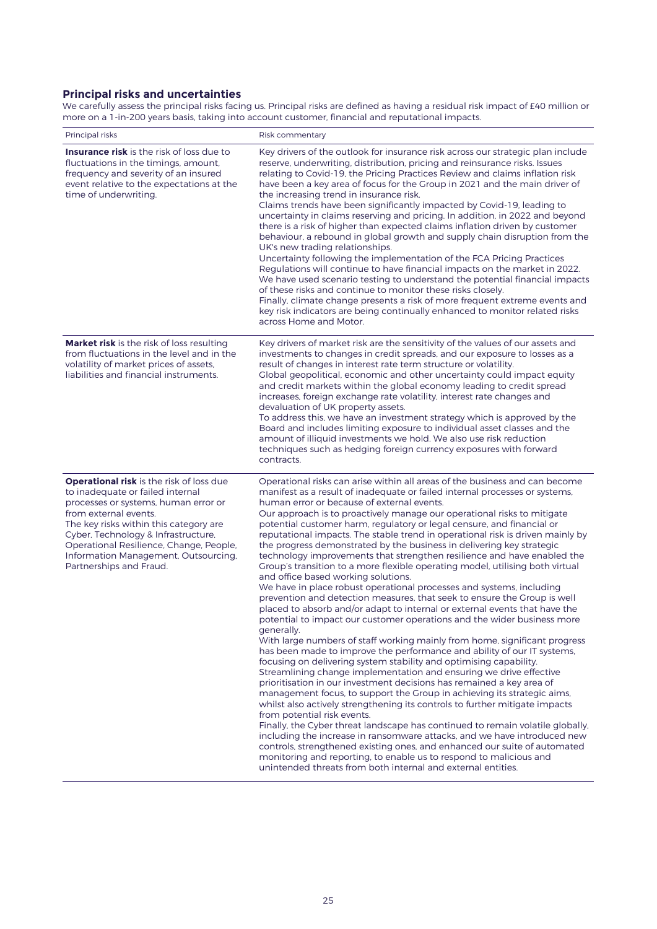# **Principal risks and uncertainties**

We carefully assess the principal risks facing us. Principal risks are defined as having a residual risk impact of £40 million or more on a 1-in-200 years basis, taking into account customer, financial and reputational impacts.

| Principal risks                                                                                                                                                                                                                                                                                                                                     | Risk commentary                                                                                                                                                                                                                                                                                                                                                                                                                                                                                                                                                                                                                                                                                                                                                                                                                                                                                                                                                                                                                                                                                                                                                                                                                                                                                                                                                                                                                                                                                                                                                                                                                                                                                                                                                                                                                                                                                                                                                                                                |
|-----------------------------------------------------------------------------------------------------------------------------------------------------------------------------------------------------------------------------------------------------------------------------------------------------------------------------------------------------|----------------------------------------------------------------------------------------------------------------------------------------------------------------------------------------------------------------------------------------------------------------------------------------------------------------------------------------------------------------------------------------------------------------------------------------------------------------------------------------------------------------------------------------------------------------------------------------------------------------------------------------------------------------------------------------------------------------------------------------------------------------------------------------------------------------------------------------------------------------------------------------------------------------------------------------------------------------------------------------------------------------------------------------------------------------------------------------------------------------------------------------------------------------------------------------------------------------------------------------------------------------------------------------------------------------------------------------------------------------------------------------------------------------------------------------------------------------------------------------------------------------------------------------------------------------------------------------------------------------------------------------------------------------------------------------------------------------------------------------------------------------------------------------------------------------------------------------------------------------------------------------------------------------------------------------------------------------------------------------------------------------|
| <b>Insurance risk</b> is the risk of loss due to<br>fluctuations in the timings, amount,<br>frequency and severity of an insured<br>event relative to the expectations at the<br>time of underwriting.                                                                                                                                              | Key drivers of the outlook for insurance risk across our strategic plan include<br>reserve, underwriting, distribution, pricing and reinsurance risks, Issues<br>relating to Covid-19, the Pricing Practices Review and claims inflation risk<br>have been a key area of focus for the Group in 2021 and the main driver of<br>the increasing trend in insurance risk.<br>Claims trends have been significantly impacted by Covid-19, leading to<br>uncertainty in claims reserving and pricing. In addition, in 2022 and beyond<br>there is a risk of higher than expected claims inflation driven by customer<br>behaviour, a rebound in global growth and supply chain disruption from the<br>UK's new trading relationships.<br>Uncertainty following the implementation of the FCA Pricing Practices<br>Regulations will continue to have financial impacts on the market in 2022.<br>We have used scenario testing to understand the potential financial impacts<br>of these risks and continue to monitor these risks closely.<br>Finally, climate change presents a risk of more frequent extreme events and<br>key risk indicators are being continually enhanced to monitor related risks<br>across Home and Motor.                                                                                                                                                                                                                                                                                                                                                                                                                                                                                                                                                                                                                                                                                                                                                                                  |
| <b>Market risk</b> is the risk of loss resulting<br>from fluctuations in the level and in the<br>volatility of market prices of assets,<br>liabilities and financial instruments.                                                                                                                                                                   | Key drivers of market risk are the sensitivity of the values of our assets and<br>investments to changes in credit spreads, and our exposure to losses as a<br>result of changes in interest rate term structure or volatility.<br>Global geopolitical, economic and other uncertainty could impact equity<br>and credit markets within the global economy leading to credit spread<br>increases, foreign exchange rate volatility, interest rate changes and<br>devaluation of UK property assets.<br>To address this, we have an investment strategy which is approved by the<br>Board and includes limiting exposure to individual asset classes and the<br>amount of illiquid investments we hold. We also use risk reduction<br>techniques such as hedging foreign currency exposures with forward<br>contracts.                                                                                                                                                                                                                                                                                                                                                                                                                                                                                                                                                                                                                                                                                                                                                                                                                                                                                                                                                                                                                                                                                                                                                                                          |
| <b>Operational risk</b> is the risk of loss due<br>to inadequate or failed internal<br>processes or systems, human error or<br>from external events.<br>The key risks within this category are<br>Cyber, Technology & Infrastructure,<br>Operational Resilience, Change, People,<br>Information Management, Outsourcing,<br>Partnerships and Fraud. | Operational risks can arise within all areas of the business and can become<br>manifest as a result of inadequate or failed internal processes or systems,<br>human error or because of external events.<br>Our approach is to proactively manage our operational risks to mitigate<br>potential customer harm, regulatory or legal censure, and financial or<br>reputational impacts. The stable trend in operational risk is driven mainly by<br>the progress demonstrated by the business in delivering key strategic<br>technology improvements that strengthen resilience and have enabled the<br>Group's transition to a more flexible operating model, utilising both virtual<br>and office based working solutions.<br>We have in place robust operational processes and systems, including<br>prevention and detection measures, that seek to ensure the Group is well<br>placed to absorb and/or adapt to internal or external events that have the<br>potential to impact our customer operations and the wider business more<br>generally.<br>With large numbers of staff working mainly from home, significant progress<br>has been made to improve the performance and ability of our IT systems,<br>focusing on delivering system stability and optimising capability.<br>Streamlining change implementation and ensuring we drive effective<br>prioritisation in our investment decisions has remained a key area of<br>management focus, to support the Group in achieving its strategic aims,<br>whilst also actively strengthening its controls to further mitigate impacts<br>from potential risk events.<br>Finally, the Cyber threat landscape has continued to remain volatile globally,<br>including the increase in ransomware attacks, and we have introduced new<br>controls, strengthened existing ones, and enhanced our suite of automated<br>monitoring and reporting, to enable us to respond to malicious and<br>unintended threats from both internal and external entities. |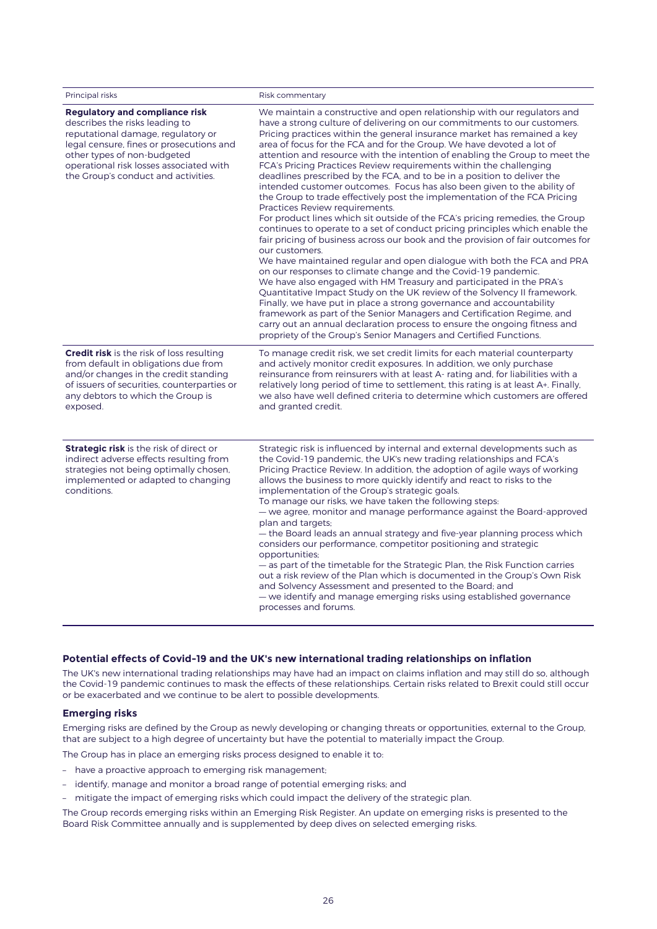| Principal risks                                                                                                                                                                                                                                                            | Risk commentary                                                                                                                                                                                                                                                                                                                                                                                                                                                                                                                                                                                                                                                                                                                                                                                                                                                                                                                                                                                                                                                                                                                                                                                                                                                                                                                                                                                                                                                                                                                                                                                            |
|----------------------------------------------------------------------------------------------------------------------------------------------------------------------------------------------------------------------------------------------------------------------------|------------------------------------------------------------------------------------------------------------------------------------------------------------------------------------------------------------------------------------------------------------------------------------------------------------------------------------------------------------------------------------------------------------------------------------------------------------------------------------------------------------------------------------------------------------------------------------------------------------------------------------------------------------------------------------------------------------------------------------------------------------------------------------------------------------------------------------------------------------------------------------------------------------------------------------------------------------------------------------------------------------------------------------------------------------------------------------------------------------------------------------------------------------------------------------------------------------------------------------------------------------------------------------------------------------------------------------------------------------------------------------------------------------------------------------------------------------------------------------------------------------------------------------------------------------------------------------------------------------|
| <b>Regulatory and compliance risk</b><br>describes the risks leading to<br>reputational damage, regulatory or<br>legal censure, fines or prosecutions and<br>other types of non-budgeted<br>operational risk losses associated with<br>the Group's conduct and activities. | We maintain a constructive and open relationship with our regulators and<br>have a strong culture of delivering on our commitments to our customers.<br>Pricing practices within the general insurance market has remained a key<br>area of focus for the FCA and for the Group. We have devoted a lot of<br>attention and resource with the intention of enabling the Group to meet the<br>FCA's Pricing Practices Review requirements within the challenging<br>deadlines prescribed by the FCA, and to be in a position to deliver the<br>intended customer outcomes. Focus has also been given to the ability of<br>the Group to trade effectively post the implementation of the FCA Pricing<br>Practices Review requirements.<br>For product lines which sit outside of the FCA's pricing remedies, the Group<br>continues to operate to a set of conduct pricing principles which enable the<br>fair pricing of business across our book and the provision of fair outcomes for<br>our customers.<br>We have maintained regular and open dialogue with both the FCA and PRA<br>on our responses to climate change and the Covid-19 pandemic.<br>We have also engaged with HM Treasury and participated in the PRA's<br>Quantitative Impact Study on the UK review of the Solvency II framework.<br>Finally, we have put in place a strong governance and accountability<br>framework as part of the Senior Managers and Certification Regime, and<br>carry out an annual declaration process to ensure the ongoing fitness and<br>propriety of the Group's Senior Managers and Certified Functions. |
| <b>Credit risk</b> is the risk of loss resulting<br>from default in obligations due from<br>and/or changes in the credit standing<br>of issuers of securities, counterparties or<br>any debtors to which the Group is<br>exposed.                                          | To manage credit risk, we set credit limits for each material counterparty<br>and actively monitor credit exposures. In addition, we only purchase<br>reinsurance from reinsurers with at least A- rating and, for liabilities with a<br>relatively long period of time to settlement, this rating is at least A+. Finally,<br>we also have well defined criteria to determine which customers are offered<br>and granted credit.                                                                                                                                                                                                                                                                                                                                                                                                                                                                                                                                                                                                                                                                                                                                                                                                                                                                                                                                                                                                                                                                                                                                                                          |
| <b>Strategic risk</b> is the risk of direct or<br>indirect adverse effects resulting from<br>strategies not being optimally chosen,<br>implemented or adapted to changing<br>conditions.                                                                                   | Strategic risk is influenced by internal and external developments such as<br>the Covid-19 pandemic, the UK's new trading relationships and FCA's<br>Pricing Practice Review. In addition, the adoption of agile ways of working<br>allows the business to more quickly identify and react to risks to the<br>implementation of the Group's strategic goals.<br>To manage our risks, we have taken the following steps:<br>- we agree, monitor and manage performance against the Board-approved<br>plan and targets;<br>- the Board leads an annual strategy and five-year planning process which<br>considers our performance, competitor positioning and strategic<br>opportunities;<br>- as part of the timetable for the Strategic Plan, the Risk Function carries<br>out a risk review of the Plan which is documented in the Group's Own Risk<br>and Solvency Assessment and presented to the Board; and<br>— we identify and manage emerging risks using established governance<br>processes and forums.                                                                                                                                                                                                                                                                                                                                                                                                                                                                                                                                                                                           |

### **Potential effects of Covid-19 and the UK's new international trading relationships on inflation**

The UK's new international trading relationships may have had an impact on claims inflation and may still do so, although the Covid-19 pandemic continues to mask the effects of these relationships. Certain risks related to Brexit could still occur or be exacerbated and we continue to be alert to possible developments.

#### **Emerging risks**

Emerging risks are defined by the Group as newly developing or changing threats or opportunities, external to the Group, that are subject to a high degree of uncertainty but have the potential to materially impact the Group.

The Group has in place an emerging risks process designed to enable it to:

- have a proactive approach to emerging risk management;
- identify, manage and monitor a broad range of potential emerging risks; and
- mitigate the impact of emerging risks which could impact the delivery of the strategic plan.

The Group records emerging risks within an Emerging Risk Register. An update on emerging risks is presented to the Board Risk Committee annually and is supplemented by deep dives on selected emerging risks.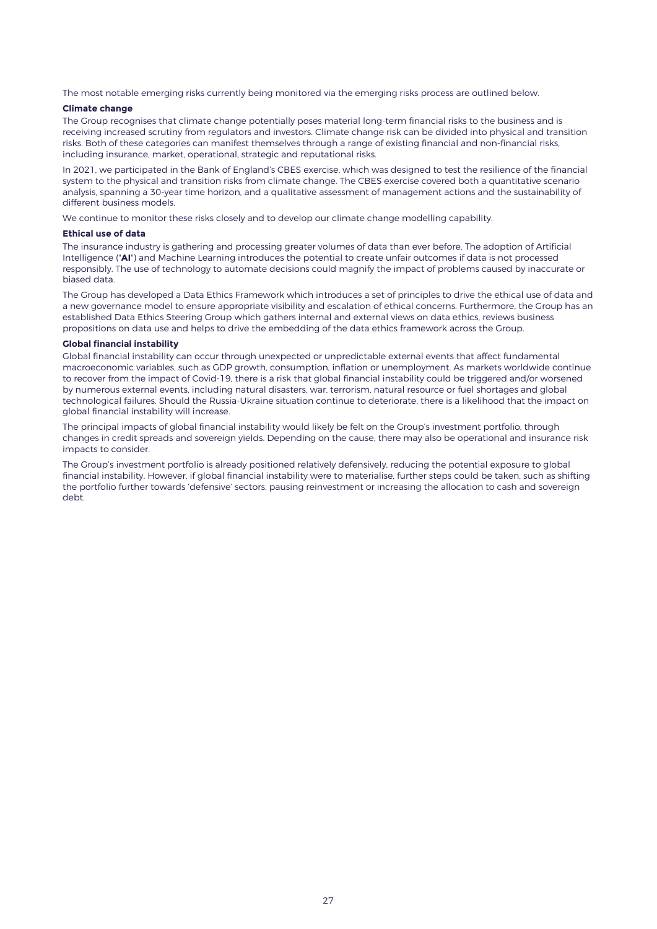The most notable emerging risks currently being monitored via the emerging risks process are outlined below.

#### **Climate change**

The Group recognises that climate change potentially poses material long-term financial risks to the business and is receiving increased scrutiny from regulators and investors. Climate change risk can be divided into physical and transition risks. Both of these categories can manifest themselves through a range of existing financial and non-financial risks, including insurance, market, operational, strategic and reputational risks.

In 2021, we participated in the Bank of England's CBES exercise, which was designed to test the resilience of the financial system to the physical and transition risks from climate change. The CBES exercise covered both a quantitative scenario analysis, spanning a 30-year time horizon, and a qualitative assessment of management actions and the sustainability of different business models.

We continue to monitor these risks closely and to develop our climate change modelling capability.

#### **Ethical use of data**

The insurance industry is gathering and processing greater volumes of data than ever before. The adoption of Artificial Intelligence ("**AI**") and Machine Learning introduces the potential to create unfair outcomes if data is not processed responsibly. The use of technology to automate decisions could magnify the impact of problems caused by inaccurate or biased data.

The Group has developed a Data Ethics Framework which introduces a set of principles to drive the ethical use of data and a new governance model to ensure appropriate visibility and escalation of ethical concerns. Furthermore, the Group has an established Data Ethics Steering Group which gathers internal and external views on data ethics, reviews business propositions on data use and helps to drive the embedding of the data ethics framework across the Group.

#### **Global financial instability**

Global financial instability can occur through unexpected or unpredictable external events that affect fundamental macroeconomic variables, such as GDP growth, consumption, inflation or unemployment. As markets worldwide continue to recover from the impact of Covid-19, there is a risk that global financial instability could be triggered and/or worsened by numerous external events, including natural disasters, war, terrorism, natural resource or fuel shortages and global technological failures. Should the Russia-Ukraine situation continue to deteriorate, there is a likelihood that the impact on global financial instability will increase.

The principal impacts of global financial instability would likely be felt on the Group's investment portfolio, through changes in credit spreads and sovereign yields. Depending on the cause, there may also be operational and insurance risk impacts to consider.

The Group's investment portfolio is already positioned relatively defensively, reducing the potential exposure to global financial instability. However, if global financial instability were to materialise, further steps could be taken, such as shifting the portfolio further towards 'defensive' sectors, pausing reinvestment or increasing the allocation to cash and sovereign debt.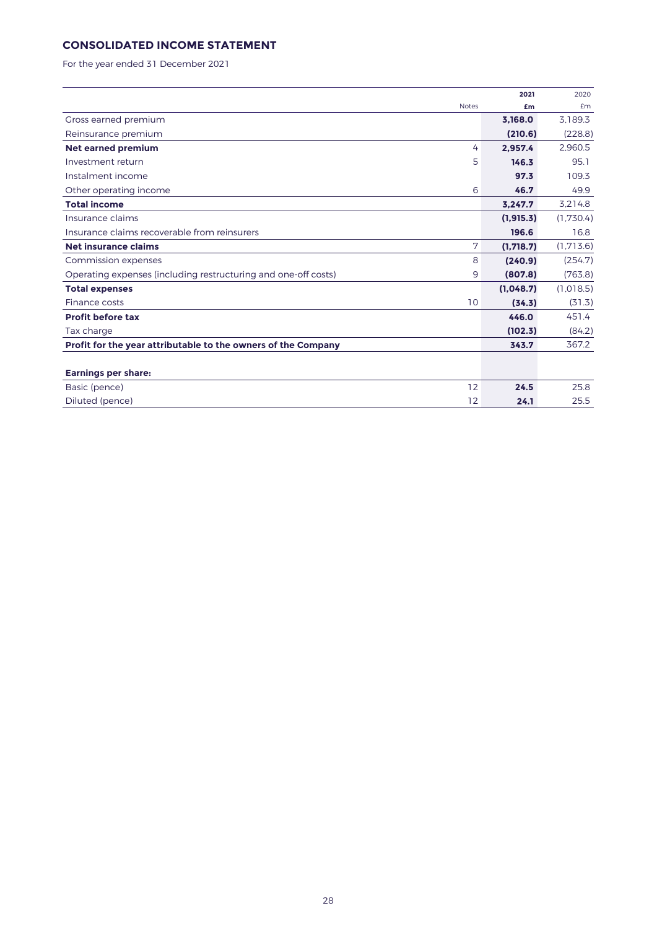# **CONSOLIDATED INCOME STATEMENT**

For the year ended 31 December 2021

|                                                                |              | 2021      | 2020      |
|----------------------------------------------------------------|--------------|-----------|-----------|
|                                                                | <b>Notes</b> | £m        | £m        |
| Gross earned premium                                           |              | 3.168.0   | 3.189.3   |
| Reinsurance premium                                            |              | (210.6)   | (228.8)   |
| <b>Net earned premium</b>                                      | 4            | 2.957.4   | 2.960.5   |
| Investment return                                              | 5            | 146.3     | 95.1      |
| Instalment income                                              |              | 97.3      | 109.3     |
| Other operating income                                         | 6            | 46.7      | 49.9      |
| <b>Total income</b>                                            |              | 3,247.7   | 3,214.8   |
| Insurance claims                                               |              | (1.915.3) | (1,730.4) |
| Insurance claims recoverable from reinsurers                   |              | 196.6     | 16.8      |
| Net insurance claims                                           | 7            | (1,718.7) | (1,713.6) |
| Commission expenses                                            | 8            | (240.9)   | (254.7)   |
| Operating expenses (including restructuring and one-off costs) | 9            | (807.8)   | (763.8)   |
| <b>Total expenses</b>                                          |              | (1,048.7) | (1,018.5) |
| Finance costs                                                  | 10           | (34.3)    | (31.3)    |
| <b>Profit before tax</b>                                       |              | 446.0     | 451.4     |
| Tax charge                                                     |              | (102.3)   | (84.2)    |
| Profit for the year attributable to the owners of the Company  |              | 343.7     | 367.2     |
|                                                                |              |           |           |
| <b>Earnings per share:</b>                                     |              |           |           |
| Basic (pence)                                                  | 12           | 24.5      | 25.8      |
| Diluted (pence)                                                | 12           | 24.1      | 25.5      |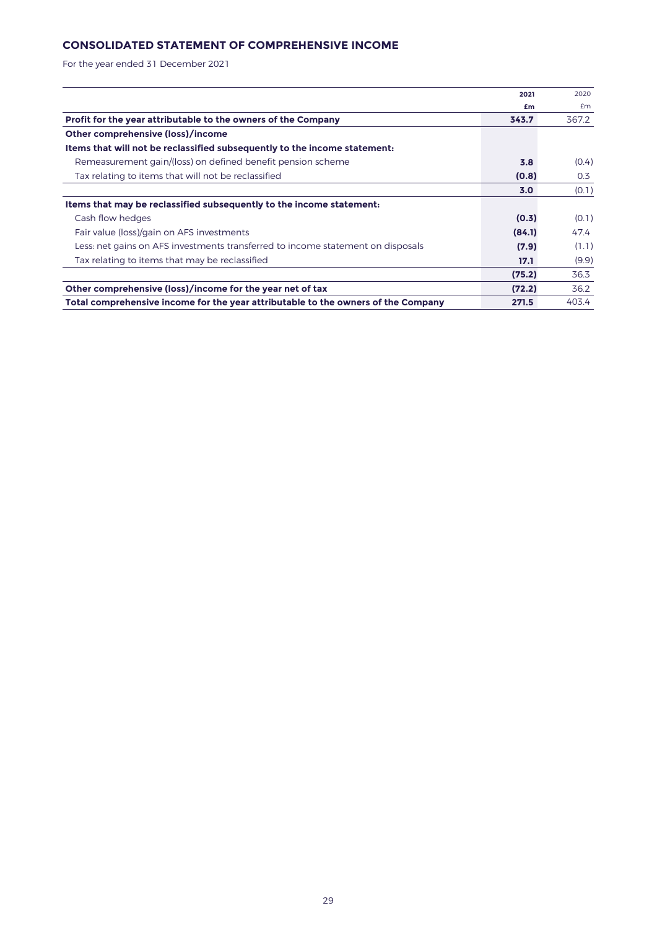# **CONSOLIDATED STATEMENT OF COMPREHENSIVE INCOME**

For the year ended 31 December 2021

|                                                                                   | 2021   | 2020  |
|-----------------------------------------------------------------------------------|--------|-------|
|                                                                                   | £m     | £m    |
| Profit for the year attributable to the owners of the Company                     | 343.7  | 367.2 |
| Other comprehensive (loss)/income                                                 |        |       |
| Items that will not be reclassified subsequently to the income statement:         |        |       |
| Remeasurement gain/(loss) on defined benefit pension scheme                       | 3.8    | (0.4) |
| Tax relating to items that will not be reclassified                               | (0.8)  | 0.3   |
|                                                                                   | 3.0    | (0.1) |
| Items that may be reclassified subsequently to the income statement:              |        |       |
| Cash flow hedges                                                                  | (0.3)  | (0.1) |
| Fair value (loss)/gain on AFS investments                                         | (84.1) | 47.4  |
| Less: net gains on AFS investments transferred to income statement on disposals   | (7.9)  | (1.1) |
| Tax relating to items that may be reclassified                                    | 17.1   | (9.9) |
|                                                                                   | (75.2) | 36.3  |
| Other comprehensive (loss)/income for the year net of tax                         | (72.2) | 36.2  |
| Total comprehensive income for the year attributable to the owners of the Company | 271.5  | 403.4 |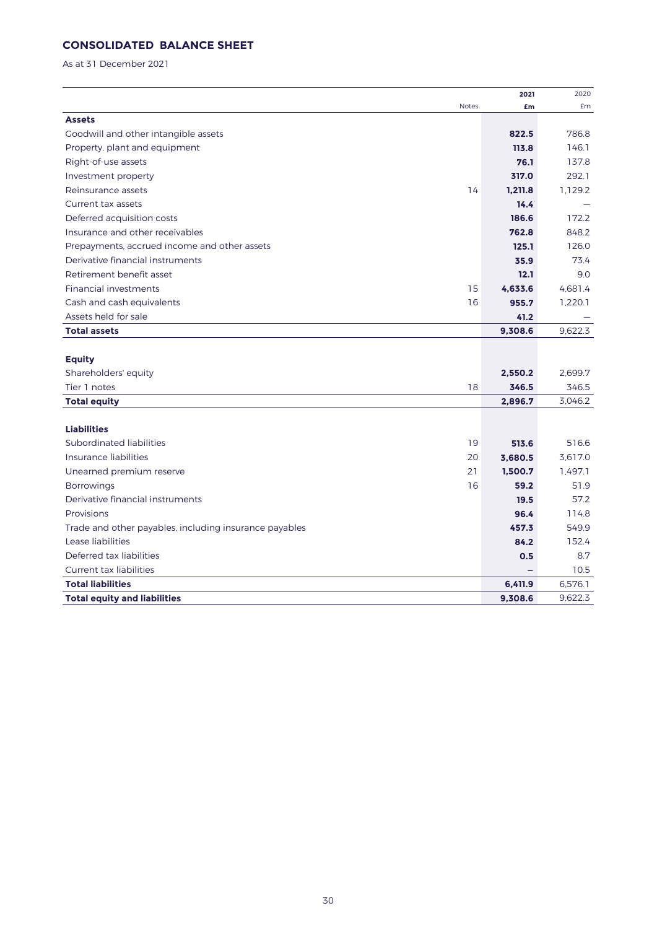# **CONSOLIDATED BALANCE SHEET**

As at 31 December 2021

|                                                        |              | 2021    | 2020    |
|--------------------------------------------------------|--------------|---------|---------|
|                                                        | <b>Notes</b> | £m      | £m      |
| <b>Assets</b>                                          |              |         |         |
| Goodwill and other intangible assets                   |              | 822.5   | 786.8   |
| Property, plant and equipment                          |              | 113.8   | 146.1   |
| Right-of-use assets                                    |              | 76.1    | 137.8   |
| Investment property                                    |              | 317.0   | 292.1   |
| Reinsurance assets                                     | 14           | 1,211.8 | 1,129.2 |
| Current tax assets                                     |              | 14.4    |         |
| Deferred acquisition costs                             |              | 186.6   | 172.2   |
| Insurance and other receivables                        |              | 762.8   | 848.2   |
| Prepayments, accrued income and other assets           |              | 125.1   | 126.0   |
| Derivative financial instruments                       |              | 35.9    | 73.4    |
| Retirement benefit asset                               |              | 12.1    | 9.0     |
| <b>Financial investments</b>                           | 15           | 4.633.6 | 4,681.4 |
| Cash and cash equivalents                              | 16           | 955.7   | 1,220.1 |
| Assets held for sale                                   |              | 41.2    |         |
| <b>Total assets</b>                                    |              | 9,308.6 | 9.622.3 |
|                                                        |              |         |         |
| <b>Equity</b>                                          |              |         |         |
| Shareholders' equity                                   |              | 2,550.2 | 2,699.7 |
| Tier 1 notes                                           | 18           | 346.5   | 346.5   |
| <b>Total equity</b>                                    |              | 2,896.7 | 3,046.2 |
|                                                        |              |         |         |
| <b>Liabilities</b>                                     |              |         |         |
| Subordinated liabilities                               | 19           | 513.6   | 516.6   |
| Insurance liabilities                                  | 20           | 3,680.5 | 3,617.0 |
| Unearned premium reserve                               | 21           | 1,500.7 | 1.497.1 |
| <b>Borrowings</b>                                      | 16           | 59.2    | 51.9    |
| Derivative financial instruments                       |              | 19.5    | 57.2    |
| Provisions                                             |              | 96.4    | 114.8   |
| Trade and other payables, including insurance payables |              | 457.3   | 549.9   |
| Lease liabilities                                      |              | 84.2    | 152.4   |
| Deferred tax liabilities                               |              | 0.5     | 8.7     |
| <b>Current tax liabilities</b>                         |              |         | 10.5    |
| <b>Total liabilities</b>                               |              | 6,411.9 | 6,576.1 |
| <b>Total equity and liabilities</b>                    |              | 9.308.6 | 9.622.3 |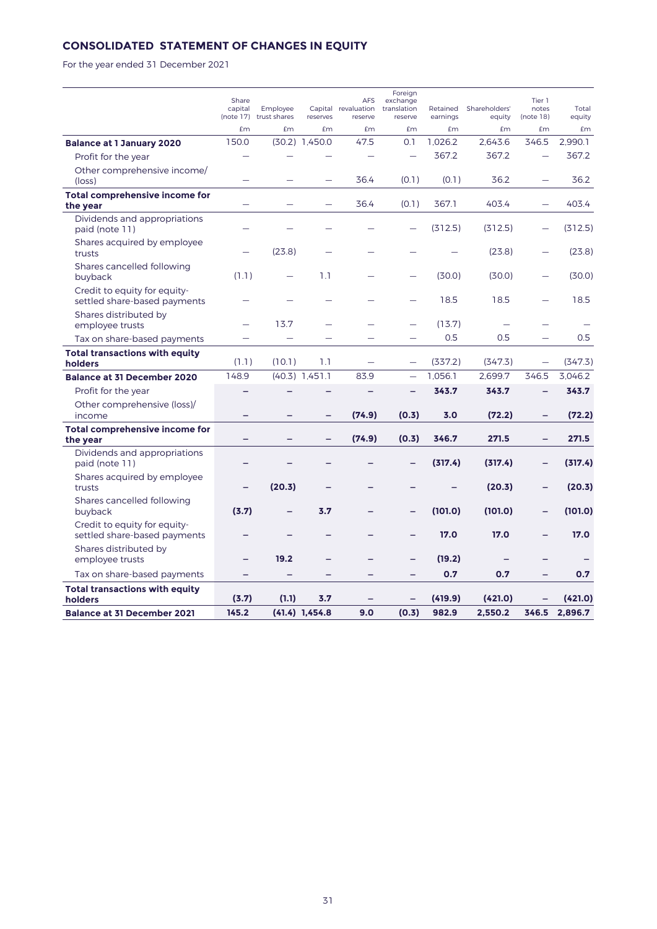# **CONSOLIDATED STATEMENT OF CHANGES IN EQUITY**

For the year ended 31 December 2021

|                                                              | Share<br>capital         | Employee<br>(note 17) trust shares | reserves         | <b>AFS</b><br>Capital revaluation<br>reserve | Foreign<br>exchange<br>translation<br>reserve | Retained<br>earnings | Shareholders'<br>equity  | Tier 1<br>notes<br>(note 18) | Total<br>equity |
|--------------------------------------------------------------|--------------------------|------------------------------------|------------------|----------------------------------------------|-----------------------------------------------|----------------------|--------------------------|------------------------------|-----------------|
|                                                              | £m                       | £m                                 | £m               | £m                                           | £m                                            | £m                   | £m                       | £m                           | £m              |
| <b>Balance at 1 January 2020</b>                             | 150.0                    |                                    | $(30.2)$ 1,450.0 | 47.5                                         | 0.1                                           | 1,026.2              | 2.643.6                  | 346.5                        | 2.990.1         |
| Profit for the year                                          |                          |                                    |                  |                                              |                                               | 367.2                | 367.2                    |                              | 367.2           |
| Other comprehensive income/<br>$(\text{loss})$               |                          |                                    |                  | 36.4                                         | (0.1)                                         | (0.1)                | 36.2                     | -                            | 36.2            |
| Total comprehensive income for<br>the year                   |                          |                                    |                  | 36.4                                         | (0.1)                                         | 367.1                | 403.4                    |                              | 403.4           |
| Dividends and appropriations<br>paid (note 11)               |                          |                                    |                  |                                              |                                               | (312.5)              | (312.5)                  |                              | (312.5)         |
| Shares acquired by employee<br>trusts                        |                          | (23.8)                             |                  |                                              |                                               |                      | (23.8)                   |                              | (23.8)          |
| Shares cancelled following<br>buyback                        | (1.1)                    |                                    | 1.1              |                                              |                                               | (30.0)               | (30.0)                   |                              | (30.0)          |
| Credit to equity for equity-<br>settled share-based payments |                          |                                    |                  |                                              |                                               | 18.5                 | 18.5                     |                              | 18.5            |
| Shares distributed by<br>employee trusts                     | $\overline{\phantom{0}}$ | 13.7                               |                  |                                              |                                               | (13.7)               | $\overline{\phantom{0}}$ |                              |                 |
| Tax on share-based payments                                  |                          |                                    |                  |                                              |                                               | 0.5                  | 0.5                      |                              | 0.5             |
| <b>Total transactions with equity</b><br>holders             | (1.1)                    | (10.1)                             | 1.1              |                                              |                                               | (337.2)              | (347.3)                  |                              | (347.3)         |
| <b>Balance at 31 December 2020</b>                           | 148.9                    |                                    | $(40.3)$ 1,451.1 | 83.9                                         |                                               | 1.056.1              | 2.699.7                  | 346.5                        | 3.046.2         |
| Profit for the year                                          |                          |                                    |                  |                                              |                                               | 343.7                | 343.7                    |                              | 343.7           |
| Other comprehensive (loss)/<br>income                        |                          |                                    | -                | (74.9)                                       | (0.3)                                         | 3.0                  | (72.2)                   | -                            | (72.2)          |
| <b>Total comprehensive income for</b><br>the year            |                          |                                    | $\equiv$         | (74.9)                                       | (0.3)                                         | 346.7                | 271.5                    | $\overline{\phantom{0}}$     | 271.5           |
| Dividends and appropriations<br>paid (note 11)               |                          |                                    |                  |                                              |                                               | (317.4)              | (317.4)                  | L,                           | (317.4)         |
| Shares acquired by employee<br>trusts                        | $\qquad \qquad -$        | (20.3)                             | -                |                                              |                                               |                      | (20.3)                   | $\overline{\phantom{0}}$     | (20.3)          |
| Shares cancelled following<br>buyback                        | (3.7)                    |                                    | 3.7              |                                              |                                               | (101.0)              | (101.0)                  |                              | (101.0)         |
| Credit to equity for equity-<br>settled share-based payments |                          |                                    |                  |                                              |                                               | 17.0                 | 17.0                     |                              | 17.0            |
| Shares distributed by<br>employee trusts                     |                          | 19.2                               |                  |                                              |                                               | (19.2)               |                          |                              |                 |
| Tax on share-based payments                                  |                          |                                    |                  |                                              |                                               | 0.7                  | 0.7                      |                              | 0.7             |
| <b>Total transactions with equity</b><br>holders             | (3.7)                    | (1.1)                              | 3.7              |                                              |                                               | (419.9)              | (421.0)                  |                              | (421.0)         |
| <b>Balance at 31 December 2021</b>                           | 145.2                    |                                    | $(41.4)$ 1.454.8 | 9.0                                          | (0.3)                                         | 982.9                | 2.550.2                  | 346.5                        | 2.896.7         |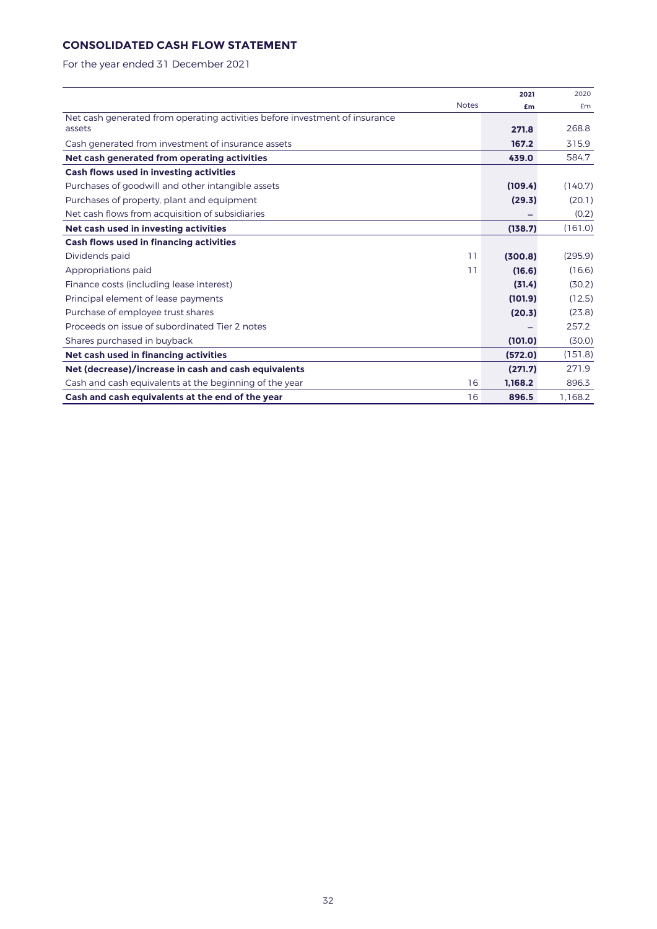# **CONSOLIDATED CASH FLOW STATEMENT**

For the year ended 31 December 2021

|                                                                             |              | 2021    | 2020    |
|-----------------------------------------------------------------------------|--------------|---------|---------|
|                                                                             | <b>Notes</b> | £m      | £m      |
| Net cash generated from operating activities before investment of insurance |              |         |         |
| assets                                                                      |              | 271.8   | 268.8   |
| Cash generated from investment of insurance assets                          |              | 167.2   | 315.9   |
| Net cash generated from operating activities                                |              | 439.0   | 584.7   |
| Cash flows used in investing activities                                     |              |         |         |
| Purchases of goodwill and other intangible assets                           |              | (109.4) | (140.7) |
| Purchases of property, plant and equipment                                  |              | (29.3)  | (20.1)  |
| Net cash flows from acquisition of subsidiaries                             |              |         | (0.2)   |
| Net cash used in investing activities                                       |              | (138.7) | (161.0) |
| Cash flows used in financing activities                                     |              |         |         |
| Dividends paid                                                              | 11           | (300.8) | (295.9) |
| Appropriations paid                                                         | 11           | (16.6)  | (16.6)  |
| Finance costs (including lease interest)                                    |              | (31.4)  | (30.2)  |
| Principal element of lease payments                                         |              | (101.9) | (12.5)  |
| Purchase of employee trust shares                                           |              | (20.3)  | (23.8)  |
| Proceeds on issue of subordinated Tier 2 notes                              |              |         | 257.2   |
| Shares purchased in buyback                                                 |              | (101.0) | (30.0)  |
| Net cash used in financing activities                                       |              | (572.0) | (151.8) |
| Net (decrease)/increase in cash and cash equivalents                        |              | (271.7) | 271.9   |
| Cash and cash equivalents at the beginning of the year                      | 16           | 1.168.2 | 896.3   |
| Cash and cash equivalents at the end of the year                            | 16           | 896.5   | 1.168.2 |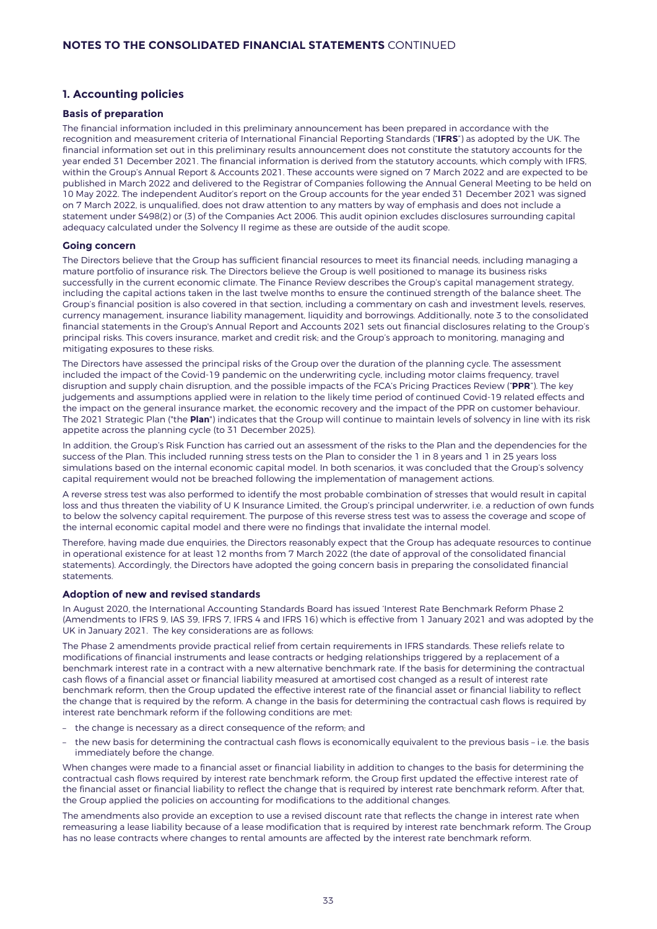## **1. Accounting policies**

#### **Basis of preparation**

The financial information included in this preliminary announcement has been prepared in accordance with the recognition and measurement criteria of International Financial Reporting Standards ("**IFRS**") as adopted by the UK. The financial information set out in this preliminary results announcement does not constitute the statutory accounts for the year ended 31 December 2021. The financial information is derived from the statutory accounts, which comply with IFRS, within the Group's Annual Report & Accounts 2021. These accounts were signed on 7 March 2022 and are expected to be published in March 2022 and delivered to the Registrar of Companies following the Annual General Meeting to be held on 10 May 2022. The independent Auditor's report on the Group accounts for the year ended 31 December 2021 was signed on 7 March 2022, is unqualified, does not draw attention to any matters by way of emphasis and does not include a statement under S498(2) or (3) of the Companies Act 2006. This audit opinion excludes disclosures surrounding capital adequacy calculated under the Solvency II regime as these are outside of the audit scope.

#### **Going concern**

The Directors believe that the Group has sufficient financial resources to meet its financial needs, including managing a mature portfolio of insurance risk. The Directors believe the Group is well positioned to manage its business risks successfully in the current economic climate. The Finance Review describes the Group's capital management strategy, including the capital actions taken in the last twelve months to ensure the continued strength of the balance sheet. The Group's financial position is also covered in that section, including a commentary on cash and investment levels, reserves, currency management, insurance liability management, liquidity and borrowings. Additionally, note 3 to the consolidated financial statements in the Group's Annual Report and Accounts 2021 sets out financial disclosures relating to the Group's principal risks. This covers insurance, market and credit risk; and the Group's approach to monitoring, managing and mitigating exposures to these risks.

The Directors have assessed the principal risks of the Group over the duration of the planning cycle. The assessment included the impact of the Covid-19 pandemic on the underwriting cycle, including motor claims frequency, travel disruption and supply chain disruption, and the possible impacts of the FCA's Pricing Practices Review ("**PPR**"). The key judgements and assumptions applied were in relation to the likely time period of continued Covid-19 related effects and the impact on the general insurance market, the economic recovery and the impact of the PPR on customer behaviour. The 2021 Strategic Plan ("the **Plan**") indicates that the Group will continue to maintain levels of solvency in line with its risk appetite across the planning cycle (to 31 December 2025).

In addition, the Group's Risk Function has carried out an assessment of the risks to the Plan and the dependencies for the success of the Plan. This included running stress tests on the Plan to consider the 1 in 8 years and 1 in 25 years loss simulations based on the internal economic capital model. In both scenarios, it was concluded that the Group's solvency capital requirement would not be breached following the implementation of management actions.

A reverse stress test was also performed to identify the most probable combination of stresses that would result in capital loss and thus threaten the viability of U K Insurance Limited, the Group's principal underwriter, i.e. a reduction of own funds to below the solvency capital requirement. The purpose of this reverse stress test was to assess the coverage and scope of the internal economic capital model and there were no findings that invalidate the internal model.

Therefore, having made due enquiries, the Directors reasonably expect that the Group has adequate resources to continue in operational existence for at least 12 months from 7 March 2022 (the date of approval of the consolidated financial statements). Accordingly, the Directors have adopted the going concern basis in preparing the consolidated financial statements.

#### **Adoption of new and revised standards**

In August 2020, the International Accounting Standards Board has issued 'Interest Rate Benchmark Reform Phase 2 (Amendments to IFRS 9, IAS 39, IFRS 7, IFRS 4 and IFRS 16) which is effective from 1 January 2021 and was adopted by the UK in January 2021. The key considerations are as follows:

The Phase 2 amendments provide practical relief from certain requirements in IFRS standards. These reliefs relate to modifications of financial instruments and lease contracts or hedging relationships triggered by a replacement of a benchmark interest rate in a contract with a new alternative benchmark rate. If the basis for determining the contractual cash flows of a financial asset or financial liability measured at amortised cost changed as a result of interest rate benchmark reform, then the Group updated the effective interest rate of the financial asset or financial liability to reflect the change that is required by the reform. A change in the basis for determining the contractual cash flows is required by interest rate benchmark reform if the following conditions are met:

- the change is necessary as a direct consequence of the reform; and
- the new basis for determining the contractual cash flows is economically equivalent to the previous basis i.e. the basis immediately before the change.

When changes were made to a financial asset or financial liability in addition to changes to the basis for determining the contractual cash flows required by interest rate benchmark reform, the Group first updated the effective interest rate of the financial asset or financial liability to reflect the change that is required by interest rate benchmark reform. After that, the Group applied the policies on accounting for modifications to the additional changes.

The amendments also provide an exception to use a revised discount rate that reflects the change in interest rate when remeasuring a lease liability because of a lease modification that is required by interest rate benchmark reform. The Group has no lease contracts where changes to rental amounts are affected by the interest rate benchmark reform.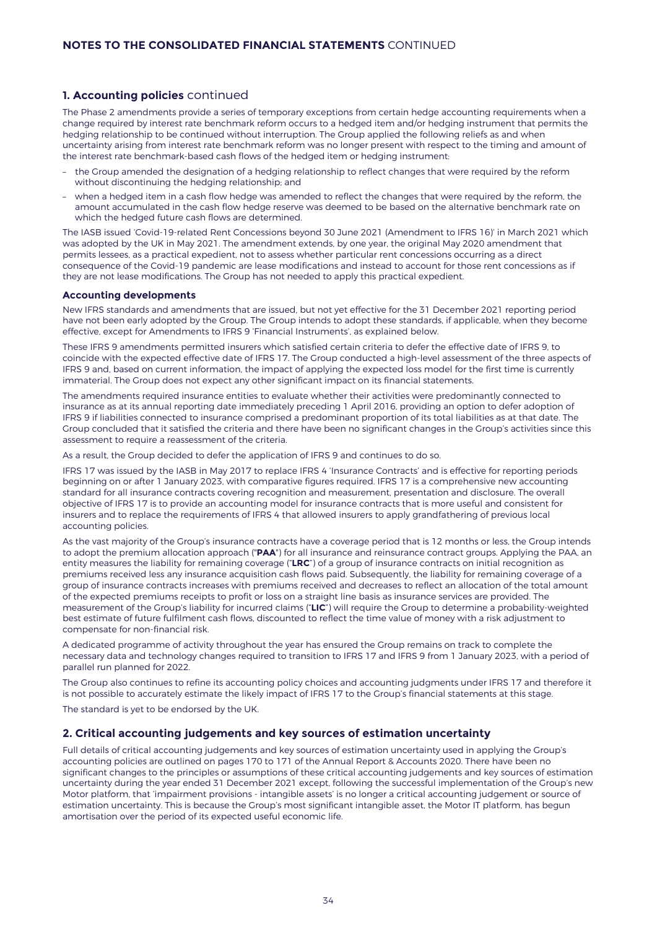## **1. Accounting policies** continued

The Phase 2 amendments provide a series of temporary exceptions from certain hedge accounting requirements when a change required by interest rate benchmark reform occurs to a hedged item and/or hedging instrument that permits the hedging relationship to be continued without interruption. The Group applied the following reliefs as and when uncertainty arising from interest rate benchmark reform was no longer present with respect to the timing and amount of the interest rate benchmark-based cash flows of the hedged item or hedging instrument:

- the Group amended the designation of a hedging relationship to reflect changes that were required by the reform without discontinuing the hedging relationship; and
- when a hedged item in a cash flow hedge was amended to reflect the changes that were required by the reform, the amount accumulated in the cash flow hedge reserve was deemed to be based on the alternative benchmark rate on which the hedged future cash flows are determined.

The IASB issued 'Covid-19-related Rent Concessions beyond 30 June 2021 (Amendment to IFRS 16)' in March 2021 which was adopted by the UK in May 2021. The amendment extends, by one year, the original May 2020 amendment that permits lessees, as a practical expedient, not to assess whether particular rent concessions occurring as a direct consequence of the Covid-19 pandemic are lease modifications and instead to account for those rent concessions as if they are not lease modifications. The Group has not needed to apply this practical expedient.

#### **Accounting developments**

New IFRS standards and amendments that are issued, but not yet effective for the 31 December 2021 reporting period have not been early adopted by the Group. The Group intends to adopt these standards, if applicable, when they become effective, except for Amendments to IFRS 9 'Financial Instruments', as explained below.

These IFRS 9 amendments permitted insurers which satisfied certain criteria to defer the effective date of IFRS 9, to coincide with the expected effective date of IFRS 17. The Group conducted a high-level assessment of the three aspects of IFRS 9 and, based on current information, the impact of applying the expected loss model for the first time is currently immaterial. The Group does not expect any other significant impact on its financial statements.

The amendments required insurance entities to evaluate whether their activities were predominantly connected to insurance as at its annual reporting date immediately preceding 1 April 2016, providing an option to defer adoption of IFRS 9 if liabilities connected to insurance comprised a predominant proportion of its total liabilities as at that date. The Group concluded that it satisfied the criteria and there have been no significant changes in the Group's activities since this assessment to require a reassessment of the criteria.

As a result, the Group decided to defer the application of IFRS 9 and continues to do so.

IFRS 17 was issued by the IASB in May 2017 to replace IFRS 4 'Insurance Contracts' and is effective for reporting periods beginning on or after 1 January 2023, with comparative figures required. IFRS 17 is a comprehensive new accounting standard for all insurance contracts covering recognition and measurement, presentation and disclosure. The overall objective of IFRS 17 is to provide an accounting model for insurance contracts that is more useful and consistent for insurers and to replace the requirements of IFRS 4 that allowed insurers to apply grandfathering of previous local accounting policies.

As the vast majority of the Group's insurance contracts have a coverage period that is 12 months or less, the Group intends to adopt the premium allocation approach ("**PAA**") for all insurance and reinsurance contract groups. Applying the PAA, an entity measures the liability for remaining coverage ("**LRC**") of a group of insurance contracts on initial recognition as premiums received less any insurance acquisition cash flows paid. Subsequently, the liability for remaining coverage of a group of insurance contracts increases with premiums received and decreases to reflect an allocation of the total amount of the expected premiums receipts to profit or loss on a straight line basis as insurance services are provided. The measurement of the Group's liability for incurred claims ("**LIC**") will require the Group to determine a probability-weighted best estimate of future fulfilment cash flows, discounted to reflect the time value of money with a risk adjustment to compensate for non-financial risk.

A dedicated programme of activity throughout the year has ensured the Group remains on track to complete the necessary data and technology changes required to transition to IFRS 17 and IFRS 9 from 1 January 2023, with a period of parallel run planned for 2022.

The Group also continues to refine its accounting policy choices and accounting judgments under IFRS 17 and therefore it is not possible to accurately estimate the likely impact of IFRS 17 to the Group's financial statements at this stage.

The standard is yet to be endorsed by the UK.

#### **2. Critical accounting judgements and key sources of estimation uncertainty**

Full details of critical accounting judgements and key sources of estimation uncertainty used in applying the Group's accounting policies are outlined on pages 170 to 171 of the Annual Report & Accounts 2020. There have been no significant changes to the principles or assumptions of these critical accounting judgements and key sources of estimation uncertainty during the year ended 31 December 2021 except, following the successful implementation of the Group's new Motor platform, that 'impairment provisions - intangible assets' is no longer a critical accounting judgement or source of estimation uncertainty. This is because the Group's most significant intangible asset, the Motor IT platform, has begun amortisation over the period of its expected useful economic life.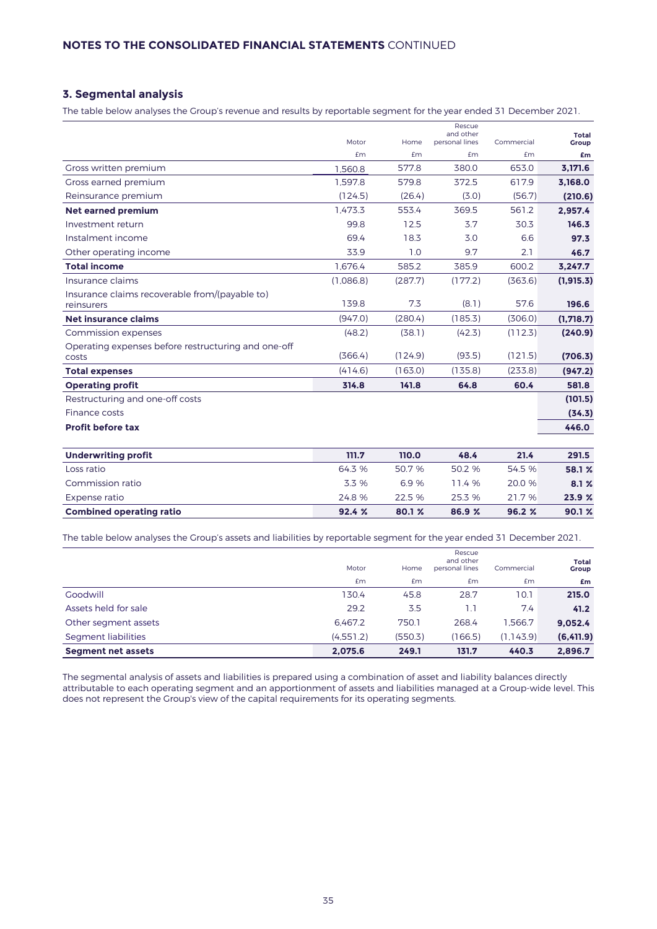# **3. Segmental analysis**

The table below analyses the Group's revenue and results by reportable segment for the year ended 31 December 2021.

|                                                              |           |         | Rescue<br>and other |            | <b>Total</b> |
|--------------------------------------------------------------|-----------|---------|---------------------|------------|--------------|
|                                                              | Motor     | Home    | personal lines      | Commercial | Group        |
|                                                              | £m        | £m      | <b>£m</b>           | £m         | £m           |
| Gross written premium                                        | 1.560.8   | 577.8   | 380.0               | 653.0      | 3.171.6      |
| Gross earned premium                                         | 1.597.8   | 579.8   | 372.5               | 617.9      | 3,168.0      |
| Reinsurance premium                                          | (124.5)   | (26.4)  | (3.0)               | (56.7)     | (210.6)      |
| <b>Net earned premium</b>                                    | 1.473.3   | 553.4   | 369.5               | 561.2      | 2.957.4      |
| Investment return                                            | 99.8      | 12.5    | 3.7                 | 30.3       | 146.3        |
| Instalment income                                            | 69.4      | 18.3    | 3.0                 | 6.6        | 97.3         |
| Other operating income                                       | 33.9      | 1.0     | 9.7                 | 2.1        | 46.7         |
| <b>Total income</b>                                          | 1,676.4   | 585.2   | 385.9               | 600.2      | 3.247.7      |
| Insurance claims                                             | (1,086.8) | (287.7) | (177.2)             | (363.6)    | (1, 915.3)   |
| Insurance claims recoverable from/(payable to)<br>reinsurers | 139.8     | 7.3     | (8.1)               | 57.6       | 196.6        |
| Net insurance claims                                         | (947.0)   | (280.4) | (185.3)             | (306.0)    | (1,718.7)    |
| Commission expenses                                          | (48.2)    | (38.1)  | (42.3)              | (112.3)    | (240.9)      |
| Operating expenses before restructuring and one-off<br>costs | (366.4)   | (124.9) | (93.5)              | (121.5)    | (706.3)      |
| <b>Total expenses</b>                                        | (414.6)   | (163.0) | (135.8)             | (233.8)    | (947.2)      |
| <b>Operating profit</b>                                      | 314.8     | 141.8   | 64.8                | 60.4       | 581.8        |
| Restructuring and one-off costs                              |           |         |                     |            | (101.5)      |
| Finance costs                                                |           |         |                     |            | (34.3)       |
| Profit before tax                                            |           |         |                     |            | 446.0        |
| <b>Underwriting profit</b>                                   | 111.7     | 110.0   | 48.4                | 21.4       | 291.5        |
| Loss ratio                                                   | 64.3 %    | 50.7 %  | 50.2 %              | 54.5 %     | 58.1 %       |
| Commission ratio                                             | 3.3 %     | 6.9%    | 11.4 %              | 20.0 %     | 8.1%         |
| Expense ratio                                                | 24.8 %    | 22.5 %  | 25.3 %              | 21.7%      | 23.9 %       |
| <b>Combined operating ratio</b>                              | 92.4%     | 80.1 %  | 86.9 %              | 96.2 %     | 90.1%        |

The table below analyses the Group's assets and liabilities by reportable segment for the year ended 31 December 2021.

|                           | Motor     | Home    | Rescue<br>and other<br>personal lines | Commercial | Total<br>Group |
|---------------------------|-----------|---------|---------------------------------------|------------|----------------|
|                           | <b>£m</b> | Em      | <b>£m</b>                             | Em         | £m             |
| Goodwill                  | 130.4     | 45.8    | 28.7                                  | 10.1       | 215.0          |
| Assets held for sale      | 29.2      | 3.5     | 1.1                                   | 7.4        | 41.2           |
| Other segment assets      | 6.467.2   | 750.1   | 268.4                                 | 1.566.7    | 9,052.4        |
| Segment liabilities       | (4,551.2) | (550.3) | (166.5)                               | (1.143.9)  | (6, 411.9)     |
| <b>Segment net assets</b> | 2,075.6   | 249.1   | 131.7                                 | 440.3      | 2,896.7        |

The segmental analysis of assets and liabilities is prepared using a combination of asset and liability balances directly attributable to each operating segment and an apportionment of assets and liabilities managed at a Group-wide level. This does not represent the Group's view of the capital requirements for its operating segments.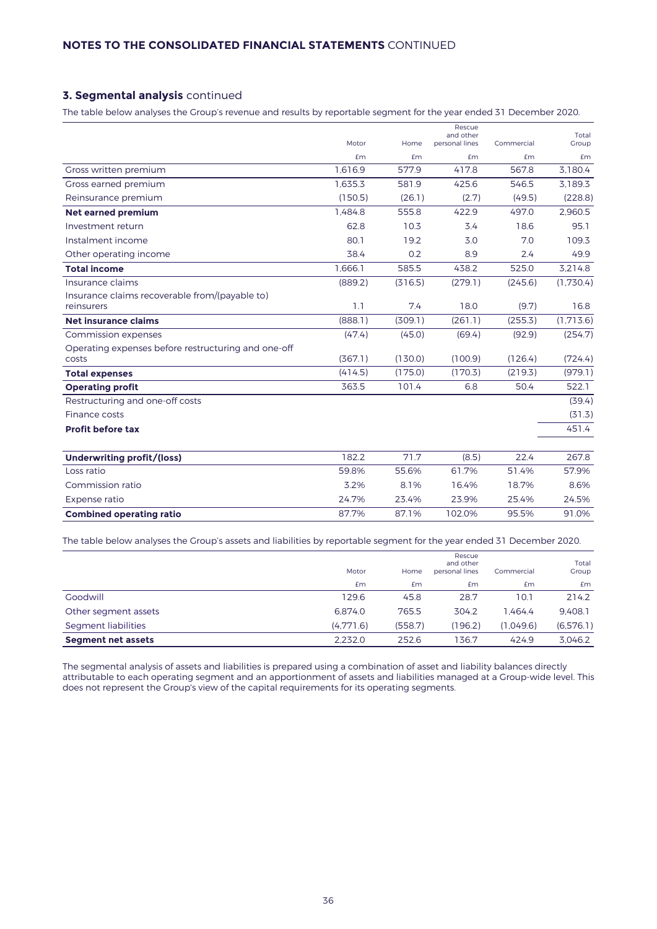# **3. Segmental analysis** continued

The table below analyses the Group's revenue and results by reportable segment for the year ended 31 December 2020.

|                                                              | Motor   | Home    | Rescue<br>and other<br>personal lines | Commercial | Total<br>Group |
|--------------------------------------------------------------|---------|---------|---------------------------------------|------------|----------------|
|                                                              | £m      | £m      | £m                                    | £m         | <b>£m</b>      |
| Gross written premium                                        | 1.616.9 | 577.9   | 417.8                                 | 567.8      | 3.180.4        |
| Gross earned premium                                         | 1.635.3 | 581.9   | 425.6                                 | 546.5      | 3.189.3        |
| Reinsurance premium                                          | (150.5) | (26.1)  | (2.7)                                 | (49.5)     | (228.8)        |
| <b>Net earned premium</b>                                    | 1.484.8 | 555.8   | 422.9                                 | 497.0      | 2.960.5        |
| Investment return                                            | 62.8    | 10.3    | 3.4                                   | 18.6       | 95.1           |
| Instalment income                                            | 80.1    | 19.2    | 3.0                                   | 7.0        | 109.3          |
| Other operating income                                       | 38.4    | 0.2     | 8.9                                   | 2.4        | 49.9           |
| <b>Total income</b>                                          | 1.666.1 | 585.5   | 438.2                                 | 525.0      | 3.214.8        |
| Insurance claims                                             | (889.2) | (316.5) | (279.1)                               | (245.6)    | (1,730.4)      |
| Insurance claims recoverable from/(payable to)<br>reinsurers | 1.1     | 7.4     | 18.0                                  | (9.7)      | 16.8           |
| Net insurance claims                                         | (888.1) | (309.1) | (261.1)                               | (255.3)    | (1.713.6)      |
| Commission expenses                                          | (47.4)  | (45.0)  | (69.4)                                | (92.9)     | (254.7)        |
| Operating expenses before restructuring and one-off<br>costs | (367.1) | (130.0) | (100.9)                               | (126.4)    | (724.4)        |
| <b>Total expenses</b>                                        | (414.5) | (175.0) | (170.3)                               | (219.3)    | (979.1)        |
| <b>Operating profit</b>                                      | 363.5   | 101.4   | 6.8                                   | 50.4       | 522.1          |
| Restructuring and one-off costs                              |         |         |                                       |            | (39.4)         |
| Finance costs                                                |         |         |                                       |            | (31.3)         |
| <b>Profit before tax</b>                                     |         |         |                                       |            | 451.4          |
| <b>Underwriting profit/(loss)</b>                            | 182.2   | 71.7    | (8.5)                                 | 22.4       | 267.8          |
| Loss ratio                                                   | 59.8%   | 55.6%   | 61.7%                                 | 51.4%      | 57.9%          |
| Commission ratio                                             | 3.2%    | 8.1%    | 16.4%                                 | 18.7%      | 8.6%           |
| Expense ratio                                                | 24.7%   | 23.4%   | 23.9%                                 | 25.4%      | 24.5%          |
| <b>Combined operating ratio</b>                              | 87.7%   | 87.1%   | 102.0%                                | 95.5%      | 91.0%          |

The table below analyses the Group's assets and liabilities by reportable segment for the year ended 31 December 2020.

| <b>Segment net assets</b> | 2.232.0   | 252.6   | 136.7                                 | 424.9      | 3.046.2        |
|---------------------------|-----------|---------|---------------------------------------|------------|----------------|
| Segment liabilities       | (4.771.6) | (558.7) | (196.2)                               | (1.049.6)  | (6,576,1)      |
| Other segment assets      | 6.874.0   | 765.5   | 304.2                                 | I.464.4    | 9.408.1        |
| Goodwill                  | 129.6     | 45.8    | 28.7                                  | 10.1       | 214.2          |
|                           | <b>£m</b> | Em      | £m                                    | £m         | <b>£m</b>      |
|                           | Motor     | Home    | Rescue<br>and other<br>personal lines | Commercial | Total<br>Group |

The segmental analysis of assets and liabilities is prepared using a combination of asset and liability balances directly attributable to each operating segment and an apportionment of assets and liabilities managed at a Group-wide level. This does not represent the Group's view of the capital requirements for its operating segments.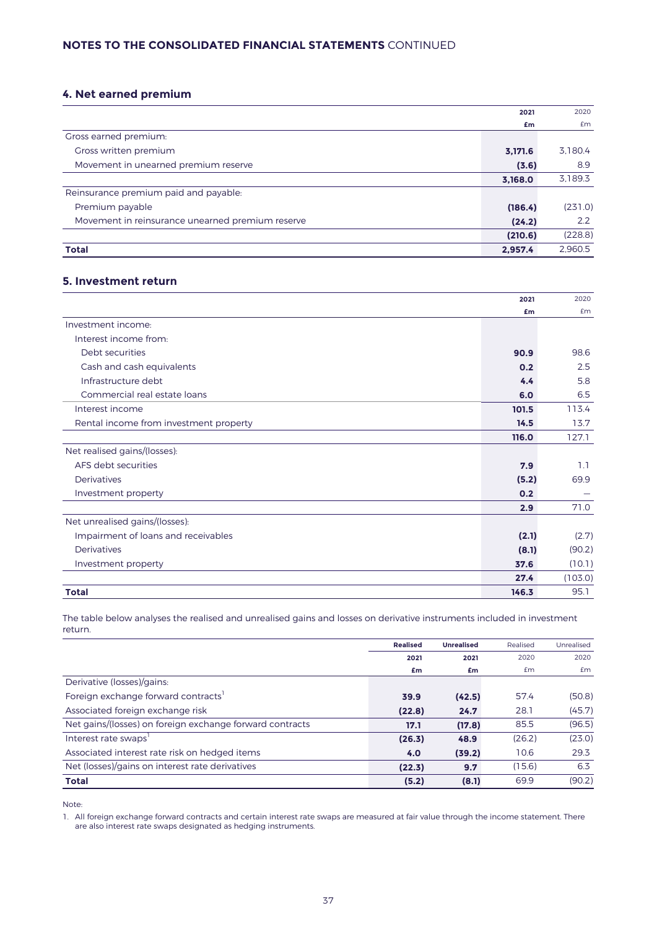# **NOTES TO THE CONSOLIDATED FINANCIAL STATEMENTS** CONTINUED

# **4. Net earned premium**

|                                                  | 2021    | 2020    |
|--------------------------------------------------|---------|---------|
|                                                  | £m      | £m      |
| Gross earned premium:                            |         |         |
| Gross written premium                            | 3,171.6 | 3,180.4 |
| Movement in unearned premium reserve             | (3.6)   | 8.9     |
|                                                  | 3,168.0 | 3.189.3 |
| Reinsurance premium paid and payable:            |         |         |
| Premium payable                                  | (186.4) | (231.0) |
| Movement in reinsurance unearned premium reserve | (24.2)  | 2.2     |
|                                                  | (210.6) | (228.8) |
| <b>Total</b>                                     | 2.957.4 | 2.960.5 |

### **5. Investment return**

|                                        | 2021  | 2020    |
|----------------------------------------|-------|---------|
|                                        | £m    | Em      |
| Investment income:                     |       |         |
| Interest income from:                  |       |         |
| Debt securities                        | 90.9  | 98.6    |
| Cash and cash equivalents              | 0.2   | 2.5     |
| Infrastructure debt                    | 4.4   | 5.8     |
| Commercial real estate loans           | 6.0   | 6.5     |
| Interest income                        | 101.5 | 113.4   |
| Rental income from investment property | 14.5  | 13.7    |
|                                        | 116.0 | 127.1   |
| Net realised gains/(losses):           |       |         |
| AFS debt securities                    | 7.9   | 1.1     |
| Derivatives                            | (5.2) | 69.9    |
| Investment property                    | 0.2   |         |
|                                        | 2.9   | 71.0    |
| Net unrealised gains/(losses):         |       |         |
| Impairment of loans and receivables    | (2.1) | (2.7)   |
| Derivatives                            | (8.1) | (90.2)  |
| Investment property                    | 37.6  | (10.1)  |
|                                        | 27.4  | (103.0) |
| <b>Total</b>                           | 146.3 | 95.1    |

The table below analyses the realised and unrealised gains and losses on derivative instruments included in investment return.

|                                                          | <b>Realised</b> | <b>Unrealised</b> | Realised | Unrealised |
|----------------------------------------------------------|-----------------|-------------------|----------|------------|
|                                                          | 2021            | 2021              | 2020     | 2020       |
|                                                          | £m              | £m                | £m       | £m         |
| Derivative (losses)/gains:                               |                 |                   |          |            |
| Foreign exchange forward contracts                       | 39.9            | (42.5)            | 57.4     | (50.8)     |
| Associated foreign exchange risk                         | (22.8)          | 24.7              | 28.1     | (45.7)     |
| Net gains/(losses) on foreign exchange forward contracts | 17.1            | (17.8)            | 85.5     | (96.5)     |
| Interest rate swaps'                                     | (26.3)          | 48.9              | (26.2)   | (23.0)     |
| Associated interest rate risk on hedged items            | 4.0             | (39.2)            | 10.6     | 29.3       |
| Net (losses)/gains on interest rate derivatives          | (22.3)          | 9.7               | (15.6)   | 6.3        |
| <b>Total</b>                                             | (5.2)           | (8.1)             | 69.9     | (90.2)     |

Note:

1. All foreign exchange forward contracts and certain interest rate swaps are measured at fair value through the income statement. There are also interest rate swaps designated as hedging instruments.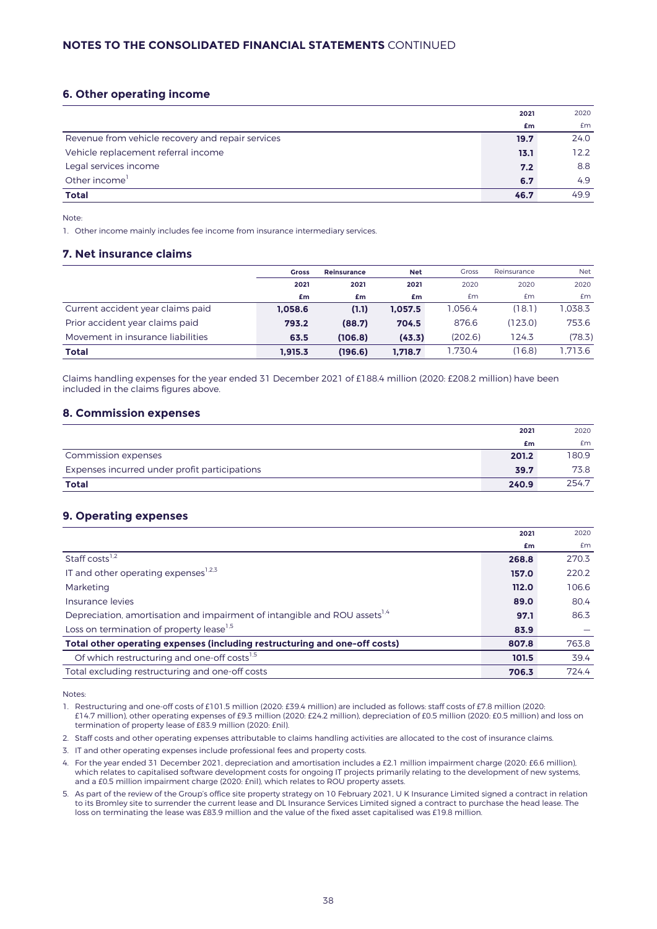# **6. Other operating income**

| £m                                                        | £m   |
|-----------------------------------------------------------|------|
|                                                           |      |
| Revenue from vehicle recovery and repair services<br>19.7 | 24.0 |
| Vehicle replacement referral income<br>13.1               | 12.2 |
| Legal services income<br>7.2                              | 8.8  |
| Other income <sup>1</sup><br>6.7                          | 4.9  |
| <b>Total</b><br>46.7                                      | 49.9 |

Note:

1. Other income mainly includes fee income from insurance intermediary services.

# **7. Net insurance claims**

|                                   | <b>Gross</b> | <b>Reinsurance</b> | <b>Net</b> | <b>Gross</b> | Reinsurance | <b>Net</b> |
|-----------------------------------|--------------|--------------------|------------|--------------|-------------|------------|
|                                   | 2021         | 2021               | 2021       | 2020         | 2020        | 2020       |
|                                   | £m           | £m                 | £m         | Em           | £m          | <b>£m</b>  |
| Current accident year claims paid | 1.058.6      | (1.1)              | 1.057.5    | .056.4       | (18.1)      | 1.038.3    |
| Prior accident year claims paid   | 793.2        | (88.7)             | 704.5      | 876.6        | (123.0)     | 753.6      |
| Movement in insurance liabilities | 63.5         | (106.8)            | (43.3)     | (202.6)      | 124.3       | (78.3)     |
| Total                             | 1.915.3      | (196.6)            | 1.718.7    | .730.4       | (16.8)      | 1.713.6    |

Claims handling expenses for the year ended 31 December 2021 of £188.4 million (2020: £208.2 million) have been included in the claims figures above.

### **8. Commission expenses**

|                                               | 2021  | 2020  |
|-----------------------------------------------|-------|-------|
|                                               | £m    | £m    |
| Commission expenses                           | 201.2 | 180.9 |
| Expenses incurred under profit participations | 39.7  | 73.8  |
| <b>Total</b>                                  | 240.9 | 254.7 |

# **9. Operating expenses**

|                                                                                       | 2021  | 2020  |
|---------------------------------------------------------------------------------------|-------|-------|
|                                                                                       | £m    | Em    |
| Staff costs <sup>1,2</sup>                                                            | 268.8 | 270.3 |
| IT and other operating expenses <sup>1,2,3</sup>                                      | 157.0 | 220.2 |
| Marketing                                                                             | 112.0 | 106.6 |
| Insurance levies                                                                      | 89.0  | 80.4  |
| Depreciation, amortisation and impairment of intangible and ROU assets <sup>1,4</sup> | 97.1  | 86.3  |
| Loss on termination of property lease <sup>1,5</sup>                                  | 83.9  |       |
| Total other operating expenses (including restructuring and one-off costs)            | 807.8 | 763.8 |
| Of which restructuring and one-off costs <sup>1,5</sup>                               | 101.5 | 39.4  |
| Total excluding restructuring and one-off costs                                       | 706.3 | 724.4 |

Notes:

1. Restructuring and one-off costs of £101.5 million (2020: £39.4 million) are included as follows: staff costs of £7.8 million (2020: £14.7 million), other operating expenses of £9.3 million (2020: £24.2 million), depreciation of £0.5 million (2020: £0.5 million) and loss on termination of property lease of £83.9 million (2020: £nil).

2. Staff costs and other operating expenses attributable to claims handling activities are allocated to the cost of insurance claims.

- 3. IT and other operating expenses include professional fees and property costs.
- 4. For the year ended 31 December 2021, depreciation and amortisation includes a £2.1 million impairment charge (2020: £6.6 million), which relates to capitalised software development costs for ongoing IT projects primarily relating to the development of new systems, and a £0.5 million impairment charge (2020: £nil), which relates to ROU property assets.
- 5. As part of the review of the Group's office site property strategy on 10 February 2021, U K Insurance Limited signed a contract in relation to its Bromley site to surrender the current lease and DL Insurance Services Limited signed a contract to purchase the head lease. The loss on terminating the lease was £83.9 million and the value of the fixed asset capitalised was £19.8 million.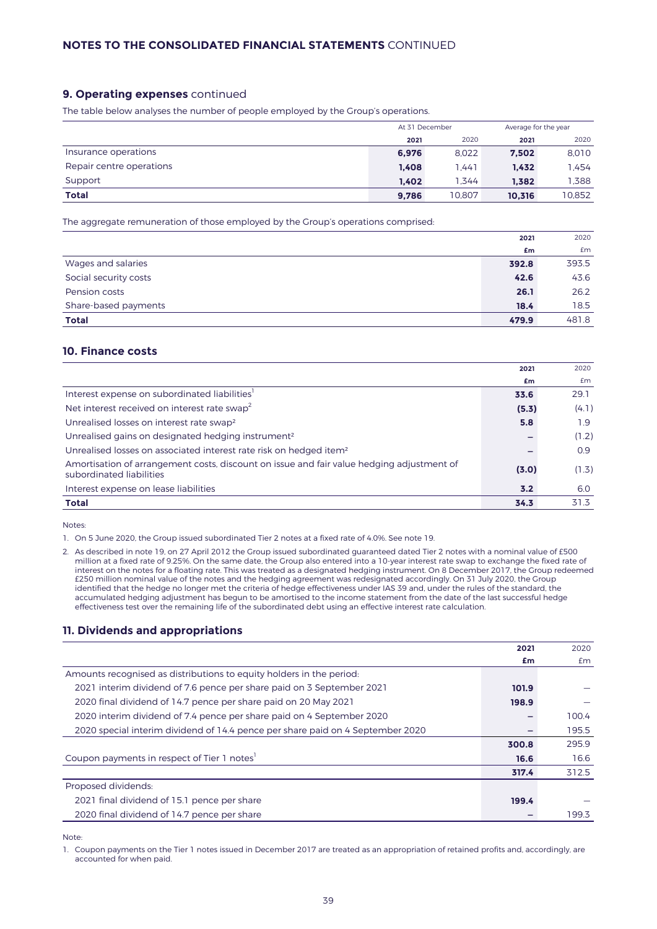# **9. Operating expenses** continued

The table below analyses the number of people employed by the Group's operations.

|                          |       | At 31 December |        | Average for the year |  |  |
|--------------------------|-------|----------------|--------|----------------------|--|--|
|                          | 2021  | 2020           | 2021   | 2020                 |  |  |
| Insurance operations     | 6.976 | 8.022          | 7.502  | 8.010                |  |  |
| Repair centre operations | 1.408 | 1.441          | 1.432  | 1.454                |  |  |
| Support                  | 1.402 | 1.344          | 1.382  | 1.388                |  |  |
| <b>Total</b>             | 9,786 | 10.807         | 10.316 | 10.852               |  |  |

The aggregate remuneration of those employed by the Group's operations comprised:

|                       | 2021  | 2020  |
|-----------------------|-------|-------|
|                       | £m    | £m    |
| Wages and salaries    | 392.8 | 393.5 |
| Social security costs | 42.6  | 43.6  |
| Pension costs         | 26.1  | 26.2  |
| Share-based payments  | 18.4  | 18.5  |
| <b>Total</b>          | 479.9 | 481.8 |

# **10. Finance costs**

|                                                                                                                       | 2021  | 2020  |
|-----------------------------------------------------------------------------------------------------------------------|-------|-------|
|                                                                                                                       | £m    | £m    |
| Interest expense on subordinated liabilities <sup>1</sup>                                                             | 33.6  | 29.1  |
| Net interest received on interest rate swap <sup>2</sup>                                                              | (5.3) | (4.1) |
| Unrealised losses on interest rate swap <sup>2</sup>                                                                  | 5.8   | 1.9   |
| Unrealised gains on designated hedging instrument <sup>2</sup>                                                        |       | (1.2) |
| Unrealised losses on associated interest rate risk on hedged item <sup>2</sup>                                        |       | 0.9   |
| Amortisation of arrangement costs, discount on issue and fair value hedging adjustment of<br>subordinated liabilities | (3.0) | (1.3) |
| Interest expense on lease liabilities                                                                                 | 3.2   | 6.0   |
| Total                                                                                                                 | 34.3  | 31.3  |

Notes:

1. On 5 June 2020, the Group issued subordinated Tier 2 notes at a fixed rate of 4.0%. See note 19.

2. As described in note 19, on 27 April 2012 the Group issued subordinated guaranteed dated Tier 2 notes with a nominal value of £500 million at a fixed rate of 9.25%. On the same date, the Group also entered into a 10-year interest rate swap to exchange the fixed rate of interest on the notes for a floating rate. This was treated as a designated hedging instrument. On 8 December 2017, the Group redeemed £250 million nominal value of the notes and the hedging agreement was redesignated accordingly. On 31 July 2020, the Group identified that the hedge no longer met the criteria of hedge effectiveness under IAS 39 and, under the rules of the standard, the accumulated hedging adjustment has begun to be amortised to the income statement from the date of the last successful hedge effectiveness test over the remaining life of the subordinated debt using an effective interest rate calculation.

### **11. Dividends and appropriations**

| £m<br>£m<br>Amounts recognised as distributions to equity holders in the period.<br>2021 interim dividend of 7.6 pence per share paid on 3 September 2021<br>101.9<br>2020 final dividend of 14.7 pence per share paid on 20 May 2021<br>198.9<br>2020 interim dividend of 7.4 pence per share paid on 4 September 2020<br>100.4<br>2020 special interim dividend of 14.4 pence per share paid on 4 September 2020<br>195.5<br>295.9<br>300.8<br>Coupon payments in respect of Tier 1 notes <sup>1</sup><br>16.6<br>16.6<br>312.5<br>317.4<br>Proposed dividends:<br>2021 final dividend of 15.1 pence per share<br>199.4<br>2020 final dividend of 14.7 pence per share<br>199.3 | 2021 | 2020 |
|-----------------------------------------------------------------------------------------------------------------------------------------------------------------------------------------------------------------------------------------------------------------------------------------------------------------------------------------------------------------------------------------------------------------------------------------------------------------------------------------------------------------------------------------------------------------------------------------------------------------------------------------------------------------------------------|------|------|
|                                                                                                                                                                                                                                                                                                                                                                                                                                                                                                                                                                                                                                                                                   |      |      |
|                                                                                                                                                                                                                                                                                                                                                                                                                                                                                                                                                                                                                                                                                   |      |      |
|                                                                                                                                                                                                                                                                                                                                                                                                                                                                                                                                                                                                                                                                                   |      |      |
|                                                                                                                                                                                                                                                                                                                                                                                                                                                                                                                                                                                                                                                                                   |      |      |
|                                                                                                                                                                                                                                                                                                                                                                                                                                                                                                                                                                                                                                                                                   |      |      |
|                                                                                                                                                                                                                                                                                                                                                                                                                                                                                                                                                                                                                                                                                   |      |      |
|                                                                                                                                                                                                                                                                                                                                                                                                                                                                                                                                                                                                                                                                                   |      |      |
|                                                                                                                                                                                                                                                                                                                                                                                                                                                                                                                                                                                                                                                                                   |      |      |
|                                                                                                                                                                                                                                                                                                                                                                                                                                                                                                                                                                                                                                                                                   |      |      |
|                                                                                                                                                                                                                                                                                                                                                                                                                                                                                                                                                                                                                                                                                   |      |      |
|                                                                                                                                                                                                                                                                                                                                                                                                                                                                                                                                                                                                                                                                                   |      |      |
|                                                                                                                                                                                                                                                                                                                                                                                                                                                                                                                                                                                                                                                                                   |      |      |

Note:

1. Coupon payments on the Tier 1 notes issued in December 2017 are treated as an appropriation of retained profits and, accordingly, are accounted for when paid.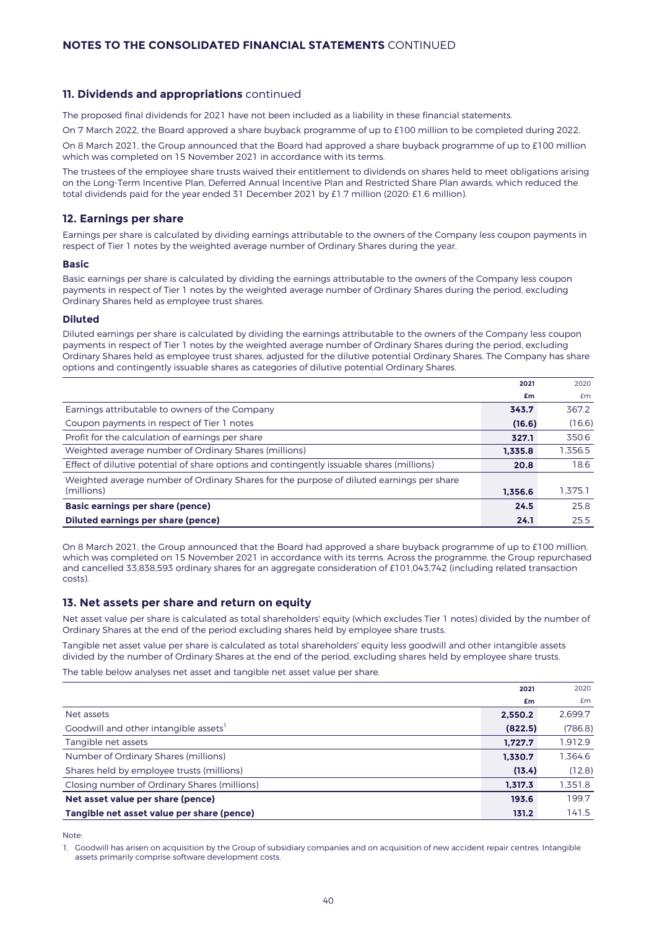### **11. Dividends and appropriations** continued

The proposed final dividends for 2021 have not been included as a liability in these financial statements.

On 7 March 2022, the Board approved a share buyback programme of up to £100 million to be completed during 2022.

On 8 March 2021, the Group announced that the Board had approved a share buyback programme of up to £100 million which was completed on 15 November 2021 in accordance with its terms.

The trustees of the employee share trusts waived their entitlement to dividends on shares held to meet obligations arising on the Long-Term Incentive Plan, Deferred Annual Incentive Plan and Restricted Share Plan awards, which reduced the total dividends paid for the year ended 31 December 2021 by £1.7 million (2020: £1.6 million).

### **12. Earnings per share**

Earnings per share is calculated by dividing earnings attributable to the owners of the Company less coupon payments in respect of Tier 1 notes by the weighted average number of Ordinary Shares during the year.

#### **Basic**

Basic earnings per share is calculated by dividing the earnings attributable to the owners of the Company less coupon payments in respect of Tier 1 notes by the weighted average number of Ordinary Shares during the period, excluding Ordinary Shares held as employee trust shares.

#### **Diluted**

Diluted earnings per share is calculated by dividing the earnings attributable to the owners of the Company less coupon payments in respect of Tier 1 notes by the weighted average number of Ordinary Shares during the period, excluding Ordinary Shares held as employee trust shares, adjusted for the dilutive potential Ordinary Shares. The Company has share options and contingently issuable shares as categories of dilutive potential Ordinary Shares.

|                                                                                           | 2021    | 2020    |
|-------------------------------------------------------------------------------------------|---------|---------|
|                                                                                           | £m      | £m      |
| Earnings attributable to owners of the Company                                            | 343.7   | 367.2   |
| Coupon payments in respect of Tier 1 notes                                                | (16.6)  | (16.6)  |
| Profit for the calculation of earnings per share                                          | 327.1   | 350.6   |
| Weighted average number of Ordinary Shares (millions)                                     | 1.335.8 | 1,356.5 |
| Effect of dilutive potential of share options and contingently issuable shares (millions) | 20.8    | 18.6    |
| Weighted average number of Ordinary Shares for the purpose of diluted earnings per share  |         |         |
| (millions)                                                                                | 1.356.6 | 1.375.1 |
| Basic earnings per share (pence)                                                          | 24.5    | 25.8    |
| Diluted earnings per share (pence)                                                        | 24.1    | 25.5    |

On 8 March 2021, the Group announced that the Board had approved a share buyback programme of up to £100 million, which was completed on 15 November 2021 in accordance with its terms. Across the programme, the Group repurchased and cancelled 33,838,593 ordinary shares for an aggregate consideration of £101,043,742 (including related transaction costs).

#### **13. Net assets per share and return on equity**

Net asset value per share is calculated as total shareholders' equity (which excludes Tier 1 notes) divided by the number of Ordinary Shares at the end of the period excluding shares held by employee share trusts.

Tangible net asset value per share is calculated as total shareholders' equity less goodwill and other intangible assets divided by the number of Ordinary Shares at the end of the period, excluding shares held by employee share trusts. The table below analyses net asset and tangible net asset value per share.

**2021** 2020 **£m** £m Net assets **2,550.2** 2,699.7 Goodwill and other intangible assets<sup>1</sup>  **(822.5)** (786.8) Tangible net assets **1,727.7** 1,912.9 Number of Ordinary Shares (millions) **1,330.7** 1,364.6 Shares held by employee trusts (millions) **(13.4)** (12.8) Closing number of Ordinary Shares (millions) **1,317.3** 1,351.8 **Net asset value per share (pence) 193.6** 199.7 **Tangible net asset value per share (pence)** 131.2 141.5

Note:

1. Goodwill has arisen on acquisition by the Group of subsidiary companies and on acquisition of new accident repair centres. Intangible assets primarily comprise software development costs.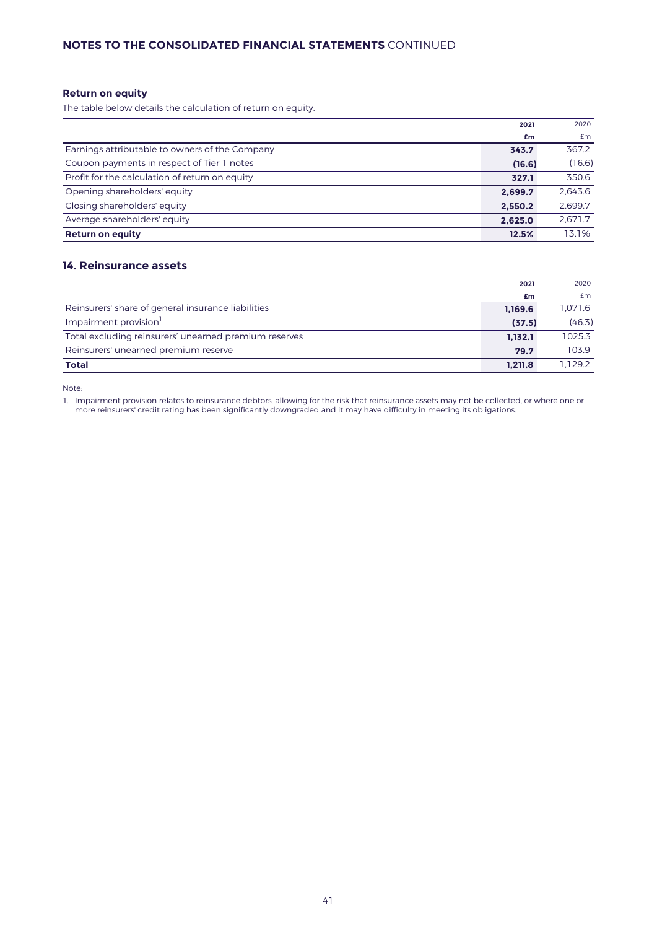# **NOTES TO THE CONSOLIDATED FINANCIAL STATEMENTS** CONTINUED

# **Return on equity**

The table below details the calculation of return on equity.

|                                                | 2021    | 2020    |
|------------------------------------------------|---------|---------|
|                                                | £m      | Em      |
| Earnings attributable to owners of the Company | 343.7   | 367.2   |
| Coupon payments in respect of Tier 1 notes     | (16.6)  | (16.6)  |
| Profit for the calculation of return on equity | 327.1   | 350.6   |
| Opening shareholders' equity                   | 2.699.7 | 2.643.6 |
| Closing shareholders' equity                   | 2,550.2 | 2,699.7 |
| Average shareholders' equity                   | 2,625.0 | 2.671.7 |
| <b>Return on equity</b>                        | 12.5%   | 13.1%   |

# **14. Reinsurance assets**

|                                                       | 2021    | 2020    |
|-------------------------------------------------------|---------|---------|
|                                                       | £m      | £m      |
| Reinsurers' share of general insurance liabilities    | 1,169.6 | 1.071.6 |
| Impairment provision <sup>1</sup>                     | (37.5)  | (46.3)  |
| Total excluding reinsurers' unearned premium reserves | 1.132.1 | 1025.3  |
| Reinsurers' unearned premium reserve                  | 79.7    | 103.9   |
| <b>Total</b>                                          | 1.211.8 | 1.129.2 |

Note:

1. Impairment provision relates to reinsurance debtors, allowing for the risk that reinsurance assets may not be collected, or where one or more reinsurers' credit rating has been significantly downgraded and it may have difficulty in meeting its obligations.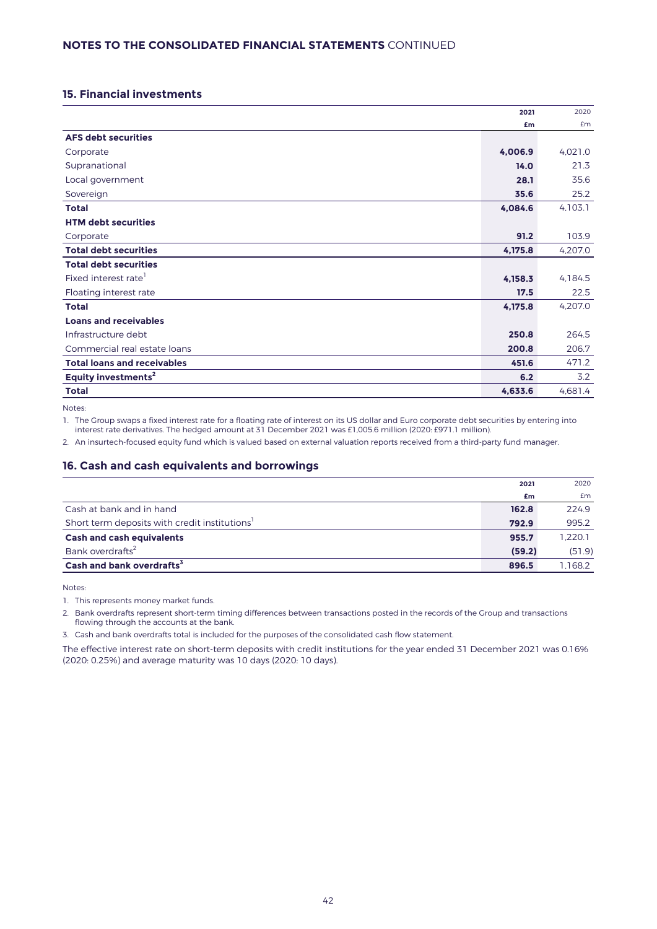# **15. Financial investments**

|                                    | 2021    | 2020    |
|------------------------------------|---------|---------|
|                                    | £m      | £m      |
| <b>AFS debt securities</b>         |         |         |
| Corporate                          | 4,006.9 | 4,021.0 |
| Supranational                      | 14.0    | 21.3    |
| Local government                   | 28.1    | 35.6    |
| Sovereign                          | 35.6    | 25.2    |
| <b>Total</b>                       | 4,084.6 | 4,103.1 |
| <b>HTM debt securities</b>         |         |         |
| Corporate                          | 91.2    | 103.9   |
| <b>Total debt securities</b>       | 4,175.8 | 4,207.0 |
| <b>Total debt securities</b>       |         |         |
| Fixed interest rate <sup>1</sup>   | 4,158.3 | 4,184.5 |
| Floating interest rate             | 17.5    | 22.5    |
| <b>Total</b>                       | 4,175.8 | 4,207.0 |
| <b>Loans and receivables</b>       |         |         |
| Infrastructure debt                | 250.8   | 264.5   |
| Commercial real estate loans       | 200.8   | 206.7   |
| <b>Total loans and receivables</b> | 451.6   | 471.2   |
| Equity investments <sup>2</sup>    | 6.2     | 3.2     |
| <b>Total</b>                       | 4,633.6 | 4,681.4 |

Notes:

1. The Group swaps a fixed interest rate for a floating rate of interest on its US dollar and Euro corporate debt securities by entering into interest rate derivatives. The hedged amount at 31 December 2021 was £1,005.6 million (2020: £971.1 million).

2. An insurtech-focused equity fund which is valued based on external valuation reports received from a third-party fund manager.

# **16. Cash and cash equivalents and borrowings**

|                                                           | 2021   | 2020    |
|-----------------------------------------------------------|--------|---------|
|                                                           | £m     | £m      |
| Cash at bank and in hand                                  | 162.8  | 224.9   |
| Short term deposits with credit institutions <sup>1</sup> | 792.9  | 995.2   |
| <b>Cash and cash equivalents</b>                          | 955.7  | 1.220.1 |
| Bank overdrafts <sup>2</sup>                              | (59.2) | (51.9)  |
| Cash and bank overdrafts <sup>3</sup>                     | 896.5  | 1.168.2 |

Notes:

1. This represents money market funds.

2. Bank overdrafts represent short-term timing differences between transactions posted in the records of the Group and transactions flowing through the accounts at the bank.

3. Cash and bank overdrafts total is included for the purposes of the consolidated cash flow statement.

The effective interest rate on short-term deposits with credit institutions for the year ended 31 December 2021 was 0.16% (2020: 0.25%) and average maturity was 10 days (2020: 10 days).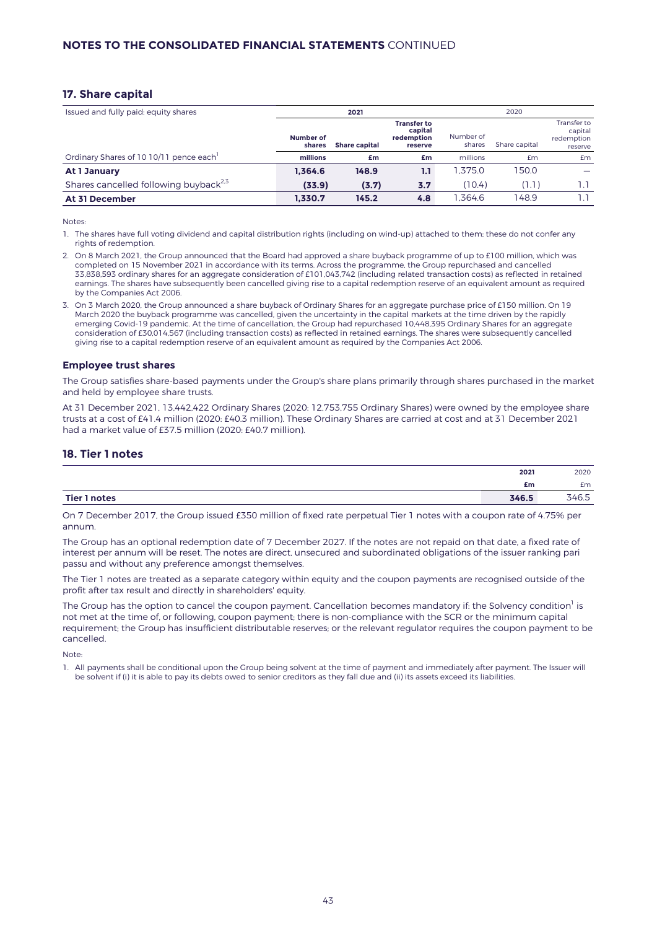### **17. Share capital**

| Issued and fully paid: equity shares              | 2021                |                      |                                                        |                     | 2020          |                                                 |  |
|---------------------------------------------------|---------------------|----------------------|--------------------------------------------------------|---------------------|---------------|-------------------------------------------------|--|
|                                                   | Number of<br>shares | <b>Share capital</b> | <b>Transfer to</b><br>capital<br>redemption<br>reserve | Number of<br>shares | Share capital | Transfer to<br>capital<br>redemption<br>reserve |  |
| Ordinary Shares of 10 10/11 pence each            | millions            | £m                   | £m                                                     | millions            | £m            | <b>£m</b>                                       |  |
| At 1 January                                      | 1.364.6             | 148.9                | 1.1                                                    | 1.375.0             | 150.0         |                                                 |  |
| Shares cancelled following buyback <sup>2,5</sup> | (33.9)              | (3.7)                | 3.7                                                    | (10.4)              | (1.1)         | 1.1                                             |  |
| <b>At 31 December</b>                             | 1.330.7             | 145.2                | 4.8                                                    | .364.6              | 148.9         |                                                 |  |

Notes:

1. The shares have full voting dividend and capital distribution rights (including on wind-up) attached to them; these do not confer any rights of redemption.

- 2. On 8 March 2021, the Group announced that the Board had approved a share buyback programme of up to £100 million, which was completed on 15 November 2021 in accordance with its terms. Across the programme, the Group repurchased and cancelled 33,838,593 ordinary shares for an aggregate consideration of £101,043,742 (including related transaction costs) as reflected in retained earnings. The shares have subsequently been cancelled giving rise to a capital redemption reserve of an equivalent amount as required by the Companies Act 2006.
- 3. On 3 March 2020, the Group announced a share buyback of Ordinary Shares for an aggregate purchase price of £150 million. On 19 March 2020 the buyback programme was cancelled, given the uncertainty in the capital markets at the time driven by the rapidly emerging Covid-19 pandemic. At the time of cancellation, the Group had repurchased 10,448,395 Ordinary Shares for an aggregate consideration of £30,014,567 (including transaction costs) as reflected in retained earnings. The shares were subsequently cancelled giving rise to a capital redemption reserve of an equivalent amount as required by the Companies Act 2006.

#### **Employee trust shares**

The Group satisfies share-based payments under the Group's share plans primarily through shares purchased in the market and held by employee share trusts.

At 31 December 2021, 13,442,422 Ordinary Shares (2020: 12,753,755 Ordinary Shares) were owned by the employee share trusts at a cost of £41.4 million (2020: £40.3 million). These Ordinary Shares are carried at cost and at 31 December 2021 had a market value of £37.5 million (2020: £40.7 million).

# **18. Tier 1 notes**

|              | 2021         | 2020              |
|--------------|--------------|-------------------|
|              | £m           | £m                |
| Tier 1 notes | ZAC<br>540.5 | $C \Gamma$<br>◡.◡ |

On 7 December 2017, the Group issued £350 million of fixed rate perpetual Tier 1 notes with a coupon rate of 4.75% per annum.

The Group has an optional redemption date of 7 December 2027. If the notes are not repaid on that date, a fixed rate of interest per annum will be reset. The notes are direct, unsecured and subordinated obligations of the issuer ranking pari passu and without any preference amongst themselves.

The Tier 1 notes are treated as a separate category within equity and the coupon payments are recognised outside of the profit after tax result and directly in shareholders' equity.

The Group has the option to cancel the coupon payment. Cancellation becomes mandatory if: the Solvency condition $^{\rm l}$  is not met at the time of, or following, coupon payment; there is non-compliance with the SCR or the minimum capital requirement; the Group has insufficient distributable reserves; or the relevant regulator requires the coupon payment to be cancelled.

Note:

1. All payments shall be conditional upon the Group being solvent at the time of payment and immediately after payment. The Issuer will be solvent if (i) it is able to pay its debts owed to senior creditors as they fall due and (ii) its assets exceed its liabilities.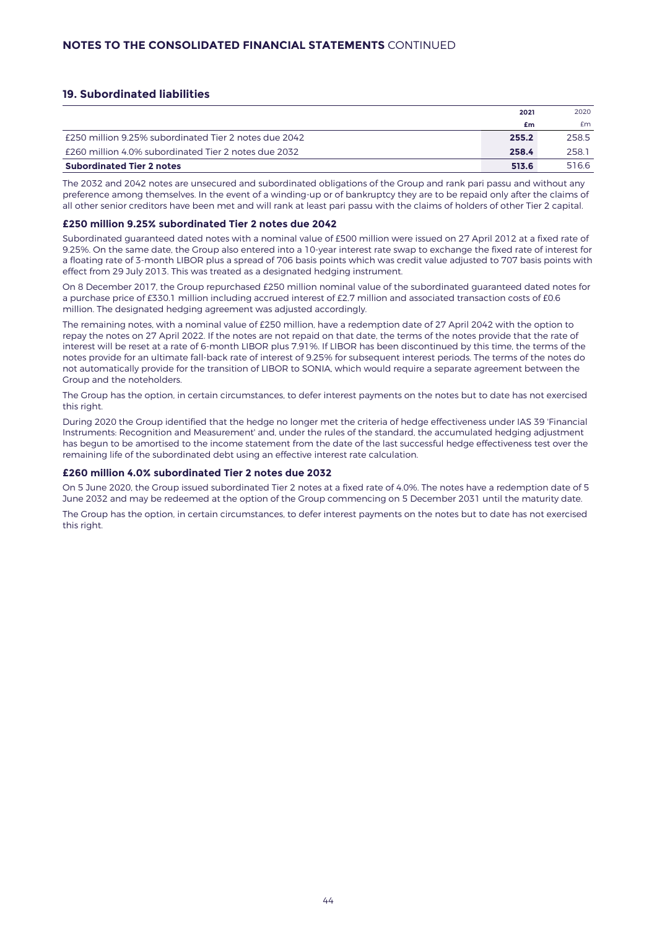# **19. Subordinated liabilities**

|                                                       | 2021  | 2020  |
|-------------------------------------------------------|-------|-------|
|                                                       | £m    | £m    |
| £250 million 9.25% subordinated Tier 2 notes due 2042 | 255.2 | 258.5 |
| £260 million 4.0% subordinated Tier 2 notes due 2032  | 258.4 | 258.1 |
| <b>Subordinated Tier 2 notes</b>                      | 513.6 | 516.6 |

The 2032 and 2042 notes are unsecured and subordinated obligations of the Group and rank pari passu and without any preference among themselves. In the event of a winding-up or of bankruptcy they are to be repaid only after the claims of all other senior creditors have been met and will rank at least pari passu with the claims of holders of other Tier 2 capital.

#### **£250 million 9.25% subordinated Tier 2 notes due 2042**

Subordinated guaranteed dated notes with a nominal value of £500 million were issued on 27 April 2012 at a fixed rate of 9.25%. On the same date, the Group also entered into a 10-year interest rate swap to exchange the fixed rate of interest for a floating rate of 3-month LIBOR plus a spread of 706 basis points which was credit value adjusted to 707 basis points with effect from 29 July 2013. This was treated as a designated hedging instrument.

On 8 December 2017, the Group repurchased £250 million nominal value of the subordinated guaranteed dated notes for a purchase price of £330.1 million including accrued interest of £2.7 million and associated transaction costs of £0.6 million. The designated hedging agreement was adjusted accordingly.

The remaining notes, with a nominal value of £250 million, have a redemption date of 27 April 2042 with the option to repay the notes on 27 April 2022. If the notes are not repaid on that date, the terms of the notes provide that the rate of interest will be reset at a rate of 6-month LIBOR plus 7.91%. If LIBOR has been discontinued by this time, the terms of the notes provide for an ultimate fall-back rate of interest of 9.25% for subsequent interest periods. The terms of the notes do not automatically provide for the transition of LIBOR to SONIA, which would require a separate agreement between the Group and the noteholders.

The Group has the option, in certain circumstances, to defer interest payments on the notes but to date has not exercised this right.

During 2020 the Group identified that the hedge no longer met the criteria of hedge effectiveness under IAS 39 'Financial Instruments: Recognition and Measurement' and, under the rules of the standard, the accumulated hedging adjustment has begun to be amortised to the income statement from the date of the last successful hedge effectiveness test over the remaining life of the subordinated debt using an effective interest rate calculation.

#### **£260 million 4.0% subordinated Tier 2 notes due 2032**

On 5 June 2020, the Group issued subordinated Tier 2 notes at a fixed rate of 4.0%. The notes have a redemption date of 5 June 2032 and may be redeemed at the option of the Group commencing on 5 December 2031 until the maturity date.

The Group has the option, in certain circumstances, to defer interest payments on the notes but to date has not exercised this right.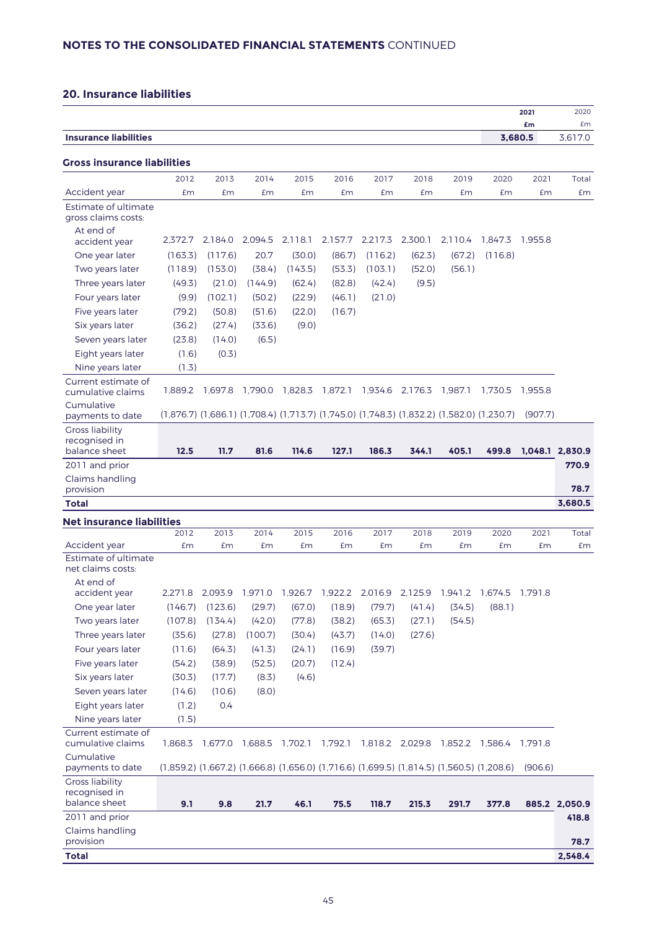# **20. Insurance liabilities**

|                                                          |         |                         |         |         |                                                                                           |                 |         |                                 |                                                                         | 2021          | 2020            |
|----------------------------------------------------------|---------|-------------------------|---------|---------|-------------------------------------------------------------------------------------------|-----------------|---------|---------------------------------|-------------------------------------------------------------------------|---------------|-----------------|
| <b>Insurance liabilities</b>                             |         |                         |         |         |                                                                                           |                 |         |                                 |                                                                         | £m<br>3,680.5 | £m<br>3,617.0   |
|                                                          |         |                         |         |         |                                                                                           |                 |         |                                 |                                                                         |               |                 |
| Gross insurance liabilities                              |         |                         |         |         |                                                                                           |                 |         |                                 |                                                                         |               |                 |
|                                                          | 2012    | 2013                    | 2014    | 2015    | 2016                                                                                      | 2017            | 2018    | 2019                            | 2020                                                                    | 2021          | Total           |
| Accident year                                            | £m      | £m                      | £m      | £m      | £m                                                                                        | £m              | £m      | £m                              | £m                                                                      | £m            | £m              |
| Estimate of ultimate<br>gross claims costs:              |         |                         |         |         |                                                                                           |                 |         |                                 |                                                                         |               |                 |
| At end of                                                |         |                         |         |         |                                                                                           |                 |         |                                 |                                                                         |               |                 |
| accident year                                            | 2.372.7 | 2.184.0                 | 2,094.5 | 2,118.1 | 2,157.7                                                                                   | 2,217.3         | 2,300.1 | 2,110.4                         | 1.847.3                                                                 | 1.955.8       |                 |
| One year later                                           | (163.3) | (117.6)                 | 20.7    | (30.0)  | (86.7)                                                                                    | (116.2)         | (62.3)  | (67.2)                          | (116.8)                                                                 |               |                 |
| Two years later                                          | (118.9) | (153.0)                 | (38.4)  | (143.5) | (53.3)                                                                                    | (103.1)         | (52.0)  | (56.1)                          |                                                                         |               |                 |
| Three years later                                        | (49.3)  | (21.0)                  | (144.9) | (62.4)  | (82.8)                                                                                    | (42.4)          | (9.5)   |                                 |                                                                         |               |                 |
| Four years later                                         | (9.9)   | (102.1)                 | (50.2)  | (22.9)  | (46.1)                                                                                    | (21.0)          |         |                                 |                                                                         |               |                 |
| Five years later                                         | (79.2)  | (50.8)                  | (51.6)  | (22.0)  | (16.7)                                                                                    |                 |         |                                 |                                                                         |               |                 |
| Six years later                                          | (36.2)  | (27.4)                  | (33.6)  | (9.0)   |                                                                                           |                 |         |                                 |                                                                         |               |                 |
| Seven years later                                        | (23.8)  | (14.0)                  | (6.5)   |         |                                                                                           |                 |         |                                 |                                                                         |               |                 |
| Eight years later                                        | (1.6)   | (0.3)                   |         |         |                                                                                           |                 |         |                                 |                                                                         |               |                 |
| Nine years later                                         | (1.3)   |                         |         |         |                                                                                           |                 |         |                                 |                                                                         |               |                 |
| Current estimate of<br>cumulative claims                 | 1,889.2 | 1,697.8 1,790.0         |         | 1,828.3 | 1,872.1                                                                                   | 1,934.6 2,176.3 |         | 1,987.1                         | 1,730.5                                                                 | 1,955.8       |                 |
| Cumulative<br>payments to date                           |         |                         |         |         | (1,876.7) (1,686.1) (1,708.4) (1,713.7) (1,745.0) (1,748.3) (1,832.2) (1,582.0) (1,230.7) |                 |         |                                 |                                                                         | (907.7)       |                 |
| <b>Gross liability</b>                                   |         |                         |         |         |                                                                                           |                 |         |                                 |                                                                         |               |                 |
| recognised in<br>balance sheet                           | 12.5    | 11.7                    | 81.6    | 114.6   | 127.1                                                                                     | 186.3           | 344.1   | 405.1                           | 499.8                                                                   |               | 1,048.1 2,830.9 |
| 2011 and prior                                           |         |                         |         |         |                                                                                           |                 |         |                                 |                                                                         |               | 770.9           |
| Claims handling<br>provision                             |         |                         |         |         |                                                                                           |                 |         |                                 |                                                                         |               | 78.7            |
| <b>Total</b>                                             |         |                         |         |         |                                                                                           |                 |         |                                 |                                                                         |               | 3,680.5         |
| <b>Net insurance liabilities</b>                         |         |                         |         |         |                                                                                           |                 |         |                                 |                                                                         |               |                 |
|                                                          | 2012    | 2013                    | 2014    | 2015    | 2016                                                                                      | 2017            | 2018    | 2019                            | 2020                                                                    | 2021          | Total           |
| Accident year                                            | £m      | £m                      | £m      | £m      | £m                                                                                        | £m              | £m      | £m                              | £m                                                                      | £m            | £m              |
| Estimate of ultimate<br>net claims costs:                |         |                         |         |         |                                                                                           |                 |         |                                 |                                                                         |               |                 |
| At end of<br>accident year                               | 2.271.8 |                         |         |         |                                                                                           |                 |         |                                 | 2,093.9 1,971.0 1,926.7 1,922.2 2,016.9 2,125.9 1,941.2 1,674.5 1,791.8 |               |                 |
| One year later                                           | (146.7) | (123.6)                 | (29.7)  | (67.0)  | (18.9)                                                                                    | (79.7)          | (41.4)  | (34.5)                          | (88.1)                                                                  |               |                 |
| Two years later                                          | (107.8) | (134.4)                 | (42.0)  | (77.8)  | (38.2)                                                                                    | (65.3)          | (27.1)  | (54.5)                          |                                                                         |               |                 |
| Three years later                                        | (35.6)  | (27.8)                  | (100.7) | (30.4)  | (43.7)                                                                                    | (14.0)          | (27.6)  |                                 |                                                                         |               |                 |
| Four years later                                         | (11.6)  | (64.3)                  | (41.3)  | (24.1)  | (16.9)                                                                                    | (39.7)          |         |                                 |                                                                         |               |                 |
| Five years later                                         | (54.2)  | (38.9)                  | (52.5)  | (20.7)  | (12.4)                                                                                    |                 |         |                                 |                                                                         |               |                 |
| Six years later                                          | (30.3)  | (17.7)                  | (8.3)   | (4.6)   |                                                                                           |                 |         |                                 |                                                                         |               |                 |
| Seven years later                                        | (14.6)  | (10.6)                  | (8.0)   |         |                                                                                           |                 |         |                                 |                                                                         |               |                 |
| Eight years later                                        | (1.2)   | 0.4                     |         |         |                                                                                           |                 |         |                                 |                                                                         |               |                 |
| Nine years later                                         | (1.5)   |                         |         |         |                                                                                           |                 |         |                                 |                                                                         |               |                 |
| Current estimate of                                      |         |                         |         |         |                                                                                           |                 |         |                                 |                                                                         |               |                 |
| cumulative claims<br>Cumulative                          | 1,868.3 | 1,677.0 1,688.5 1,702.1 |         |         | 1,792.1                                                                                   |                 |         | 1,818.2 2,029.8 1,852.2 1,586.4 |                                                                         | 1,791.8       |                 |
| payments to date                                         |         |                         |         |         | (1,859.2) (1,667.2) (1,666.8) (1,656.0) (1,716.6) (1,699.5) (1,814.5) (1,560.5) (1,208.6) |                 |         |                                 |                                                                         | (906.6)       |                 |
| <b>Gross liability</b><br>recognised in<br>balance sheet | 9.1     | 9.8                     | 21.7    | 46.1    | 75.5                                                                                      | 118.7           | 215.3   | 291.7                           | 377.8                                                                   |               | 885.2 2,050.9   |
| 2011 and prior                                           |         |                         |         |         |                                                                                           |                 |         |                                 |                                                                         |               | 418.8           |
| Claims handling<br>provision                             |         |                         |         |         |                                                                                           |                 |         |                                 |                                                                         |               | 78.7            |
| <b>Total</b>                                             |         |                         |         |         |                                                                                           |                 |         |                                 |                                                                         |               | 2,548.4         |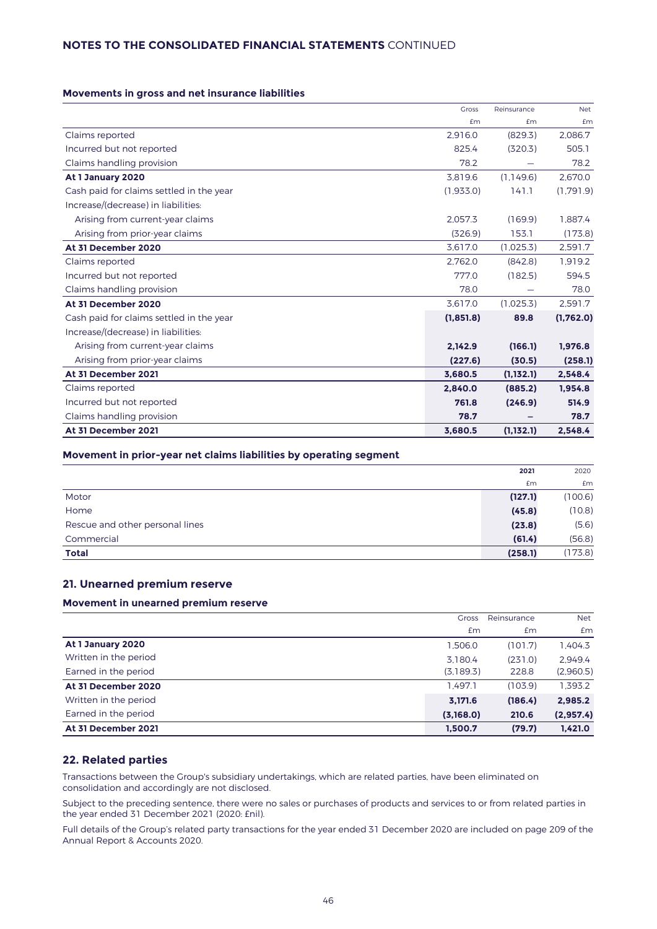# **NOTES TO THE CONSOLIDATED FINANCIAL STATEMENTS** CONTINUED

#### **Movements in gross and net insurance liabilities**

|                                          | <b>Gross</b> | Reinsurance | <b>Net</b> |
|------------------------------------------|--------------|-------------|------------|
|                                          | £m           | £m          | £m         |
| Claims reported                          | 2.916.0      | (829.3)     | 2.086.7    |
| Incurred but not reported                | 825.4        | (320.3)     | 505.1      |
| Claims handling provision                | 78.2         |             | 78.2       |
| At 1 January 2020                        | 3,819.6      | (1.149.6)   | 2,670.0    |
| Cash paid for claims settled in the year | (1,933.0)    | 141.1       | (1.791.9)  |
| Increase/(decrease) in liabilities:      |              |             |            |
| Arising from current-year claims         | 2,057.3      | (169.9)     | 1,887.4    |
| Arising from prior-year claims           | (326.9)      | 153.1       | (173.8)    |
| At 31 December 2020                      | 3.617.0      | (1,025.3)   | 2.591.7    |
| Claims reported                          | 2.762.0      | (842.8)     | 1.919.2    |
| Incurred but not reported                | 777.0        | (182.5)     | 594.5      |
| Claims handling provision                | 78.0         |             | 78.0       |
| At 31 December 2020                      | 3.617.0      | (1,025.3)   | 2.591.7    |
| Cash paid for claims settled in the year | (1, 851.8)   | 89.8        | (1,762.0)  |
| Increase/(decrease) in liabilities:      |              |             |            |
| Arising from current-year claims         | 2.142.9      | (166.1)     | 1,976.8    |
| Arising from prior-year claims           | (227.6)      | (30.5)      | (258.1)    |
| At 31 December 2021                      | 3,680.5      | (1,132.1)   | 2,548.4    |
| Claims reported                          | 2,840.0      | (885.2)     | 1,954.8    |
| Incurred but not reported                | 761.8        | (246.9)     | 514.9      |
| Claims handling provision                | 78.7         |             | 78.7       |
| At 31 December 2021                      | 3,680.5      | (1,132.1)   | 2,548.4    |

#### **Movement in prior-year net claims liabilities by operating segment**

|                                 | 2021    | 2020    |
|---------------------------------|---------|---------|
|                                 | £m      | Em      |
| Motor                           | (127.1) | (100.6) |
| Home                            | (45.8)  | (10.8)  |
| Rescue and other personal lines | (23.8)  | (5.6)   |
| Commercial                      | (61.4)  | (56.8)  |
| <b>Total</b>                    | (258.1) | (173.8) |

### **21. Unearned premium reserve**

#### **Movement in unearned premium reserve**

|                       | <b>Gross</b> | Reinsurance   | <b>Net</b>    |
|-----------------------|--------------|---------------|---------------|
|                       | £m           | $\mathsf{fm}$ | $\mathsf{fm}$ |
| At 1 January 2020     | 1,506.0      | (101.7)       | 1,404.3       |
| Written in the period | 3.180.4      | (231.0)       | 2.949.4       |
| Earned in the period  | (3,189.3)    | 228.8         | (2,960.5)     |
| At 31 December 2020   | 1.497.1      | (103.9)       | 1,393.2       |
| Written in the period | 3.171.6      | (186.4)       | 2,985.2       |
| Earned in the period  | (3,168.0)    | 210.6         | (2,957.4)     |
| At 31 December 2021   | 1,500.7      | (79.7)        | 1,421.0       |

### **22. Related parties**

Transactions between the Group's subsidiary undertakings, which are related parties, have been eliminated on consolidation and accordingly are not disclosed.

Subject to the preceding sentence, there were no sales or purchases of products and services to or from related parties in the year ended 31 December 2021 (2020: £nil).

Full details of the Group's related party transactions for the year ended 31 December 2020 are included on page 209 of the Annual Report & Accounts 2020.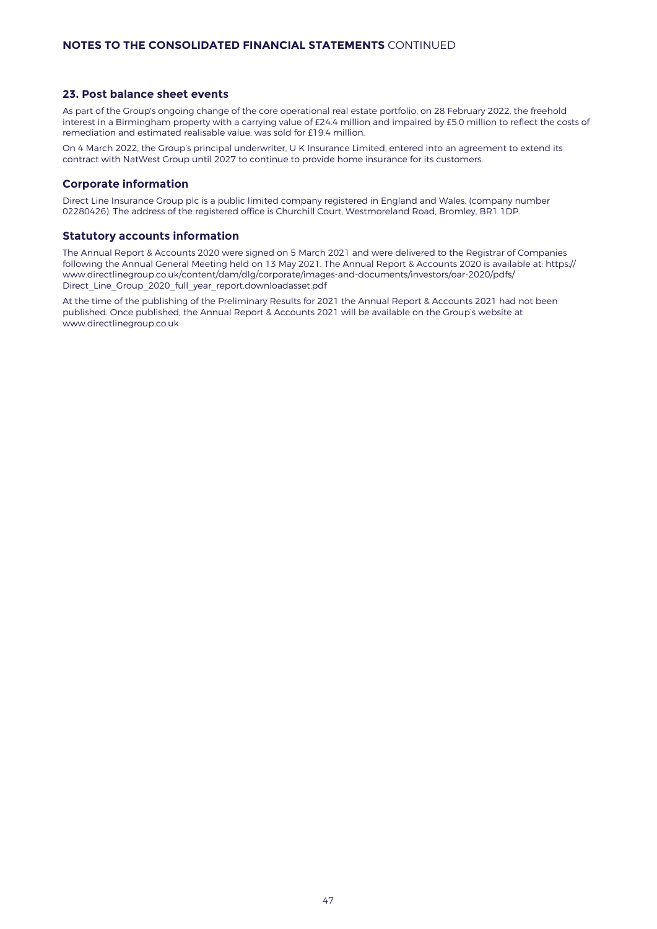### **23. Post balance sheet events**

As part of the Group's ongoing change of the core operational real estate portfolio, on 28 February 2022, the freehold interest in a Birmingham property with a carrying value of £24.4 million and impaired by £5.0 million to reflect the costs of remediation and estimated realisable value, was sold for £19.4 million.

On 4 March 2022, the Group's principal underwriter, U K Insurance Limited, entered into an agreement to extend its contract with NatWest Group until 2027 to continue to provide home insurance for its customers.

#### **Corporate information**

Direct Line Insurance Group plc is a public limited company registered in England and Wales, (company number 02280426). The address of the registered office is Churchill Court, Westmoreland Road, Bromley, BR1 1DP.

## **Statutory accounts information**

The Annual Report & Accounts 2020 were signed on 5 March 2021 and were delivered to the Registrar of Companies following the Annual General Meeting held on 13 May 2021. The Annual Report & Accounts 2020 is available at: https:// www.directlinegroup.co.uk/content/dam/dlg/corporate/images-and-documents/investors/oar-2020/pdfs/ Direct\_Line\_Group\_2020\_full\_year\_report.downloadasset.pdf

At the time of the publishing of the Preliminary Results for 2021 the Annual Report & Accounts 2021 had not been published. Once published, the Annual Report & Accounts 2021 will be available on the Group's website at [www.directlinegroup.co.uk](http://www.directlinegroup.co.uk)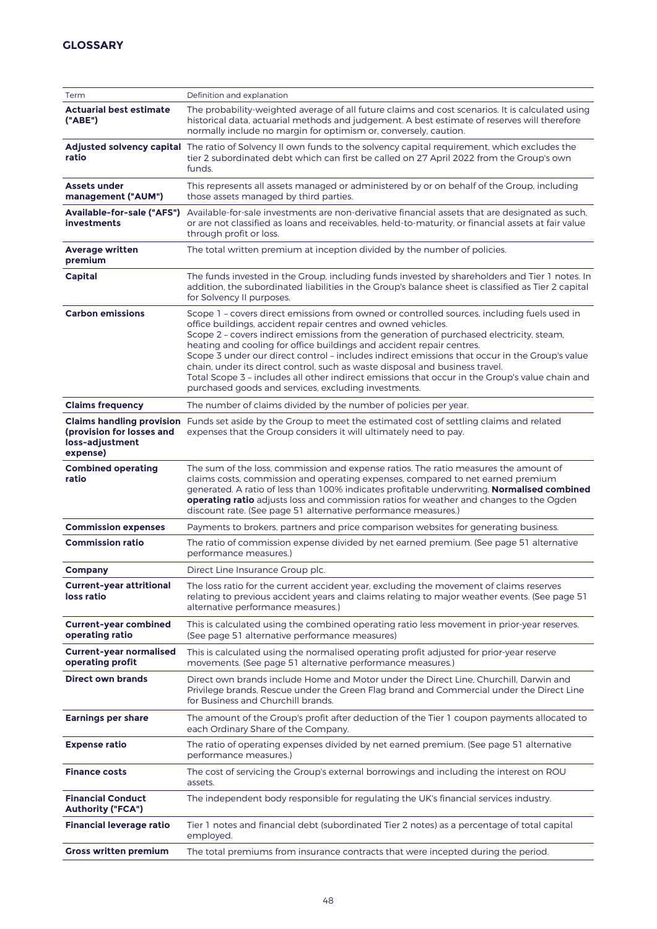| Term                                                     | Definition and explanation                                                                                                                                                                                                                                                                                                                                                                                                                                                                                                                                                                                                                                                     |
|----------------------------------------------------------|--------------------------------------------------------------------------------------------------------------------------------------------------------------------------------------------------------------------------------------------------------------------------------------------------------------------------------------------------------------------------------------------------------------------------------------------------------------------------------------------------------------------------------------------------------------------------------------------------------------------------------------------------------------------------------|
| <b>Actuarial best estimate</b><br>("ABE")                | The probability-weighted average of all future claims and cost scenarios. It is calculated using<br>historical data, actuarial methods and judgement. A best estimate of reserves will therefore<br>normally include no margin for optimism or, conversely, caution.                                                                                                                                                                                                                                                                                                                                                                                                           |
| ratio                                                    | Adjusted solvency capital The ratio of Solvency II own funds to the solvency capital requirement, which excludes the<br>tier 2 subordinated debt which can first be called on 27 April 2022 from the Group's own<br>funds.                                                                                                                                                                                                                                                                                                                                                                                                                                                     |
| <b>Assets under</b><br>management ("AUM")                | This represents all assets managed or administered by or on behalf of the Group, including<br>those assets managed by third parties.                                                                                                                                                                                                                                                                                                                                                                                                                                                                                                                                           |
| <b>Available-for-sale ("AFS")</b><br><b>investments</b>  | Available-for-sale investments are non-derivative financial assets that are designated as such,<br>or are not classified as loans and receivables, held-to-maturity, or financial assets at fair value<br>through profit or loss.                                                                                                                                                                                                                                                                                                                                                                                                                                              |
| <b>Average written</b><br>premium                        | The total written premium at inception divided by the number of policies.                                                                                                                                                                                                                                                                                                                                                                                                                                                                                                                                                                                                      |
| Capital                                                  | The funds invested in the Group, including funds invested by shareholders and Tier 1 notes. In<br>addition, the subordinated liabilities in the Group's balance sheet is classified as Tier 2 capital<br>for Solvency II purposes.                                                                                                                                                                                                                                                                                                                                                                                                                                             |
| <b>Carbon emissions</b>                                  | Scope 1 - covers direct emissions from owned or controlled sources, including fuels used in<br>office buildings, accident repair centres and owned vehicles.<br>Scope 2 - covers indirect emissions from the generation of purchased electricity, steam,<br>heating and cooling for office buildings and accident repair centres.<br>Scope 3 under our direct control - includes indirect emissions that occur in the Group's value<br>chain, under its direct control, such as waste disposal and business travel.<br>Total Scope 3 - includes all other indirect emissions that occur in the Group's value chain and<br>purchased goods and services, excluding investments. |
| <b>Claims frequency</b>                                  | The number of claims divided by the number of policies per year.                                                                                                                                                                                                                                                                                                                                                                                                                                                                                                                                                                                                               |
| (provision for losses and<br>loss-adjustment<br>expense) | Claims handling provision Funds set aside by the Group to meet the estimated cost of settling claims and related<br>expenses that the Group considers it will ultimately need to pay.                                                                                                                                                                                                                                                                                                                                                                                                                                                                                          |
| <b>Combined operating</b><br>ratio                       | The sum of the loss, commission and expense ratios. The ratio measures the amount of<br>claims costs, commission and operating expenses, compared to net earned premium<br>generated. A ratio of less than 100% indicates profitable underwriting. Normalised combined<br>operating ratio adjusts loss and commission ratios for weather and changes to the Ogden<br>discount rate. (See page 51 alternative performance measures.)                                                                                                                                                                                                                                            |
| <b>Commission expenses</b>                               | Payments to brokers, partners and price comparison websites for generating business.                                                                                                                                                                                                                                                                                                                                                                                                                                                                                                                                                                                           |
| <b>Commission ratio</b>                                  | The ratio of commission expense divided by net earned premium. (See page 51 alternative<br>performance measures.)                                                                                                                                                                                                                                                                                                                                                                                                                                                                                                                                                              |
| <b>Company</b>                                           | Direct Line Insurance Group plc.                                                                                                                                                                                                                                                                                                                                                                                                                                                                                                                                                                                                                                               |
| <b>Current-year attritional</b><br>loss ratio            | The loss ratio for the current accident year, excluding the movement of claims reserves<br>relating to previous accident years and claims relating to major weather events. (See page 51<br>alternative performance measures.)                                                                                                                                                                                                                                                                                                                                                                                                                                                 |
| <b>Current-year combined</b><br>operating ratio          | This is calculated using the combined operating ratio less movement in prior-year reserves.<br>(See page 51 alternative performance measures)                                                                                                                                                                                                                                                                                                                                                                                                                                                                                                                                  |
| <b>Current-year normalised</b><br>operating profit       | This is calculated using the normalised operating profit adjusted for prior-year reserve<br>movements. (See page 51 alternative performance measures.)                                                                                                                                                                                                                                                                                                                                                                                                                                                                                                                         |
| <b>Direct own brands</b>                                 | Direct own brands include Home and Motor under the Direct Line, Churchill, Darwin and<br>Privilege brands, Rescue under the Green Flag brand and Commercial under the Direct Line<br>for Business and Churchill brands.                                                                                                                                                                                                                                                                                                                                                                                                                                                        |
| <b>Earnings per share</b>                                | The amount of the Group's profit after deduction of the Tier 1 coupon payments allocated to<br>each Ordinary Share of the Company.                                                                                                                                                                                                                                                                                                                                                                                                                                                                                                                                             |
| <b>Expense ratio</b>                                     | The ratio of operating expenses divided by net earned premium. (See page 51 alternative<br>performance measures.)                                                                                                                                                                                                                                                                                                                                                                                                                                                                                                                                                              |
| <b>Finance costs</b>                                     | The cost of servicing the Group's external borrowings and including the interest on ROU<br>assets.                                                                                                                                                                                                                                                                                                                                                                                                                                                                                                                                                                             |
| <b>Financial Conduct</b><br><b>Authority ("FCA")</b>     | The independent body responsible for regulating the UK's financial services industry.                                                                                                                                                                                                                                                                                                                                                                                                                                                                                                                                                                                          |
| <b>Financial leverage ratio</b>                          | Tier 1 notes and financial debt (subordinated Tier 2 notes) as a percentage of total capital<br>employed.                                                                                                                                                                                                                                                                                                                                                                                                                                                                                                                                                                      |
| <b>Gross written premium</b>                             | The total premiums from insurance contracts that were incepted during the period.                                                                                                                                                                                                                                                                                                                                                                                                                                                                                                                                                                                              |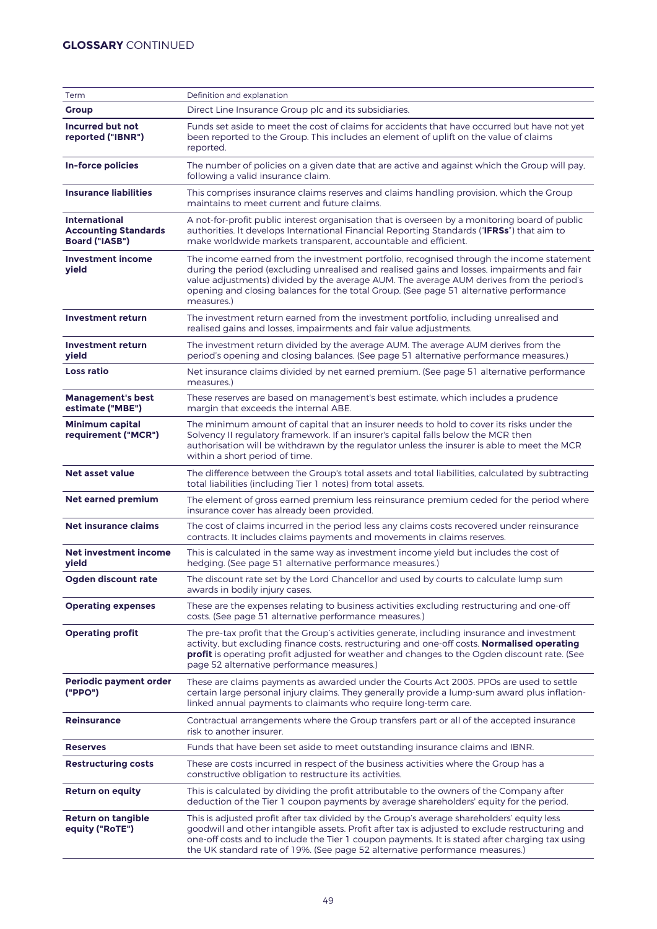# **GLOSSARY** CONTINUED

| Term                                                                         | Definition and explanation                                                                                                                                                                                                                                                                                                                                                                  |
|------------------------------------------------------------------------------|---------------------------------------------------------------------------------------------------------------------------------------------------------------------------------------------------------------------------------------------------------------------------------------------------------------------------------------------------------------------------------------------|
| <b>Group</b>                                                                 | Direct Line Insurance Group plc and its subsidiaries.                                                                                                                                                                                                                                                                                                                                       |
| <b>Incurred but not</b><br>reported ("IBNR")                                 | Funds set aside to meet the cost of claims for accidents that have occurred but have not yet<br>been reported to the Group. This includes an element of uplift on the value of claims<br>reported.                                                                                                                                                                                          |
| <b>In-force policies</b>                                                     | The number of policies on a given date that are active and against which the Group will pay,<br>following a valid insurance claim.                                                                                                                                                                                                                                                          |
| <b>Insurance liabilities</b>                                                 | This comprises insurance claims reserves and claims handling provision, which the Group<br>maintains to meet current and future claims.                                                                                                                                                                                                                                                     |
| <b>International</b><br><b>Accounting Standards</b><br><b>Board ("IASB")</b> | A not-for-profit public interest organisation that is overseen by a monitoring board of public<br>authorities. It develops International Financial Reporting Standards ("IFRSs") that aim to<br>make worldwide markets transparent, accountable and efficient.                                                                                                                              |
| <b>Investment income</b><br>yield                                            | The income earned from the investment portfolio, recognised through the income statement<br>during the period (excluding unrealised and realised gains and losses, impairments and fair<br>value adjustments) divided by the average AUM. The average AUM derives from the period's<br>opening and closing balances for the total Group. (See page 51 alternative performance<br>measures.) |
| <b>Investment return</b>                                                     | The investment return earned from the investment portfolio, including unrealised and<br>realised gains and losses, impairments and fair value adjustments.                                                                                                                                                                                                                                  |
| <b>Investment return</b><br>yield                                            | The investment return divided by the average AUM. The average AUM derives from the<br>period's opening and closing balances. (See page 51 alternative performance measures.)                                                                                                                                                                                                                |
| <b>Loss ratio</b>                                                            | Net insurance claims divided by net earned premium. (See page 51 alternative performance<br>measures.)                                                                                                                                                                                                                                                                                      |
| <b>Management's best</b><br>estimate ("MBE")                                 | These reserves are based on management's best estimate, which includes a prudence<br>margin that exceeds the internal ABE.                                                                                                                                                                                                                                                                  |
| <b>Minimum capital</b><br>requirement ("MCR")                                | The minimum amount of capital that an insurer needs to hold to cover its risks under the<br>Solvency II regulatory framework. If an insurer's capital falls below the MCR then<br>authorisation will be withdrawn by the regulator unless the insurer is able to meet the MCR<br>within a short period of time.                                                                             |
| <b>Net asset value</b>                                                       | The difference between the Group's total assets and total liabilities, calculated by subtracting<br>total liabilities (including Tier 1 notes) from total assets.                                                                                                                                                                                                                           |
| <b>Net earned premium</b>                                                    | The element of gross earned premium less reinsurance premium ceded for the period where<br>insurance cover has already been provided.                                                                                                                                                                                                                                                       |
| <b>Net insurance claims</b>                                                  | The cost of claims incurred in the period less any claims costs recovered under reinsurance<br>contracts. It includes claims payments and movements in claims reserves.                                                                                                                                                                                                                     |
| Net investment income<br>yield                                               | This is calculated in the same way as investment income yield but includes the cost of<br>hedging. (See page 51 alternative performance measures.)                                                                                                                                                                                                                                          |
| Ogden discount rate                                                          | The discount rate set by the Lord Chancellor and used by courts to calculate lump sum<br>awards in bodily injury cases.                                                                                                                                                                                                                                                                     |
| <b>Operating expenses</b>                                                    | These are the expenses relating to business activities excluding restructuring and one-off<br>costs. (See page 51 alternative performance measures.)                                                                                                                                                                                                                                        |
| <b>Operating profit</b>                                                      | The pre-tax profit that the Group's activities generate, including insurance and investment<br>activity, but excluding finance costs, restructuring and one-off costs. Normalised operating<br>profit is operating profit adjusted for weather and changes to the Ogden discount rate. (See<br>page 52 alternative performance measures.)                                                   |
| <b>Periodic payment order</b><br>("PPO")                                     | These are claims payments as awarded under the Courts Act 2003. PPOs are used to settle<br>certain large personal injury claims. They generally provide a lump-sum award plus inflation-<br>linked annual payments to claimants who require long-term care.                                                                                                                                 |
| <b>Reinsurance</b>                                                           | Contractual arrangements where the Group transfers part or all of the accepted insurance<br>risk to another insurer.                                                                                                                                                                                                                                                                        |
| <b>Reserves</b>                                                              | Funds that have been set aside to meet outstanding insurance claims and IBNR.                                                                                                                                                                                                                                                                                                               |
| <b>Restructuring costs</b>                                                   | These are costs incurred in respect of the business activities where the Group has a<br>constructive obligation to restructure its activities.                                                                                                                                                                                                                                              |
| <b>Return on equity</b>                                                      | This is calculated by dividing the profit attributable to the owners of the Company after<br>deduction of the Tier 1 coupon payments by average shareholders' equity for the period.                                                                                                                                                                                                        |
| <b>Return on tangible</b><br>equity ("RoTE")                                 | This is adjusted profit after tax divided by the Group's average shareholders' equity less<br>goodwill and other intangible assets. Profit after tax is adjusted to exclude restructuring and<br>one-off costs and to include the Tier 1 coupon payments. It is stated after charging tax using<br>the UK standard rate of 19%. (See page 52 alternative performance measures.)             |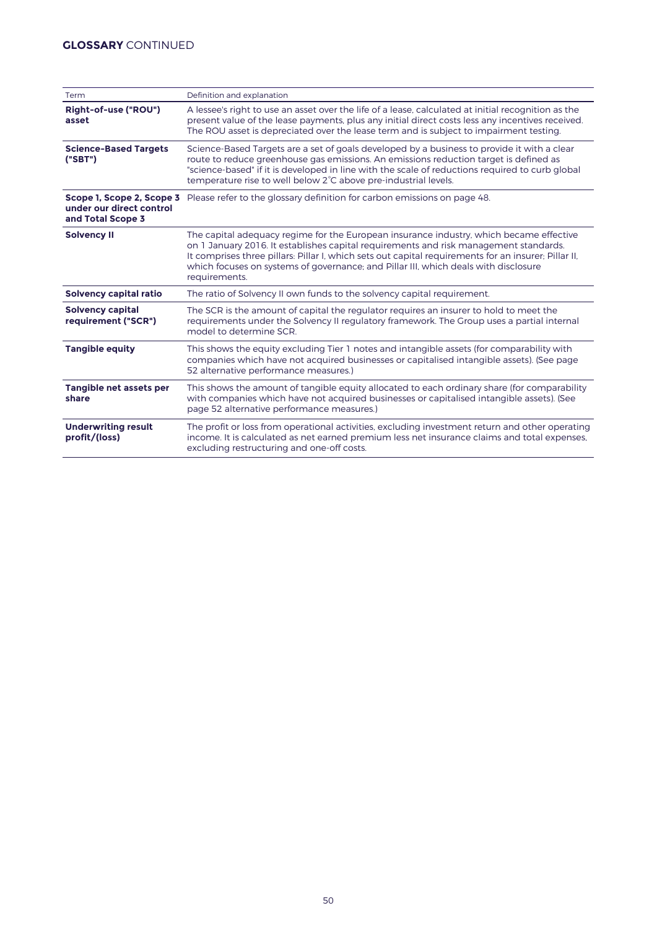| Term                                                                       | Definition and explanation                                                                                                                                                                                                                                                                                                                                                                       |
|----------------------------------------------------------------------------|--------------------------------------------------------------------------------------------------------------------------------------------------------------------------------------------------------------------------------------------------------------------------------------------------------------------------------------------------------------------------------------------------|
| Right-of-use ("ROU")<br>asset                                              | A lessee's right to use an asset over the life of a lease, calculated at initial recognition as the<br>present value of the lease payments, plus any initial direct costs less any incentives received.<br>The ROU asset is depreciated over the lease term and is subject to impairment testing.                                                                                                |
| <b>Science-Based Targets</b><br>("SBT")                                    | Science-Based Targets are a set of goals developed by a business to provide it with a clear<br>route to reduce greenhouse gas emissions. An emissions reduction target is defined as<br>"science-based" if it is developed in line with the scale of reductions required to curb global<br>temperature rise to well below 2 <sup>°</sup> C above pre-industrial levels.                          |
| Scope 1, Scope 2, Scope 3<br>under our direct control<br>and Total Scope 3 | Please refer to the glossary definition for carbon emissions on page 48.                                                                                                                                                                                                                                                                                                                         |
| <b>Solvency II</b>                                                         | The capital adequacy regime for the European insurance industry, which became effective<br>on 1 January 2016. It establishes capital requirements and risk management standards.<br>It comprises three pillars: Pillar I, which sets out capital requirements for an insurer; Pillar II,<br>which focuses on systems of governance; and Pillar III, which deals with disclosure<br>requirements. |
| Solvency capital ratio                                                     | The ratio of Solvency II own funds to the solvency capital requirement.                                                                                                                                                                                                                                                                                                                          |
| <b>Solvency capital</b><br>requirement ("SCR")                             | The SCR is the amount of capital the regulator requires an insurer to hold to meet the<br>requirements under the Solvency II regulatory framework. The Group uses a partial internal<br>model to determine SCR.                                                                                                                                                                                  |
| <b>Tangible equity</b>                                                     | This shows the equity excluding Tier 1 notes and intangible assets (for comparability with<br>companies which have not acquired businesses or capitalised intangible assets). (See page<br>52 alternative performance measures.)                                                                                                                                                                 |
| Tangible net assets per<br>share                                           | This shows the amount of tangible equity allocated to each ordinary share (for comparability<br>with companies which have not acquired businesses or capitalised intangible assets). (See<br>page 52 alternative performance measures.)                                                                                                                                                          |
| <b>Underwriting result</b><br>profit/(loss)                                | The profit or loss from operational activities, excluding investment return and other operating<br>income. It is calculated as net earned premium less net insurance claims and total expenses,<br>excluding restructuring and one-off costs.                                                                                                                                                    |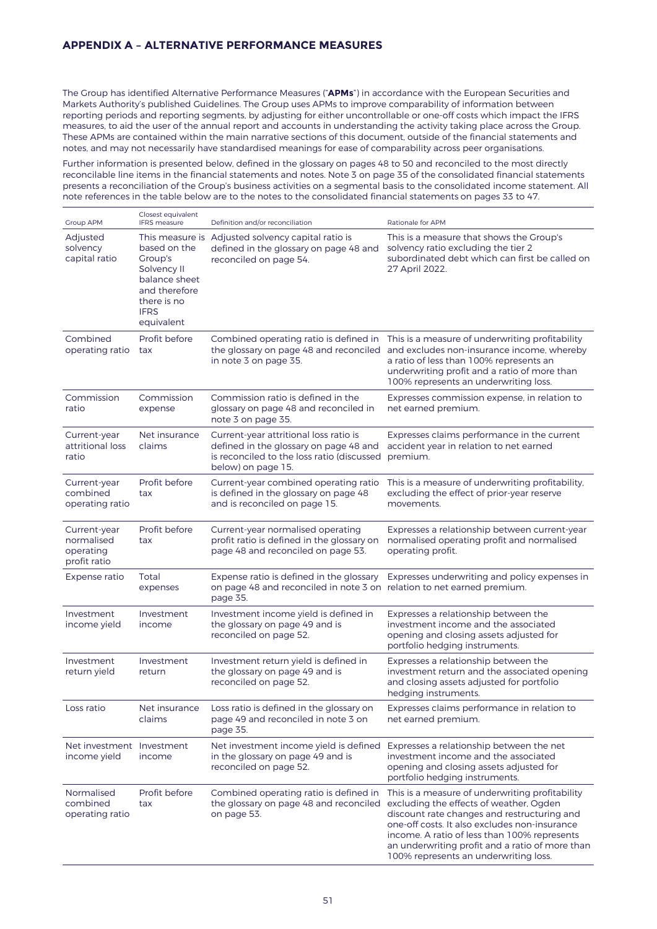# **APPENDIX A – ALTERNATIVE PERFORMANCE MEASURES**

The Group has identified Alternative Performance Measures ("**APMs**") in accordance with the European Securities and Markets Authority's published Guidelines. The Group uses APMs to improve comparability of information between reporting periods and reporting segments, by adjusting for either uncontrollable or one-off costs which impact the IFRS measures, to aid the user of the annual report and accounts in understanding the activity taking place across the Group. These APMs are contained within the main narrative sections of this document, outside of the financial statements and notes, and may not necessarily have standardised meanings for ease of comparability across peer organisations.

Further information is presented below, defined in the glossary on pages 48 to 50 and reconciled to the most directly reconcilable line items in the financial statements and notes. Note 3 on page 35 of the consolidated financial statements presents a reconciliation of the Group's business activities on a segmental basis to the consolidated income statement. All note references in the table below are to the notes to the consolidated financial statements on pages 33 to 47.

| <b>Group APM</b>                                        | Closest equivalent<br><b>IFRS</b> measure                                                                            | Definition and/or reconciliation                                                                                                                     | Rationale for APM                                                                                                                                                                                                                                                                                                                      |
|---------------------------------------------------------|----------------------------------------------------------------------------------------------------------------------|------------------------------------------------------------------------------------------------------------------------------------------------------|----------------------------------------------------------------------------------------------------------------------------------------------------------------------------------------------------------------------------------------------------------------------------------------------------------------------------------------|
| Adjusted<br>solvency<br>capital ratio                   | based on the<br>Group's<br>Solvency II<br>balance sheet<br>and therefore<br>there is no<br><b>IFRS</b><br>equivalent | This measure is Adjusted solvency capital ratio is<br>defined in the glossary on page 48 and<br>reconciled on page 54.                               | This is a measure that shows the Group's<br>solvency ratio excluding the tier 2<br>subordinated debt which can first be called on<br>27 April 2022.                                                                                                                                                                                    |
| Combined<br>operating ratio                             | Profit before<br>tax                                                                                                 | the glossary on page 48 and reconciled<br>in note 3 on page 35.                                                                                      | Combined operating ratio is defined in This is a measure of underwriting profitability<br>and excludes non-insurance income, whereby<br>a ratio of less than 100% represents an<br>underwriting profit and a ratio of more than<br>100% represents an underwriting loss.                                                               |
| Commission<br>ratio                                     | Commission<br>expense                                                                                                | Commission ratio is defined in the<br>glossary on page 48 and reconciled in<br>note 3 on page 35.                                                    | Expresses commission expense, in relation to<br>net earned premium.                                                                                                                                                                                                                                                                    |
| Current-year<br>attritional loss<br>ratio               | Net insurance<br>claims                                                                                              | Current-year attritional loss ratio is<br>defined in the glossary on page 48 and<br>is reconciled to the loss ratio (discussed<br>below) on page 15. | Expresses claims performance in the current<br>accident year in relation to net earned<br>premium.                                                                                                                                                                                                                                     |
| Current-year<br>combined<br>operating ratio             | Profit before<br>tax                                                                                                 | Current-year combined operating ratio<br>is defined in the glossary on page 48<br>and is reconciled on page 15.                                      | This is a measure of underwriting profitability,<br>excluding the effect of prior-year reserve<br>movements.                                                                                                                                                                                                                           |
| Current-year<br>normalised<br>operating<br>profit ratio | Profit before<br>tax                                                                                                 | Current-year normalised operating<br>profit ratio is defined in the glossary on<br>page 48 and reconciled on page 53.                                | Expresses a relationship between current-year<br>normalised operating profit and normalised<br>operating profit.                                                                                                                                                                                                                       |
| Expense ratio                                           | Total<br>expenses                                                                                                    | Expense ratio is defined in the glossary<br>on page 48 and reconciled in note 3 on relation to net earned premium.<br>page 35.                       | Expresses underwriting and policy expenses in                                                                                                                                                                                                                                                                                          |
| Investment<br>income yield                              | Investment<br>income                                                                                                 | Investment income yield is defined in<br>the glossary on page 49 and is<br>reconciled on page 52.                                                    | Expresses a relationship between the<br>investment income and the associated<br>opening and closing assets adjusted for<br>portfolio hedging instruments.                                                                                                                                                                              |
| Investment<br>return yield                              | Investment<br>return                                                                                                 | Investment return yield is defined in<br>the glossary on page 49 and is<br>reconciled on page 52.                                                    | Expresses a relationship between the<br>investment return and the associated opening<br>and closing assets adjusted for portfolio<br>hedging instruments.                                                                                                                                                                              |
| Loss ratio                                              | Net insurance<br>claims                                                                                              | Loss ratio is defined in the glossary on<br>page 49 and reconciled in note 3 on<br>page 35.                                                          | Expresses claims performance in relation to<br>net earned premium.                                                                                                                                                                                                                                                                     |
| Net investment Investment<br>income yield               | income                                                                                                               | Net investment income yield is defined<br>in the glossary on page 49 and is<br>reconciled on page 52.                                                | Expresses a relationship between the net<br>investment income and the associated<br>opening and closing assets adjusted for<br>portfolio hedging instruments.                                                                                                                                                                          |
| Normalised<br>combined<br>operating ratio               | Profit before<br>tax                                                                                                 | Combined operating ratio is defined in<br>the glossary on page 48 and reconciled<br>on page 53.                                                      | This is a measure of underwriting profitability<br>excluding the effects of weather, Ogden<br>discount rate changes and restructuring and<br>one-off costs. It also excludes non-insurance<br>income. A ratio of less than 100% represents<br>an underwriting profit and a ratio of more than<br>100% represents an underwriting loss. |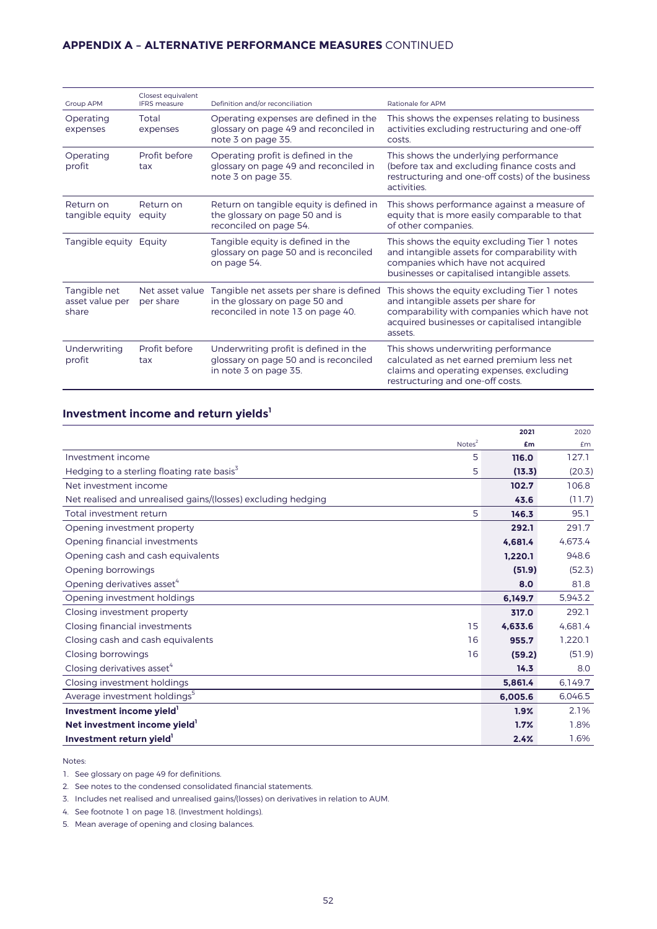# **APPENDIX A – ALTERNATIVE PERFORMANCE MEASURES** CONTINUED

| <b>Group APM</b>                         | Closest equivalent<br><b>IFRS</b> measure | Definition and/or reconciliation                                                                                | Rationale for APM                                                                                                                                                                              |
|------------------------------------------|-------------------------------------------|-----------------------------------------------------------------------------------------------------------------|------------------------------------------------------------------------------------------------------------------------------------------------------------------------------------------------|
| Operating<br>expenses                    | Total<br>expenses                         | Operating expenses are defined in the<br>glossary on page 49 and reconciled in<br>note 3 on page 35.            | This shows the expenses relating to business<br>activities excluding restructuring and one-off<br>costs.                                                                                       |
| Operating<br>profit                      | Profit before<br>tax                      | Operating profit is defined in the<br>glossary on page 49 and reconciled in<br>note 3 on page 35.               | This shows the underlying performance<br>(before tax and excluding finance costs and<br>restructuring and one-off costs) of the business<br>activities.                                        |
| Return on<br>tangible equity             | Return on<br>equity                       | Return on tangible equity is defined in<br>the glossary on page 50 and is<br>reconciled on page 54.             | This shows performance against a measure of<br>equity that is more easily comparable to that<br>of other companies.                                                                            |
| Tangible equity                          | Equity                                    | Tangible equity is defined in the<br>glossary on page 50 and is reconciled<br>on page 54.                       | This shows the equity excluding Tier 1 notes<br>and intangible assets for comparability with<br>companies which have not acquired<br>businesses or capitalised intangible assets.              |
| Tangible net<br>asset value per<br>share | Net asset value<br>per share              | Tangible net assets per share is defined<br>in the glossary on page 50 and<br>reconciled in note 13 on page 40. | This shows the equity excluding Tier 1 notes<br>and intangible assets per share for<br>comparability with companies which have not<br>acquired businesses or capitalised intangible<br>assets. |
| Underwriting<br>profit                   | Profit before<br>tax                      | Underwriting profit is defined in the<br>glossary on page 50 and is reconciled<br>in note 3 on page 35.         | This shows underwriting performance<br>calculated as net earned premium less net<br>claims and operating expenses, excluding<br>restructuring and one-off costs.                               |

# **Investment income and return yields<sup>1</sup>**

|                                                              | 2021    | 2020    |
|--------------------------------------------------------------|---------|---------|
| Notes <sup>2</sup>                                           | £m      | £m      |
| Investment income<br>5                                       | 116.0   | 127.1   |
| Hedging to a sterling floating rate basis <sup>3</sup><br>5  | (13.3)  | (20.3)  |
| Net investment income                                        | 102.7   | 106.8   |
| Net realised and unrealised gains/(losses) excluding hedging | 43.6    | (11.7)  |
| Total investment return<br>5                                 | 146.3   | 95.1    |
| Opening investment property                                  | 292.1   | 291.7   |
| Opening financial investments                                | 4.681.4 | 4.673.4 |
| Opening cash and cash equivalents                            | 1.220.1 | 948.6   |
| Opening borrowings                                           | (51.9)  | (52.3)  |
| Opening derivatives asset <sup>4</sup>                       | 8.0     | 81.8    |
| Opening investment holdings                                  | 6.149.7 | 5.943.2 |
| Closing investment property                                  | 317.0   | 292.1   |
| Closing financial investments<br>15                          | 4.633.6 | 4.681.4 |
| 16<br>Closing cash and cash equivalents                      | 955.7   | 1,220.1 |
| Closing borrowings<br>16                                     | (59.2)  | (51.9)  |
| Closing derivatives asset <sup>4</sup>                       | 14.3    | 8.0     |
| Closing investment holdings                                  | 5,861.4 | 6.149.7 |
| Average investment holdings <sup>5</sup>                     | 6.005.6 | 6.046.5 |
| Investment income yield'                                     | 1.9%    | 2.1%    |
| Net investment income yield                                  | 1.7%    | 1.8%    |
| Investment return yield'                                     | 2.4%    | 1.6%    |

#### Notes:

1. See glossary on page 49 for definitions.

2. See notes to the condensed consolidated financial statements.

3. Includes net realised and unrealised gains/(losses) on derivatives in relation to AUM.

4. See footnote 1 on page 18. (Investment holdings).

5. Mean average of opening and closing balances.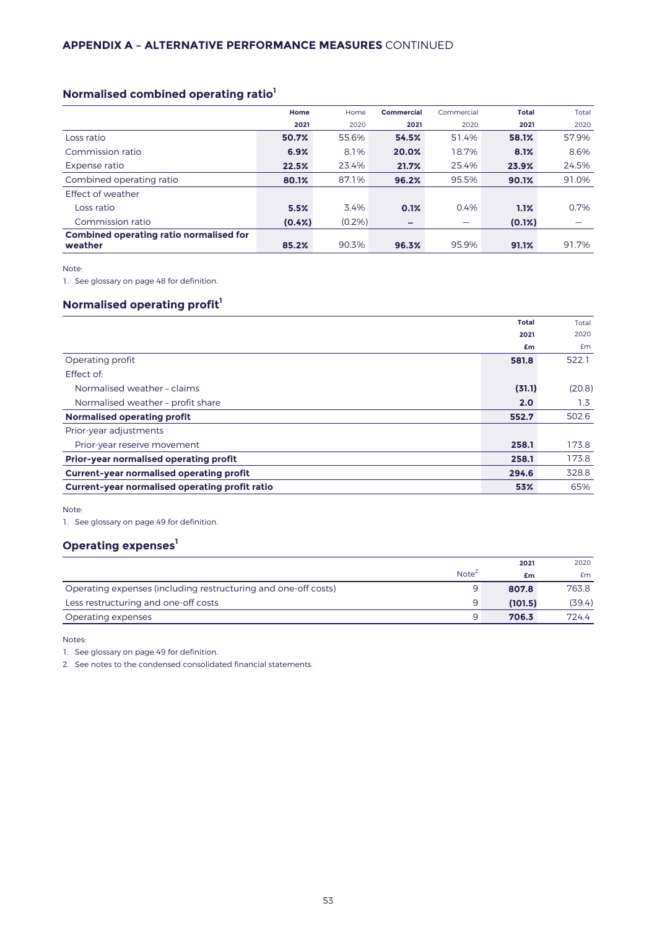# **Normalised combined operating ratio<sup>1</sup>**

|                                                           | Home      | Home      | Commercial | Commercial | <b>Total</b> | Total |
|-----------------------------------------------------------|-----------|-----------|------------|------------|--------------|-------|
|                                                           | 2021      | 2020      | 2021       | 2020       | 2021         | 2020  |
| Loss ratio                                                | 50.7%     | 55.6%     | 54.5%      | 51.4%      | 58.1%        | 57.9% |
| Commission ratio                                          | 6.9%      | 8.1%      | 20.0%      | 18.7%      | 8.1%         | 8.6%  |
| Expense ratio                                             | 22.5%     | 23.4%     | 21.7%      | 25.4%      | 23.9%        | 24.5% |
| Combined operating ratio                                  | 80.1%     | 87.1%     | 96.2%      | 95.5%      | 90.1%        | 91.0% |
| Effect of weather                                         |           |           |            |            |              |       |
| Loss ratio                                                | 5.5%      | 3.4%      | 0.1%       | 0.4%       | 1.1%         | 0.7%  |
| Commission ratio                                          | $(0.4\%)$ | $(0.2\%)$ | -          |            | $(0.1\%)$    |       |
| <b>Combined operating ratio normalised for</b><br>weather | 85.2%     | 90.3%     | 96.3%      | 95.9%      | 91.1%        | 91.7% |

Note:

1. See glossary on page 48 for definition.

# **Normalised operating profit<sup>1</sup>**

|                                                 | <b>Total</b> | Total  |
|-------------------------------------------------|--------------|--------|
|                                                 | 2021         | 2020   |
|                                                 | £m           | £m     |
| Operating profit                                | 581.8        | 522.1  |
| Effect of:                                      |              |        |
| Normalised weather - claims                     | (31.1)       | (20.8) |
| Normalised weather - profit share               | 2.0          | 1.3    |
| <b>Normalised operating profit</b>              | 552.7        | 502.6  |
| Prior-year adjustments                          |              |        |
| Prior-year reserve movement                     | 258.1        | 173.8  |
| Prior-year normalised operating profit          | 258.1        | 173.8  |
| <b>Current-year normalised operating profit</b> | 294.6        | 328.8  |
| Current-year normalised operating profit ratio  | 53%          | 65%    |

Note:

1. See glossary on page 49 for definition.

# **Operating expenses<sup>1</sup>**

|                                                                |                   | 2021    | 2020   |
|----------------------------------------------------------------|-------------------|---------|--------|
|                                                                | Note <sup>2</sup> | £m      | £m     |
| Operating expenses (including restructuring and one-off costs) | 9                 | 807.8   | 763.8  |
| Less restructuring and one-off costs                           | Q                 | (101.5) | (39.4) |
| Operating expenses                                             | Q                 | 706.3   | 724.4  |

Notes:

1. See glossary on page 49 for definition.

2. See notes to the condensed consolidated financial statements.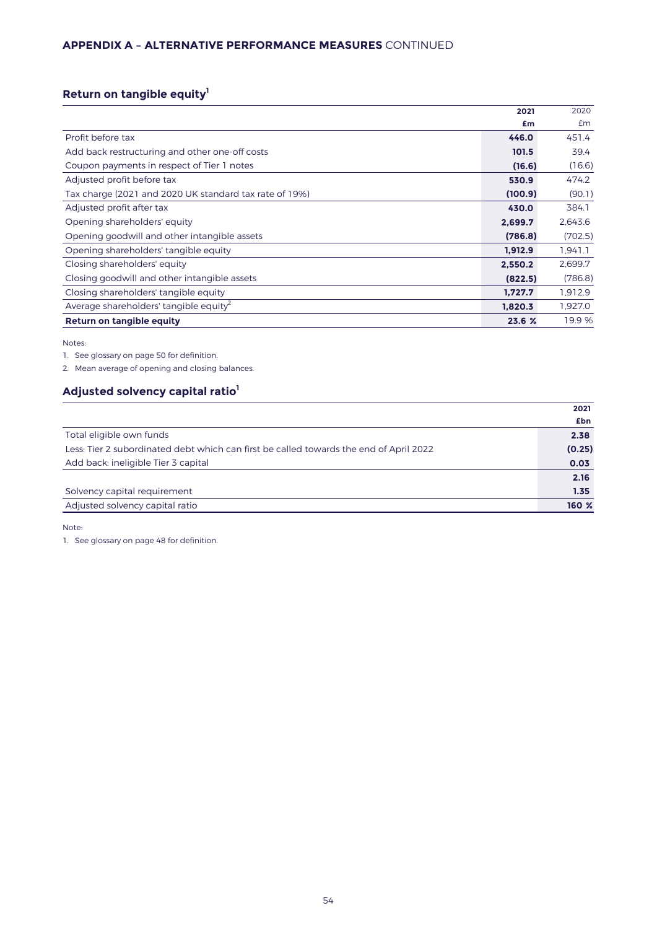# **APPENDIX A – ALTERNATIVE PERFORMANCE MEASURES** CONTINUED

# **Return on tangible equity<sup>1</sup>**

|                                                        | 2021    | 2020    |
|--------------------------------------------------------|---------|---------|
|                                                        | £m      | £m      |
| Profit before tax                                      | 446.0   | 451.4   |
| Add back restructuring and other one-off costs         | 101.5   | 39.4    |
| Coupon payments in respect of Tier 1 notes             | (16.6)  | (16.6)  |
| Adjusted profit before tax                             | 530.9   | 474.2   |
| Tax charge (2021 and 2020 UK standard tax rate of 19%) | (100.9) | (90.1)  |
| Adjusted profit after tax                              | 430.0   | 384.1   |
| Opening shareholders' equity                           | 2,699.7 | 2,643.6 |
| Opening goodwill and other intangible assets           | (786.8) | (702.5) |
| Opening shareholders' tangible equity                  | 1.912.9 | 1,941.1 |
| Closing shareholders' equity                           | 2,550.2 | 2,699.7 |
| Closing good will and other intangible assets          | (822.5) | (786.8) |
| Closing shareholders' tangible equity                  | 1.727.7 | 1,912.9 |
| Average shareholders' tangible equity <sup>2</sup>     | 1.820.3 | 1.927.0 |
| Return on tangible equity                              | 23.6 %  | 19.9 %  |

Notes:

1. See glossary on page 50 for definition.

2. Mean average of opening and closing balances.

# **Adjusted solvency capital ratio<sup>1</sup>**

|                                                                                        | 2021   |
|----------------------------------------------------------------------------------------|--------|
|                                                                                        | £bn    |
| Total eligible own funds                                                               | 2.38   |
| Less: Tier 2 subordinated debt which can first be called towards the end of April 2022 | (0.25) |
| Add back: ineligible Tier 3 capital                                                    | 0.03   |
|                                                                                        | 2.16   |
| Solvency capital requirement                                                           | 1.35   |
| Adjusted solvency capital ratio                                                        | 160 %  |

Note:

1. See glossary on page 48 for definition.